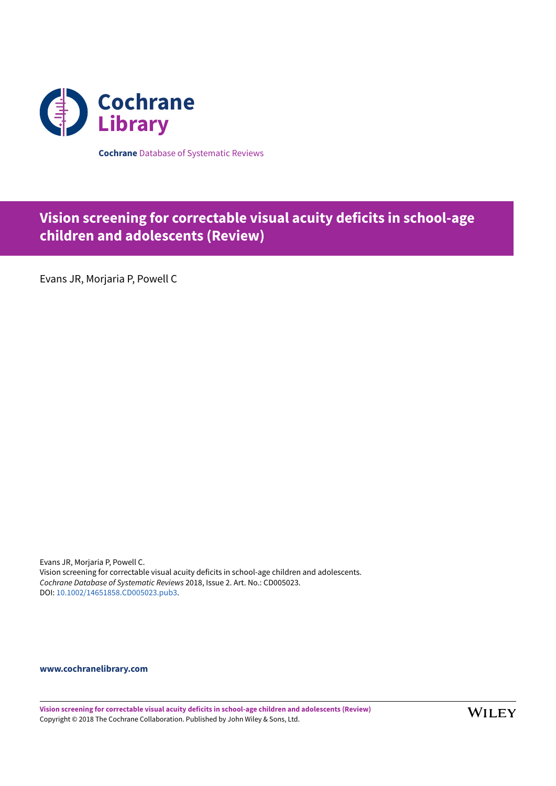

**Cochrane** Database of Systematic Reviews

# **Vision screening for correctable visual acuity deficits in school-age children and adolescents (Review)**

Evans JR, Morjaria P, Powell C

Evans JR, Morjaria P, Powell C. Vision screening for correctable visual acuity deficits in school-age children and adolescents. *Cochrane Database of Systematic Reviews* 2018, Issue 2. Art. No.: CD005023. DOI: [10.1002/14651858.CD005023.pub3.](https://doi.org/10.1002%2F14651858.CD005023.pub3)

**[www.cochranelibrary.com](https://www.cochranelibrary.com)**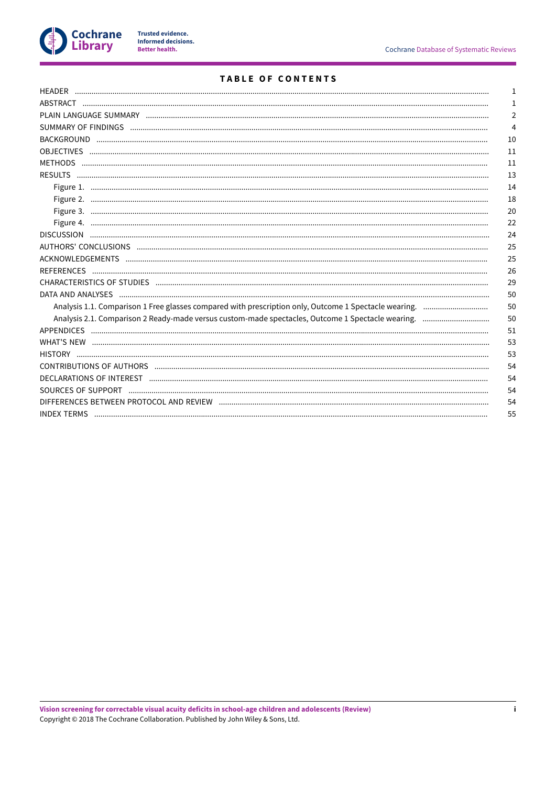

## **TABLE OF CONTENTS**

|                                                                                                                                                                                                                                | 1              |
|--------------------------------------------------------------------------------------------------------------------------------------------------------------------------------------------------------------------------------|----------------|
|                                                                                                                                                                                                                                | $\overline{2}$ |
|                                                                                                                                                                                                                                | $\overline{4}$ |
|                                                                                                                                                                                                                                | 10             |
|                                                                                                                                                                                                                                | 11             |
|                                                                                                                                                                                                                                | 11             |
|                                                                                                                                                                                                                                | 13             |
|                                                                                                                                                                                                                                | 14             |
|                                                                                                                                                                                                                                | 18             |
|                                                                                                                                                                                                                                | 20             |
|                                                                                                                                                                                                                                | 22             |
|                                                                                                                                                                                                                                | 24             |
|                                                                                                                                                                                                                                | 25             |
|                                                                                                                                                                                                                                | 25             |
|                                                                                                                                                                                                                                | 26             |
|                                                                                                                                                                                                                                | 29             |
|                                                                                                                                                                                                                                | 50             |
|                                                                                                                                                                                                                                | 50             |
|                                                                                                                                                                                                                                | 50             |
|                                                                                                                                                                                                                                | 51             |
|                                                                                                                                                                                                                                | 53             |
|                                                                                                                                                                                                                                | 53             |
|                                                                                                                                                                                                                                | 54             |
|                                                                                                                                                                                                                                | 54             |
| SOURCES OF SUPPORT Entertainment and the contract of the contract of the contract of the contract of the contract of the contract of the contract of the contract of the contract of the contract of the contract of the contr | 54             |
|                                                                                                                                                                                                                                | 54             |
|                                                                                                                                                                                                                                | 55             |
|                                                                                                                                                                                                                                |                |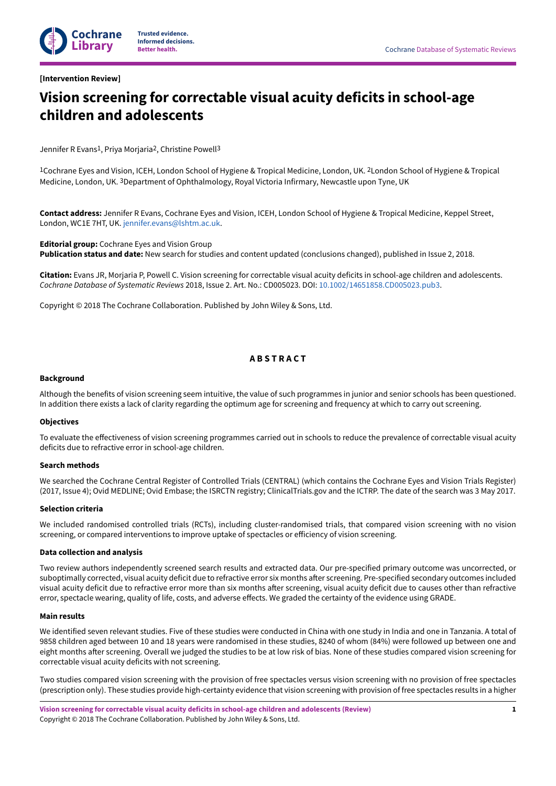## <span id="page-2-0"></span>**[Intervention Review]**

# **Vision screening for correctable visual acuity deficits in school-age children and adolescents**

Jennifer R Evans<sup>1</sup>, Priya Morjaria<sup>2</sup>, Christine Powell<sup>3</sup>

1Cochrane Eyes and Vision, ICEH, London School of Hygiene & Tropical Medicine, London, UK. 2London School of Hygiene & Tropical Medicine, London, UK. <sup>3</sup>Department of Ophthalmology, Royal Victoria Infirmary, Newcastle upon Tyne, UK

**Contact address:** Jennifer R Evans, Cochrane Eyes and Vision, ICEH, London School of Hygiene & Tropical Medicine, Keppel Street, London, WC1E 7HT, UK. [jennifer.evans@lshtm.ac.uk.](mailto:jennifer.evans@lshtm.ac.uk)

**Editorial group:** Cochrane Eyes and Vision Group **Publication status and date:** New search for studies and content updated (conclusions changed), published in Issue 2, 2018.

**Citation:** Evans JR, Morjaria P, Powell C. Vision screening for correctable visual acuity deficits in school-age children and adolescents. *Cochrane Database of Systematic Reviews* 2018, Issue 2. Art. No.: CD005023. DOI: [10.1002/14651858.CD005023.pub3](https://doi.org/10.1002%2F14651858.CD005023.pub3).

Copyright © 2018 The Cochrane Collaboration. Published by John Wiley & Sons, Ltd.

## **A B S T R A C T**

#### <span id="page-2-1"></span>**Background**

Although the benefits of vision screening seem intuitive, the value of such programmes in junior and senior schools has been questioned. In addition there exists a lack of clarity regarding the optimum age for screening and frequency at which to carry out screening.

### **Objectives**

To evaluate the effectiveness of vision screening programmes carried out in schools to reduce the prevalence of correctable visual acuity deficits due to refractive error in school-age children.

#### **Search methods**

We searched the Cochrane Central Register of Controlled Trials (CENTRAL) (which contains the Cochrane Eyes and Vision Trials Register) (2017, Issue 4); Ovid MEDLINE; Ovid Embase; the ISRCTN registry; ClinicalTrials.gov and the ICTRP. The date of the search was 3 May 2017.

#### **Selection criteria**

We included randomised controlled trials (RCTs), including cluster-randomised trials, that compared vision screening with no vision screening, or compared interventions to improve uptake of spectacles or efficiency of vision screening.

#### **Data collection and analysis**

Two review authors independently screened search results and extracted data. Our pre-specified primary outcome was uncorrected, or suboptimally corrected, visual acuity deficit due to refractive error six months after screening. Pre-specified secondary outcomes included visual acuity deficit due to refractive error more than six months after screening, visual acuity deficit due to causes other than refractive error, spectacle wearing, quality of life, costs, and adverse effects. We graded the certainty of the evidence using GRADE.

#### **Main results**

We identified seven relevant studies. Five of these studies were conducted in China with one study in India and one in Tanzania. A total of 9858 children aged between 10 and 18 years were randomised in these studies, 8240 of whom (84%) were followed up between one and eight months after screening. Overall we judged the studies to be at low risk of bias. None of these studies compared vision screening for correctable visual acuity deficits with not screening.

Two studies compared vision screening with the provision of free spectacles versus vision screening with no provision of free spectacles (prescription only). These studies provide high-certainty evidence that vision screening with provision of free spectacles results in a higher

**Vision screening for correctable visual acuity deficits in school-age children and adolescents (Review)** Copyright © 2018 The Cochrane Collaboration. Published by John Wiley & Sons, Ltd.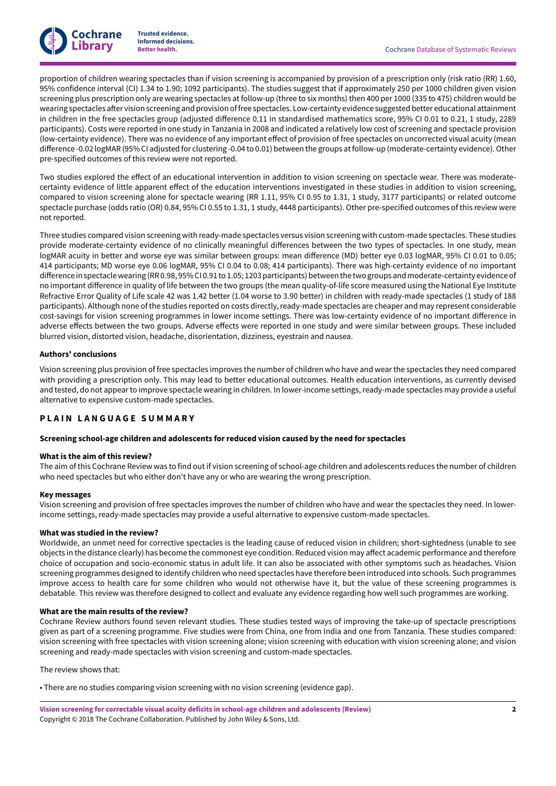

proportion of children wearing spectacles than if vision screening is accompanied by provision of a prescription only (risk ratio (RR) 1.60, 95% confidence interval (CI) 1.34 to 1.90; 1092 participants). The studies suggest that if approximately 250 per 1000 children given vision screening plus prescription only are wearing spectacles at follow-up (three to six months) then 400 per 1000 (335 to 475) children would be wearing spectacles after vision screening and provision of free spectacles. Low-certainty evidence suggested better educational attainment in children in the free spectacles group (adjusted difference 0.11 in standardised mathematics score, 95% CI 0.01 to 0.21, 1 study, 2289 participants). Costs were reported in one study in Tanzania in 2008 and indicated a relatively low cost of screening and spectacle provision (low-certainty evidence). There was no evidence of any important effect of provision of free spectacles on uncorrected visual acuity (mean difference -0.02 logMAR (95% CI adjusted for clustering -0.04 to 0.01) between the groups at follow-up (moderate-certainty evidence). Other pre-specified outcomes of this review were not reported.

Two studies explored the eHect of an educational intervention in addition to vision screening on spectacle wear. There was moderatecertainty evidence of little apparent effect of the education interventions investigated in these studies in addition to vision screening, compared to vision screening alone for spectacle wearing (RR 1.11, 95% CI 0.95 to 1.31, 1 study, 3177 participants) or related outcome spectacle purchase (odds ratio (OR) 0.84, 95% CI 0.55 to 1.31, 1 study, 4448 participants). Other pre-specified outcomes of this review were not reported.

Three studies compared vision screening with ready-made spectacles versus vision screening with custom-made spectacles. These studies provide moderate-certainty evidence of no clinically meaningful differences between the two types of spectacles. In one study, mean logMAR acuity in better and worse eye was similar between groups: mean difference (MD) better eye 0.03 logMAR, 95% CI 0.01 to 0.05; 414 participants; MD worse eye 0.06 logMAR, 95% CI 0.04 to 0.08; 414 participants). There was high-certainty evidence of no important difference in spectacle wearing (RR0.98, 95% CI0.91 to 1.05; 1203 participants) between the two groups and moderate-certainty evidence of no important diHerence in quality of life between the two groups (the mean quality-of-life score measured using the National Eye Institute Refractive Error Quality of Life scale 42 was 1.42 better (1.04 worse to 3.90 better) in children with ready-made spectacles (1 study of 188 participants). Although none of the studies reported on costs directly, ready-made spectacles are cheaper and may represent considerable cost-savings for vision screening programmes in lower income settings. There was low-certainty evidence of no important diHerence in adverse eHects between the two groups. Adverse eHects were reported in one study and were similar between groups. These included blurred vision, distorted vision, headache, disorientation, dizziness, eyestrain and nausea.

#### **Authors' conclusions**

Vision screening plus provision of free spectacles improves the number of children who have and wearthe spectacles they need compared with providing a prescription only. This may lead to better educational outcomes. Health education interventions, as currently devised and tested, do not appear to improve spectacle wearing in children. In lower-income settings, ready-made spectacles may provide a useful alternative to expensive custom-made spectacles.

## <span id="page-3-0"></span>**P L A I N L A N G U A G E S U M M A R Y**

#### **Screening school-age children and adolescents for reduced vision caused by the need for spectacles**

#### **What is the aim of this review?**

The aim of this Cochrane Review was to find out if vision screening of school-age children and adolescents reduces the number of children who need spectacles but who either don't have any or who are wearing the wrong prescription.

#### **Key messages**

Vision screening and provision of free spectacles improves the number of children who have and wear the spectacles they need. In lowerincome settings, ready-made spectacles may provide a useful alternative to expensive custom-made spectacles.

#### **What was studied in the review?**

Worldwide, an unmet need for corrective spectacles is the leading cause of reduced vision in children; short-sightedness (unable to see objects in the distance clearly) has become the commonest eye condition. Reduced vision may aHect academic performance and therefore choice of occupation and socio-economic status in adult life. It can also be associated with other symptoms such as headaches. Vision screening programmes designed to identify children who need spectacles have therefore been introduced into schools. Such programmes improve access to health care for some children who would not otherwise have it, but the value of these screening programmes is debatable. This review was therefore designed to collect and evaluate any evidence regarding how well such programmes are working.

#### **What are the main results of the review?**

Cochrane Review authors found seven relevant studies. These studies tested ways of improving the take-up of spectacle prescriptions given as part of a screening programme. Five studies were from China, one from India and one from Tanzania. These studies compared: vision screening with free spectacles with vision screening alone; vision screening with education with vision screening alone; and vision screening and ready-made spectacles with vision screening and custom-made spectacles.

The review shows that:

• There are no studies comparing vision screening with no vision screening (evidence gap).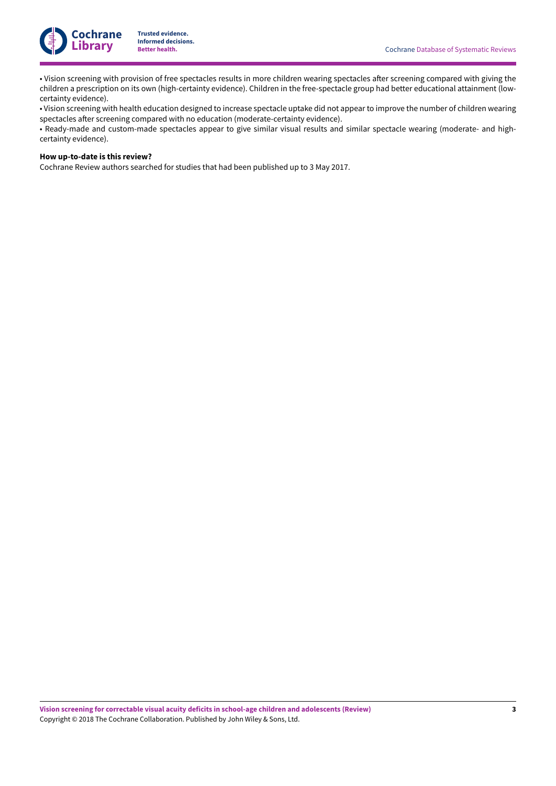

• Vision screening with provision of free spectacles results in more children wearing spectacles after screening compared with giving the children a prescription on its own (high-certainty evidence). Children in the free-spectacle group had better educational attainment (lowcertainty evidence).

• Vision screening with health education designed to increase spectacle uptake did not appear to improve the number of children wearing spectacles after screening compared with no education (moderate-certainty evidence).

• Ready-made and custom-made spectacles appear to give similar visual results and similar spectacle wearing (moderate- and highcertainty evidence).

## **How up-to-date is this review?**

Cochrane Review authors searched for studies that had been published up to 3 May 2017.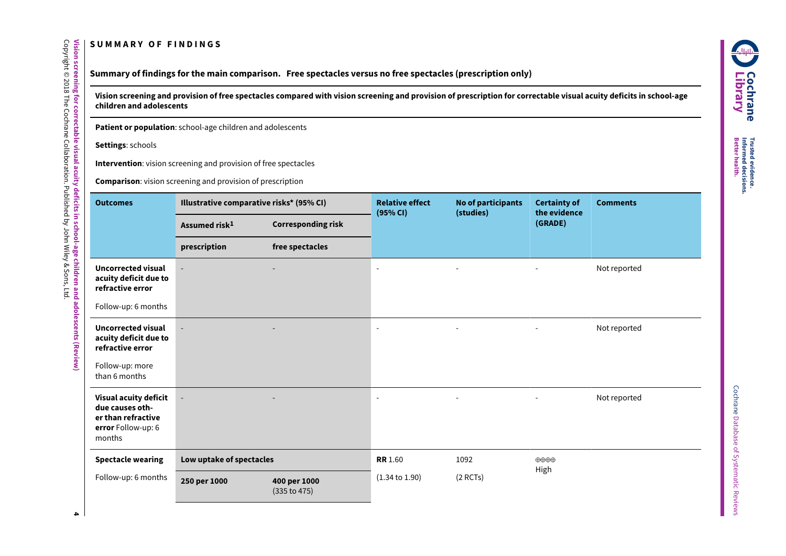## **S U M M A R Y O F F I N D I N G S**

**Summary of findings for the main comparison. Free spectacles versus no free spectacles (prescription only)**

Vision screening and provision of free spectacles compared with vision screening and provision of prescription for correctable visual acuity deficits in school-age **children and adolescents**

**Patient or population**: school-age children and adolescents

**Settings**: schools

**Vision**

**screening**

Copyright © 2018

The

Cochrane

Collaboration.

Published

হ John

Wiley & Sons,

ltd.<br>E

**for**

**correctable**

**visual**

**acuity**

**deficits in**

**school-age**

<span id="page-5-0"></span>**children**

**and**

<span id="page-5-1"></span>**adolescents**

**(Review)**

**Intervention**: vision screening and provision of free spectacles

**Comparison**: vision screening and provision of prescription

| <b>Outcomes</b>                                                                                       | Illustrative comparative risks* (95% CI)               |                              | <b>Relative effect</b><br>(95% CI) | No of participants<br>(studies) | <b>Certainty of</b><br>the evidence | <b>Comments</b> |  |
|-------------------------------------------------------------------------------------------------------|--------------------------------------------------------|------------------------------|------------------------------------|---------------------------------|-------------------------------------|-----------------|--|
|                                                                                                       | <b>Corresponding risk</b><br>Assumed risk <sup>1</sup> |                              |                                    |                                 | (GRADE)                             |                 |  |
|                                                                                                       | prescription                                           | free spectacles              |                                    |                                 |                                     |                 |  |
| <b>Uncorrected visual</b><br>acuity deficit due to<br>refractive error<br>Follow-up: 6 months         | $\overline{a}$                                         |                              | $\sim$                             |                                 |                                     | Not reported    |  |
| <b>Uncorrected visual</b><br>acuity deficit due to<br>refractive error                                | $\overline{a}$                                         |                              | $\sim$                             |                                 |                                     | Not reported    |  |
| Follow-up: more<br>than 6 months                                                                      |                                                        |                              |                                    |                                 |                                     |                 |  |
| <b>Visual acuity deficit</b><br>due causes oth-<br>er than refractive<br>error Follow-up: 6<br>months | $\overline{\phantom{a}}$                               |                              | $\sim$                             |                                 |                                     | Not reported    |  |
| <b>Spectacle wearing</b>                                                                              | Low uptake of spectacles                               |                              | <b>RR</b> 1.60                     | 1092                            | $\oplus \oplus \oplus$<br>High      |                 |  |
| Follow-up: 6 months                                                                                   | 250 per 1000                                           | 400 per 1000<br>(335 to 475) | $(1.34 \text{ to } 1.90)$          | (2 RCTs)                        |                                     |                 |  |

**C o c hra n e Lib r a r y**

**4**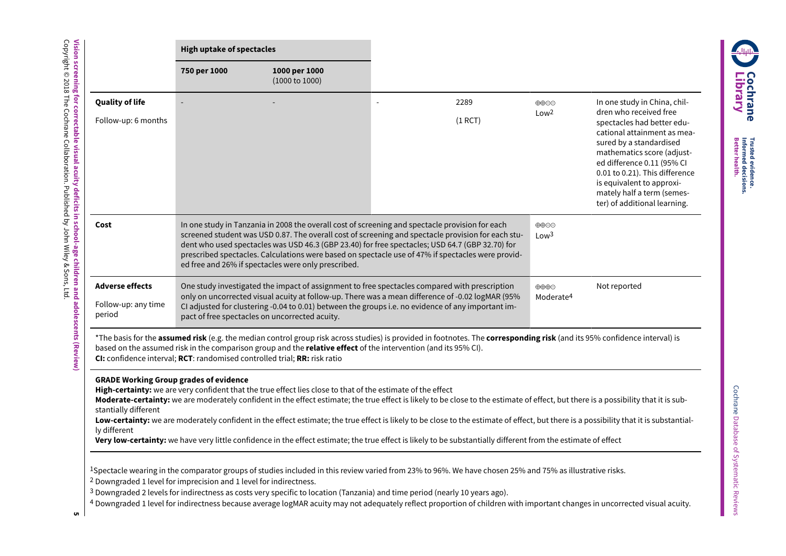|                                                                                       | <b>High uptake of spectacles</b> |                                                                                                                                                                                              |                                                                                                                                                                                                                                                                                                                                                                                                                                                                                                                                                 |                                                       |                                                                                                                                                                                                                                                                                                                                         |
|---------------------------------------------------------------------------------------|----------------------------------|----------------------------------------------------------------------------------------------------------------------------------------------------------------------------------------------|-------------------------------------------------------------------------------------------------------------------------------------------------------------------------------------------------------------------------------------------------------------------------------------------------------------------------------------------------------------------------------------------------------------------------------------------------------------------------------------------------------------------------------------------------|-------------------------------------------------------|-----------------------------------------------------------------------------------------------------------------------------------------------------------------------------------------------------------------------------------------------------------------------------------------------------------------------------------------|
|                                                                                       | 750 per 1000                     | 1000 per 1000<br>(1000 to 1000)                                                                                                                                                              |                                                                                                                                                                                                                                                                                                                                                                                                                                                                                                                                                 |                                                       |                                                                                                                                                                                                                                                                                                                                         |
| <b>Quality of life</b><br>Follow-up: 6 months                                         |                                  |                                                                                                                                                                                              | 2289<br>(1 RCT)                                                                                                                                                                                                                                                                                                                                                                                                                                                                                                                                 | $\oplus \oplus \ominus$<br>Low <sup>2</sup>           | In one study in China, chil-<br>dren who received free<br>spectacles had better edu-<br>cational attainment as mea-<br>sured by a standardised<br>mathematics score (adjust-<br>ed difference 0.11 (95% CI<br>0.01 to 0.21). This difference<br>is equivalent to approxi-<br>mately half a term (semes-<br>ter) of additional learning. |
| Cost                                                                                  |                                  | ed free and 26% if spectacles were only prescribed.                                                                                                                                          | In one study in Tanzania in 2008 the overall cost of screening and spectacle provision for each<br>screened student was USD 0.87. The overall cost of screening and spectacle provision for each stu-<br>dent who used spectacles was USD 46.3 (GBP 23.40) for free spectacles; USD 64.7 (GBP 32.70) for<br>prescribed spectacles. Calculations were based on spectacle use of 47% if spectacles were provid-                                                                                                                                   | ⊕⊕⊝⊝<br>Low <sup>3</sup>                              |                                                                                                                                                                                                                                                                                                                                         |
| <b>Adverse effects</b><br>Follow-up: any time<br>period                               |                                  | pact of free spectacles on uncorrected acuity.                                                                                                                                               | One study investigated the impact of assignment to free spectacles compared with prescription<br>only on uncorrected visual acuity at follow-up. There was a mean difference of -0.02 logMAR (95%<br>CI adjusted for clustering -0.04 to 0.01) between the groups i.e. no evidence of any important im-                                                                                                                                                                                                                                         | $\oplus \oplus \oplus \odot$<br>Moderate <sup>4</sup> | Not reported                                                                                                                                                                                                                                                                                                                            |
|                                                                                       |                                  | based on the assumed risk in the comparison group and the relative effect of the intervention (and its 95% CI).<br>CI: confidence interval; RCT: randomised controlled trial; RR: risk ratio | *The basis for the <b>assumed risk</b> (e.g. the median control group risk across studies) is provided in footnotes. The <b>corresponding risk</b> (and its 95% confidence interval) is                                                                                                                                                                                                                                                                                                                                                         |                                                       |                                                                                                                                                                                                                                                                                                                                         |
| <b>GRADE Working Group grades of evidence</b><br>stantially different<br>ly different |                                  | High-certainty: we are very confident that the true effect lies close to that of the estimate of the effect                                                                                  | Moderate-certainty: we are moderately confident in the effect estimate; the true effect is likely to be close to the estimate of effect, but there is a possibility that it is sub-<br>Low-certainty: we are moderately confident in the effect estimate; the true effect is likely to be close to the estimate of effect, but there is a possibility that it is substantial-<br>Very low-certainty: we have very little confidence in the effect estimate; the true effect is likely to be substantially different from the estimate of effect |                                                       |                                                                                                                                                                                                                                                                                                                                         |

 $^3$  Downgraded 2 levels for indirectness as costs very specific to location (Tanzania) and time period (nearly 10 years ago).

4 Downgraded 1 level for indirectness because average logMAR acuity may not adequately reflect proportion of children with important changes in uncorrected visual acuity.

**5**

Cochrane

**C o c hra n e Lib r a r y**

**Trusted Better**

**Informed**

**decisions. health.**

**evidence.**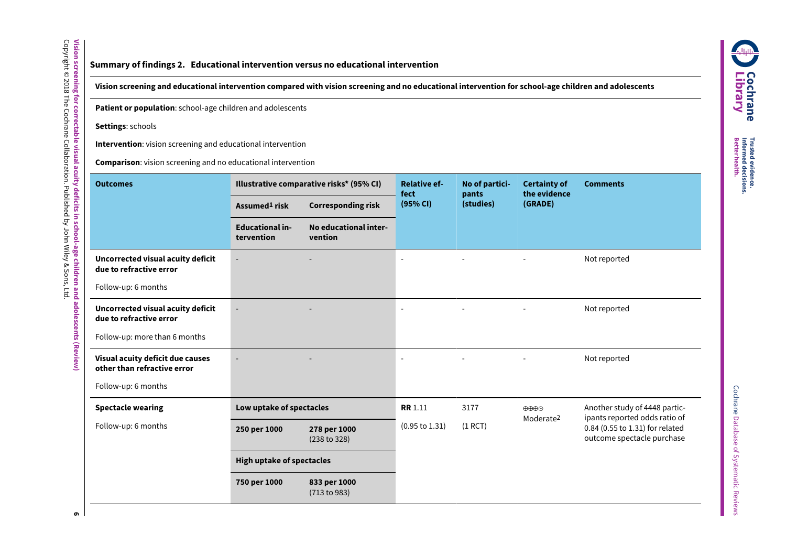## **Summary of findings 2. Educational intervention versus no educational intervention**

Vision screening and educational intervention compared with vision screening and no educational intervention for school-age children and adolescents

**Patient or population**: school-age children and adolescents

**Settings**: schools

**Intervention**: vision screening and educational intervention

**Comparison**: vision screening and no educational intervention

| <b>Outcomes</b>                                                 |                                              | Illustrative comparative risks* (95% CI) | <b>Relative ef-</b><br>fect | No of partici-<br>pants | <b>Certainty of</b><br>the evidence | <b>Comments</b>                                                                                |  |
|-----------------------------------------------------------------|----------------------------------------------|------------------------------------------|-----------------------------|-------------------------|-------------------------------------|------------------------------------------------------------------------------------------------|--|
|                                                                 | Assumed <sup>1</sup> risk                    | <b>Corresponding risk</b>                | (95% CI)                    | (studies)               | (GRADE)                             |                                                                                                |  |
|                                                                 | <b>Educational in-</b><br>tervention         | No educational inter-<br>vention         |                             |                         |                                     |                                                                                                |  |
| Uncorrected visual acuity deficit<br>due to refractive error    | $\overline{\phantom{a}}$                     |                                          | $\sim$                      |                         |                                     | Not reported                                                                                   |  |
| Follow-up: 6 months                                             |                                              |                                          |                             |                         |                                     |                                                                                                |  |
| Uncorrected visual acuity deficit<br>due to refractive error    | $\overline{\phantom{a}}$                     |                                          | ä,                          |                         |                                     | Not reported                                                                                   |  |
| Follow-up: more than 6 months                                   |                                              |                                          |                             |                         |                                     |                                                                                                |  |
| Visual acuity deficit due causes<br>other than refractive error |                                              |                                          | $\sim$                      |                         |                                     | Not reported                                                                                   |  |
| Follow-up: 6 months                                             |                                              |                                          |                             |                         |                                     |                                                                                                |  |
| <b>Spectacle wearing</b>                                        | Low uptake of spectacles                     |                                          | <b>RR</b> 1.11              | 3177                    | $\oplus \oplus \oplus$              | Another study of 4448 partic-                                                                  |  |
| Follow-up: 6 months                                             | 250 per 1000<br>278 per 1000<br>(238 to 328) |                                          | $(0.95 \text{ to } 1.31)$   | $(1$ RCT)               | Moderate <sup>2</sup>               | ipants reported odds ratio of<br>0.84 (0.55 to 1.31) for related<br>outcome spectacle purchase |  |
|                                                                 | <b>High uptake of spectacles</b>             |                                          |                             |                         |                                     |                                                                                                |  |
|                                                                 | 750 per 1000                                 | 833 per 1000<br>(713 to 983)             |                             |                         |                                     |                                                                                                |  |

**C o c hra n e Lib r a r y**

**Trusted Better**

**Informed**

**decisions. health.**

**evidence.**

<span id="page-7-0"></span>**(Review)**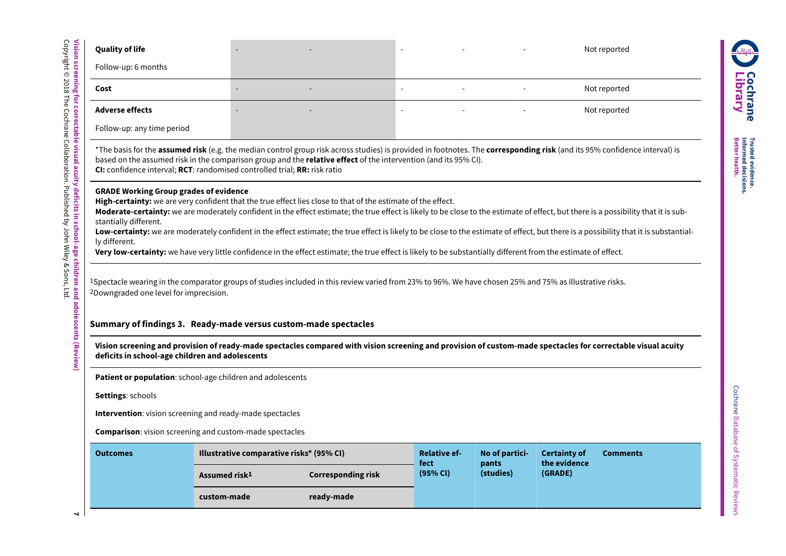| <b>Quality of life</b>                             |                                                                           |                                                                                                                                                                                                                                                                                                            |                     |                    |                         | Not reported                                                                                                                                                                           |
|----------------------------------------------------|---------------------------------------------------------------------------|------------------------------------------------------------------------------------------------------------------------------------------------------------------------------------------------------------------------------------------------------------------------------------------------------------|---------------------|--------------------|-------------------------|----------------------------------------------------------------------------------------------------------------------------------------------------------------------------------------|
| Follow-up: 6 months                                |                                                                           |                                                                                                                                                                                                                                                                                                            |                     |                    |                         |                                                                                                                                                                                        |
| Cost                                               |                                                                           |                                                                                                                                                                                                                                                                                                            |                     |                    |                         | Not reported                                                                                                                                                                           |
| <b>Adverse effects</b>                             |                                                                           |                                                                                                                                                                                                                                                                                                            |                     |                    |                         | Not reported                                                                                                                                                                           |
| Follow-up: any time period                         |                                                                           |                                                                                                                                                                                                                                                                                                            |                     |                    |                         |                                                                                                                                                                                        |
|                                                    | CI: confidence interval; RCT: randomised controlled trial; RR: risk ratio | *The basis for the assumed risk (e.g. the median control group risk across studies) is provided in footnotes. The corresponding risk (and its 95% confidence interval) is<br>based on the assumed risk in the comparison group and the relative effect of the intervention (and its 95% CI).               |                     |                    |                         |                                                                                                                                                                                        |
| stantially different.                              |                                                                           | <b>High-certainty:</b> we are very confident that the true effect lies close to that of the estimate of the effect.<br>Moderate-certainty: we are moderately confident in the effect estimate; the true effect is likely to be close to the estimate of effect, but there is a possibility that it is sub- |                     |                    |                         | Low-certainty: we are moderately confident in the effect estimate; the true effect is likely to be close to the estimate of effect, but there is a possibility that it is substantial- |
| ly different.                                      |                                                                           | Very low-certainty: we have very little confidence in the effect estimate; the true effect is likely to be substantially different from the estimate of effect.                                                                                                                                            |                     |                    |                         |                                                                                                                                                                                        |
| <sup>2</sup> Downgraded one level for imprecision. | Summary of findings 3. Ready-made versus custom-made spectacles           | 1Spectacle wearing in the comparator groups of studies included in this review varied from 23% to 96%. We have chosen 25% and 75% as illustrative risks.                                                                                                                                                   |                     |                    |                         |                                                                                                                                                                                        |
| deficits in school-age children and adolescents    |                                                                           | Vision screening and provision of ready-made spectacles compared with vision screening and provision of custom-made spectacles for correctable visual acuity                                                                                                                                               |                     |                    |                         |                                                                                                                                                                                        |
|                                                    | Patient or population: school-age children and adolescents                |                                                                                                                                                                                                                                                                                                            |                     |                    |                         |                                                                                                                                                                                        |
| <b>Settings: schools</b>                           |                                                                           |                                                                                                                                                                                                                                                                                                            |                     |                    |                         |                                                                                                                                                                                        |
|                                                    | Intervention: vision screening and ready-made spectacles                  |                                                                                                                                                                                                                                                                                                            |                     |                    |                         |                                                                                                                                                                                        |
|                                                    | <b>Comparison:</b> vision screening and custom-made spectacles            |                                                                                                                                                                                                                                                                                                            |                     |                    |                         |                                                                                                                                                                                        |
| <b>Outcomes</b>                                    | Illustrative comparative risks* (95% CI)                                  |                                                                                                                                                                                                                                                                                                            | <b>Relative ef-</b> | No of partici-     | <b>Certainty of</b>     | <b>Comments</b>                                                                                                                                                                        |
|                                                    | Assumed risk <sup>1</sup>                                                 | <b>Corresponding risk</b>                                                                                                                                                                                                                                                                                  | fect<br>(95% CI)    | pants<br>(studies) | the evidence<br>(GRADE) |                                                                                                                                                                                        |

<span id="page-8-0"></span>**7**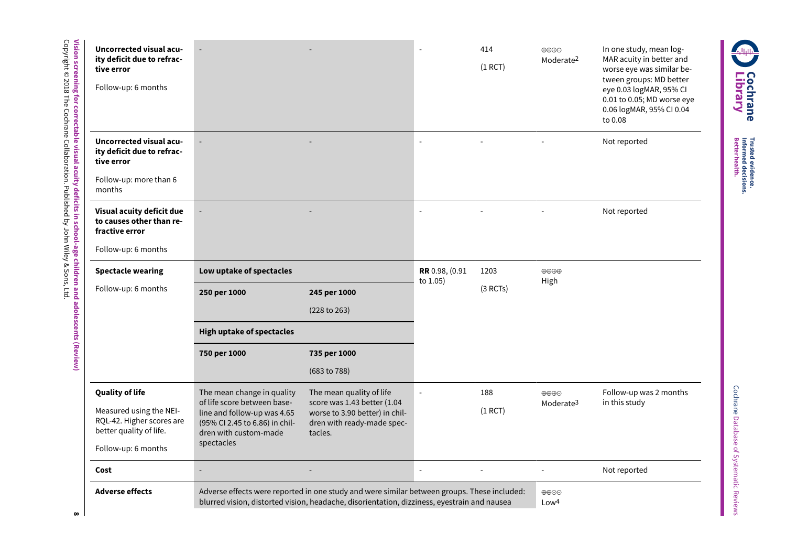| Uncorrected visual acu-<br>ity deficit due to refrac-<br>tive error<br>Follow-up: 6 months                                       |                                                                                                                                                                   |                                                                                                                                                                                            |                             | 414<br>(1 RCT) | $\oplus \oplus \oplus$<br>Moderate <sup>2</sup>       | In one study, mean log-<br>MAR acuity in better and<br>worse eye was similar be-<br>tween groups: MD better<br>eye 0.03 logMAR, 95% CI<br>0.01 to 0.05; MD worse eye<br>0.06 logMAR, 95% CI 0.04<br>to 0.08 |
|----------------------------------------------------------------------------------------------------------------------------------|-------------------------------------------------------------------------------------------------------------------------------------------------------------------|--------------------------------------------------------------------------------------------------------------------------------------------------------------------------------------------|-----------------------------|----------------|-------------------------------------------------------|-------------------------------------------------------------------------------------------------------------------------------------------------------------------------------------------------------------|
| Uncorrected visual acu-<br>ity deficit due to refrac-<br>tive error<br>Follow-up: more than 6                                    | ÷                                                                                                                                                                 |                                                                                                                                                                                            | ÷.                          |                |                                                       | Not reported                                                                                                                                                                                                |
| months<br>Visual acuity deficit due<br>to causes other than re-<br>fractive error                                                |                                                                                                                                                                   |                                                                                                                                                                                            | $\sim$                      |                |                                                       | Not reported                                                                                                                                                                                                |
| Follow-up: 6 months                                                                                                              |                                                                                                                                                                   |                                                                                                                                                                                            |                             |                |                                                       |                                                                                                                                                                                                             |
| <b>Spectacle wearing</b>                                                                                                         | Low uptake of spectacles                                                                                                                                          |                                                                                                                                                                                            | RR 0.98, (0.91<br>to $1.05$ | 1203           | $\oplus \oplus \oplus$<br>High                        |                                                                                                                                                                                                             |
| Follow-up: 6 months                                                                                                              | 250 per 1000                                                                                                                                                      | 245 per 1000                                                                                                                                                                               |                             | (3 RCTs)       |                                                       |                                                                                                                                                                                                             |
|                                                                                                                                  |                                                                                                                                                                   | (228 to 263)                                                                                                                                                                               |                             |                |                                                       |                                                                                                                                                                                                             |
|                                                                                                                                  | <b>High uptake of spectacles</b>                                                                                                                                  |                                                                                                                                                                                            |                             |                |                                                       |                                                                                                                                                                                                             |
|                                                                                                                                  | 750 per 1000                                                                                                                                                      | 735 per 1000                                                                                                                                                                               |                             |                |                                                       |                                                                                                                                                                                                             |
|                                                                                                                                  |                                                                                                                                                                   | (683 to 788)                                                                                                                                                                               |                             |                |                                                       |                                                                                                                                                                                                             |
| <b>Quality of life</b><br>Measured using the NEI-<br>RQL-42. Higher scores are<br>better quality of life.<br>Follow-up: 6 months | The mean change in quality<br>of life score between base-<br>line and follow-up was 4.65<br>(95% CI 2.45 to 6.86) in chil-<br>dren with custom-made<br>spectacles | The mean quality of life<br>score was 1.43 better (1.04<br>worse to 3.90 better) in chil-<br>dren with ready-made spec-<br>tacles.                                                         | ÷.                          | 188<br>(1 RCT) | $\oplus \oplus \oplus \odot$<br>Moderate <sup>3</sup> | Follow-up was 2 months<br>in this study                                                                                                                                                                     |
| Cost                                                                                                                             |                                                                                                                                                                   |                                                                                                                                                                                            | $\sim$                      |                |                                                       | Not reported                                                                                                                                                                                                |
| <b>Adverse effects</b>                                                                                                           |                                                                                                                                                                   | Adverse effects were reported in one study and were similar between groups. These included:<br>blurred vision, distorted vision, headache, disorientation, dizziness, eyestrain and nausea |                             |                | ⊕⊕⊝⊝<br>Low <sup>4</sup>                              |                                                                                                                                                                                                             |

**C o c hra n e Lib r a r y**

**Trusted Better**

**Informed**

**decisions. health.**

**evidence.**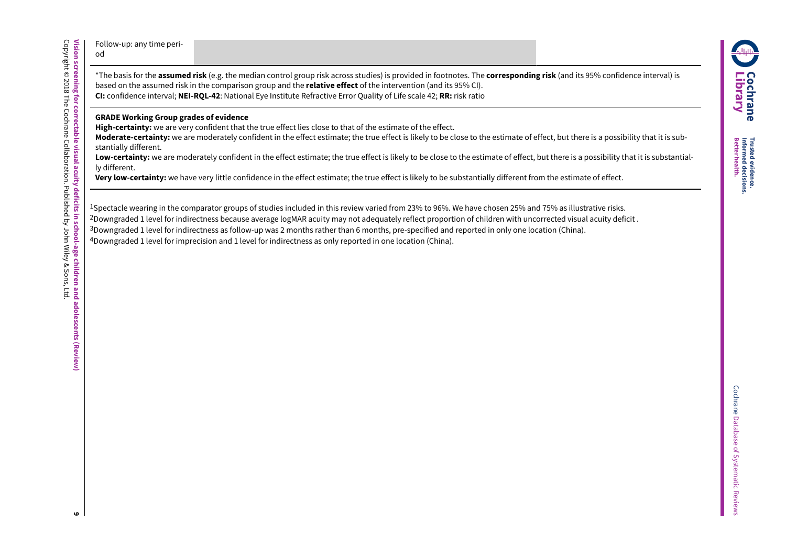

Follow-up: any time period

\*The basis for the **assumed risk** (e.g. the median control group risk across studies) is provided in footnotes. The **corresponding risk** (and its 95% confidence interval) is based on the assumed risk in the comparison group and the **relative effect** of the intervention (and its 95% CI). **CI:** confidence interval; **NEI-RQL-42**: National Eye Institute Refractive Error Quality of Life scale 42; **RR:** risk ratio

## **GRADE Working Group grades of evidence**

**High-certainty:** we are very confident that the true effect lies close to that of the estimate of the effect.

Moderate-certainty: we are moderately confident in the effect estimate; the true effect is likely to be close to the estimate of effect, but there is a possibility that it is substantially different.

Low-certainty: we are moderately confident in the effect estimate; the true effect is likely to be close to the estimate of effect, but there is a possibility that it is substantially different.

**Very low-certainty:** we have very little confidence in the effect estimate; the true effect is likely to be substantially different from the estimate of effect.

1Spectacle wearing in the comparator groups of studies included in this review varied from 23% to 96%. We have chosen 25% and 75% as illustrative risks.

2Downgraded 1 level for indirectness because average logMAR acuity may not adequately reflect proportion of children with uncorrected visual acuity deficit .

3Downgraded 1 level for indirectness as follow-up was 2 months rather than 6 months, pre-specified and reported in only one location (China).

4Downgraded 1 level for imprecision and 1 level for indirectness as only reported in one location (China).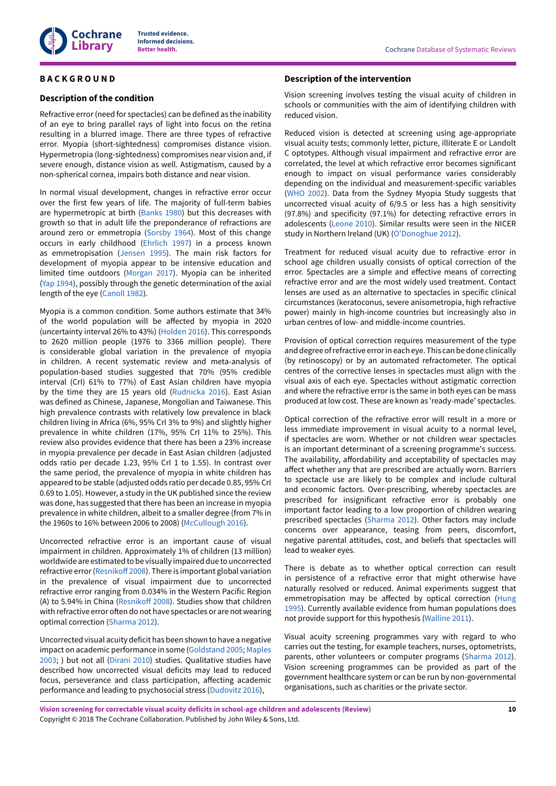

## <span id="page-11-0"></span>**B A C K G R O U N D**

## **Description of the condition**

Refractive error (need for spectacles) can be defined as the inability of an eye to bring parallel rays of light into focus on the retina resulting in a blurred image. There are three types of refractive error. Myopia (short-sightedness) compromises distance vision. Hypermetropia (long-sightedness) compromises near vision and, if severe enough, distance vision as well. Astigmatism, caused by a non-spherical cornea, impairs both distance and near vision.

In normal visual development, changes in refractive error occur over the first few years of life. The majority of full-term babies are hypermetropic at birth ([Banks 1980\)](#page-28-0) but this decreases with growth so that in adult life the preponderance of refractions are around zero or emmetropia [\(Sorsby](#page-29-0) 1964). Most of this change occurs in early childhood [\(Ehrlich 1997](#page-28-1)) in a process known as emmetropisation ([Jensen 1995](#page-28-2)). The main risk factors for development of myopia appear to be intensive education and limited time outdoors [\(Morgan](#page-29-1) 2017). Myopia can be inherited (Yap [1994](#page-30-1)), possibly through the genetic determination of the axial length of the eye ([Canoll 1982](#page-28-3)).

Myopia is a common condition. Some authors estimate that 34% of the world population will be affected by myopia in 2020 (uncertainty interval 26% to 43%) [\(Holden 2016](#page-28-4)). This corresponds to 2620 million people (1976 to 3366 million people). There is considerable global variation in the prevalence of myopia in children. A recent systematic review and meta-analysis of population-based studies suggested that 70% (95% credible interval (CrI) 61% to 77%) of East Asian children have myopia by the time they are 15 years old ([Rudnicka](#page-29-2) 2016). East Asian was defined as Chinese, Japanese, Mongolian and Taiwanese. This high prevalence contrasts with relatively low prevalence in black children living in Africa (6%, 95% CrI 3% to 9%) and slightly higher prevalence in white children (17%, 95% CrI 11% to 25%). This review also provides evidence that there has been a 23% increase in myopia prevalence per decade in East Asian children (adjusted odds ratio per decade 1.23, 95% CrI 1 to 1.55). In contrast over the same period, the prevalence of myopia in white children has appeared to be stable (adjusted odds ratio per decade 0.85, 95% CrI 0.69 to 1.05). However, a study in the UK published since the review was done, has suggested that there has been an increase in myopia prevalence in white children, albeit to a smaller degree (from 7% in the 1960s to 16% between 2006 to 2008) ([McCullough](#page-29-3) 2016).

Uncorrected refractive error is an important cause of visual impairment in children. Approximately 1% of children (13 million) worldwide are estimated to be visually impaired due to uncorrected refractive error (Resnikoff 2008). There is important global variation in the prevalence of visual impairment due to uncorrected refractive error ranging from 0.034% in the Western Pacific Region (A) to 5.94% in China (Resnikoff 2008). Studies show that children with refractive error often do not have spectacles or are not wearing optimal correction ([Sharma 2012\)](#page-29-5).

Uncorrected visual acuity deficit has been shown to have a negative impact on academic performance in some [\(Goldstand](#page-28-5) 2005; [Maples](#page-29-6) [2003](#page-29-6); ) but not all [\(Dirani](#page-28-6) 2010) studies. Qualitative studies have described how uncorrected visual deficits may lead to reduced focus, perseverance and class participation, affecting academic performance and leading to psychosocial stress ([Dudovitz](#page-28-7) 2016),

#### **Description of the intervention**

Vision screening involves testing the visual acuity of children in schools or communities with the aim of identifying children with reduced vision.

Reduced vision is detected at screening using age-appropriate visual acuity tests; commonly letter, picture, illiterate E or Landolt C optotypes. Although visual impairment and refractive error are correlated, the level at which refractive error becomes significant enough to impact on visual performance varies considerably depending on the individual and measurement-specific variables [\(WHO 2002\)](#page-30-2). Data from the Sydney Myopia Study suggests that uncorrected visual acuity of 6/9.5 or less has a high sensitivity (97.8%) and specificity (97.1%) for detecting refractive errors in adolescents [\(Leone](#page-28-8) 2010). Similar results were seen in the NICER study in Northern Ireland (UK) ([O'Donoghue 2012\)](#page-29-7).

Treatment for reduced visual acuity due to refractive error in school age children usually consists of optical correction of the error. Spectacles are a simple and effective means of correcting refractive error and are the most widely used treatment. Contact lenses are used as an alternative to spectacles in specific clinical circumstances (keratoconus, severe anisometropia, high refractive power) mainly in high-income countries but increasingly also in urban centres of low- and middle-income countries.

Provision of optical correction requires measurement of the type and degree of refractive error in each eye. This can be done clinically (by retinoscopy) or by an automated refractometer. The optical centres of the corrective lenses in spectacles must align with the visual axis of each eye. Spectacles without astigmatic correction and where the refractive error is the same in both eyes can be mass produced at low cost. These are known as 'ready-made' spectacles.

Optical correction of the refractive error will result in a more or less immediate improvement in visual acuity to a normal level, if spectacles are worn. Whether or not children wear spectacles is an important determinant of a screening programme's success. The availability, affordability and acceptability of spectacles may affect whether any that are prescribed are actually worn. Barriers to spectacle use are likely to be complex and include cultural and economic factors. Over-prescribing, whereby spectacles are prescribed for insignificant refractive error is probably one important factor leading to a low proportion of children wearing prescribed spectacles [\(Sharma 2012\)](#page-29-5). Other factors may include concerns over appearance, teasing from peers, discomfort, negative parental attitudes, cost, and beliefs that spectacles will lead to weaker eyes.

There is debate as to whether optical correction can result in persistence of a refractive error that might otherwise have naturally resolved or reduced. Animal experiments suggest that emmetropisation may be affected by optical correction ([Hung](#page-28-9) [1995\)](#page-28-9). Currently available evidence from human populations does not provide support for this hypothesis ([Walline](#page-29-8) 2011).

Visual acuity screening programmes vary with regard to who carries out the testing, for example teachers, nurses, optometrists, parents, other volunteers or computer programs [\(Sharma 2012\)](#page-29-5). Vision screening programmes can be provided as part of the government healthcare system or can be run by non-governmental organisations, such as charities or the private sector.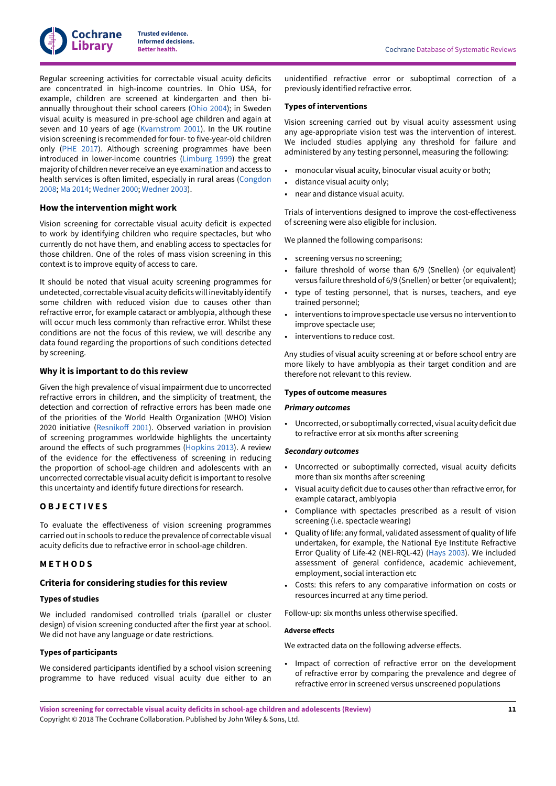

Regular screening activities for correctable visual acuity deficits are concentrated in high-income countries. In Ohio USA, for example, children are screened at kindergarten and then biannually throughout their school careers [\(Ohio 2004\)](#page-29-9); in Sweden visual acuity is measured in pre-school age children and again at seven and 10 years of age [\(Kvarnstrom](#page-28-10) 2001). In the UK routine vision screening is recommended for four- to five-year-old children only ([PHE 2017](#page-29-10)). Although screening programmes have been introduced in lower-income countries [\(Limburg](#page-29-11) 1999) the great majority of children neverreceive an eye examination and access to health services is often limited, especially in rural areas [\(Congdon](#page-28-11) [2008](#page-28-11); [Ma 2014](#page-29-12); [Wedner 2000;](#page-30-3) [Wedner 2003\)](#page-30-4).

## **How the intervention might work**

Vision screening for correctable visual acuity deficit is expected to work by identifying children who require spectacles, but who currently do not have them, and enabling access to spectacles for those children. One of the roles of mass vision screening in this context is to improve equity of access to care.

It should be noted that visual acuity screening programmes for undetected, correctable visual acuity deficits will inevitably identify some children with reduced vision due to causes other than refractive error, for example cataract or amblyopia, although these will occur much less commonly than refractive error. Whilst these conditions are not the focus of this review, we will describe any data found regarding the proportions of such conditions detected by screening.

#### **Why it is important to do this review**

Given the high prevalence of visual impairment due to uncorrected refractive errors in children, and the simplicity of treatment, the detection and correction of refractive errors has been made one of the priorities of the World Health Organization (WHO) Vision 2020 initiative (Resnikoff 2001). Observed variation in provision of screening programmes worldwide highlights the uncertainty around the effects of such programmes ([Hopkins 2013](#page-28-12)). A review of the evidence for the effectiveness of screening in reducing the proportion of school-age children and adolescents with an uncorrected correctable visual acuity deficit is important to resolve this uncertainty and identify future directions for research.

## <span id="page-12-0"></span>**O B J E C T I V E S**

To evaluate the effectiveness of vision screening programmes carried outin schools to reduce the prevalence of correctable visual acuity deficits due to refractive error in school-age children.

## <span id="page-12-1"></span>**M E T H O D S**

#### **Criteria for considering studies for this review**

#### **Types of studies**

We included randomised controlled trials (parallel or cluster design) of vision screening conducted after the first year at school. We did not have any language or date restrictions.

## **Types of participants**

We considered participants identified by a school vision screening programme to have reduced visual acuity due either to an unidentified refractive error or suboptimal correction of a previously identified refractive error.

#### **Types of interventions**

Vision screening carried out by visual acuity assessment using any age-appropriate vision test was the intervention of interest. We included studies applying any threshold for failure and administered by any testing personnel, measuring the following:

- monocular visual acuity, binocular visual acuity or both;
- distance visual acuity only;
- near and distance visual acuity.

Trials of interventions designed to improve the cost-eHectiveness of screening were also eligible for inclusion.

We planned the following comparisons:

- screening versus no screening;
- failure threshold of worse than 6/9 (Snellen) (or equivalent) versus failure threshold of 6/9 (Snellen) or better(or equivalent);
- type of testing personnel, that is nurses, teachers, and eye trained personnel;
- interventions to improve spectacle use versus no intervention to improve spectacle use;
- interventions to reduce cost.

Any studies of visual acuity screening at or before school entry are more likely to have amblyopia as their target condition and are therefore not relevant to this review.

## **Types of outcome measures**

#### *Primary outcomes*

• Uncorrected, or suboptimally corrected, visual acuity deficit due to refractive error at six months after screening

#### *Secondary outcomes*

- Uncorrected or suboptimally corrected, visual acuity deficits more than six months after screening
- Visual acuity deficit due to causes other than refractive error, for example cataract, amblyopia
- Compliance with spectacles prescribed as a result of vision screening (i.e. spectacle wearing)
- Quality of life: any formal, validated assessment of quality of life undertaken, for example, the National Eye Institute Refractive Error Quality of Life-42 (NEI-RQL-42) [\(Hays 2003](#page-28-13)). We included assessment of general confidence, academic achievement, employment, social interaction etc
- Costs: this refers to any comparative information on costs or resources incurred at any time period.

Follow-up: six months unless otherwise specified.

#### **Adverse** effects

We extracted data on the following adverse effects.

• Impact of correction of refractive error on the development of refractive error by comparing the prevalence and degree of refractive error in screened versus unscreened populations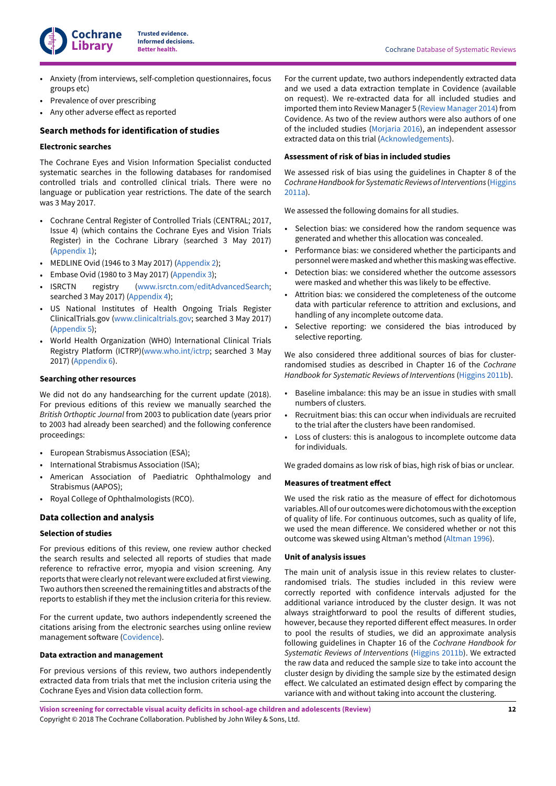

- Anxiety (from interviews, self-completion questionnaires, focus groups etc)
- Prevalence of over prescribing
- Any other adverse effect as reported

## **Search methods for identification of studies**

#### **Electronic searches**

The Cochrane Eyes and Vision Information Specialist conducted systematic searches in the following databases for randomised controlled trials and controlled clinical trials. There were no language or publication year restrictions. The date of the search was 3 May 2017.

- Cochrane Central Register of Controlled Trials (CENTRAL; 2017, Issue 4) (which contains the Cochrane Eyes and Vision Trials Register) in the Cochrane Library (searched 3 May 2017) ([Appendix 1](#page-52-1));
- MEDLINE Ovid (1946 to 3 May 2017) [\(Appendix 2](#page-52-2));
- Embase Ovid (1980 to 3 May 2017) [\(Appendix 3\)](#page-53-0);
- ISRCTN registry [\(www.isrctn.com/editAdvancedSearch](http://www.isrctn.com/editAdvancedSearch); searched 3 May 2017) [\(Appendix 4](#page-54-2));
- US National Institutes of Health Ongoing Trials Register ClinicalTrials.gov [\(www.clinicaltrials.gov;](http://www.clinicaltrials.gov) searched 3 May 2017) ([Appendix 5](#page-54-3));
- World Health Organization (WHO) International Clinical Trials Registry Platform (ICTRP)[\(www.who.int/ictrp;](http://www.who.int/ictrp) searched 3 May 2017) [\(Appendix 6\)](#page-54-4).

#### **Searching other resources**

We did not do any handsearching for the current update (2018). For previous editions of this review we manually searched the *British Orthoptic Journal* from 2003 to publication date (years prior to 2003 had already been searched) and the following conference proceedings:

- European Strabismus Association (ESA);
- International Strabismus Association (ISA);
- American Association of Paediatric Ophthalmology and Strabismus (AAPOS);
- Royal College of Ophthalmologists (RCO).

## **Data collection and analysis**

#### **Selection of studies**

For previous editions of this review, one review author checked the search results and selected all reports of studies that made reference to refractive error, myopia and vision screening. Any reports that were clearly not relevant were excluded at first viewing. Two authors then screened the remaining titles and abstracts ofthe reports to establish if they met the inclusion criteria for this review.

For the current update, two authors independently screened the citations arising from the electronic searches using online review management software [\(Covidence\)](#page-28-14).

#### **Data extraction and management**

For previous versions of this review, two authors independently extracted data from trials that met the inclusion criteria using the Cochrane Eyes and Vision data collection form.

For the current update, two authors independently extracted data and we used a data extraction template in Covidence (available on request). We re-extracted data for all included studies and imported them into Review Manager 5 (Review [Manager](#page-29-14) 2014) from Covidence. As two of the review authors were also authors of one of the included studies ([Morjaria 2016\)](#page-27-1), an independent assessor extracted data on this trial [\(Acknowledgements](#page-26-1)).

## <span id="page-13-0"></span>**Assessment of risk of bias in included studies**

We assessed risk of bias using the guidelines in Chapter 8 of the *CochraneHandbook for SystematicReviews ofInterventions* ([Higgins](#page-28-15) [2011a](#page-28-15)).

We assessed the following domains for all studies.

- Selection bias: we considered how the random sequence was generated and whether this allocation was concealed.
- Performance bias: we considered whether the participants and personnel were masked and whether this masking was effective.
- Detection bias: we considered whether the outcome assessors were masked and whether this was likely to be effective.
- Attrition bias: we considered the completeness of the outcome data with particular reference to attrition and exclusions, and handling of any incomplete outcome data.
- Selective reporting: we considered the bias introduced by selective reporting.

We also considered three additional sources of bias for clusterrandomised studies as described in Chapter 16 of the *Cochrane Handbook for Systematic Reviews of Interventions* ([Higgins 2011b](#page-28-16)).

- Baseline imbalance: this may be an issue in studies with small numbers of clusters.
- Recruitment bias: this can occur when individuals are recruited to the trial after the clusters have been randomised.
- Loss of clusters: this is analogous to incomplete outcome data for individuals.

We graded domains as low risk of bias, high risk of bias or unclear.

#### **Measures** of treatment effect

We used the risk ratio as the measure of effect for dichotomous variables. All of our outcomesweredichotomouswith the exception of quality of life. For continuous outcomes, such as quality of life, we used the mean difference. We considered whether or not this outcome was skewed using Altman's method ([Altman 1996\)](#page-28-17).

#### **Unit of analysis issues**

The main unit of analysis issue in this review relates to clusterrandomised trials. The studies included in this review were correctly reported with confidence intervals adjusted for the additional variance introduced by the cluster design. It was not always straightforward to pool the results of different studies, however, because they reported different effect measures. In order to pool the results of studies, we did an approximate analysis following guidelines in Chapter 16 of the *Cochrane Handbook for Systematic Reviews of Interventions* ([Higgins 2011b](#page-28-16)). We extracted the raw data and reduced the sample size to take into account the cluster design by dividing the sample size by the estimated design effect. We calculated an estimated design effect by comparing the variance with and without taking into account the clustering.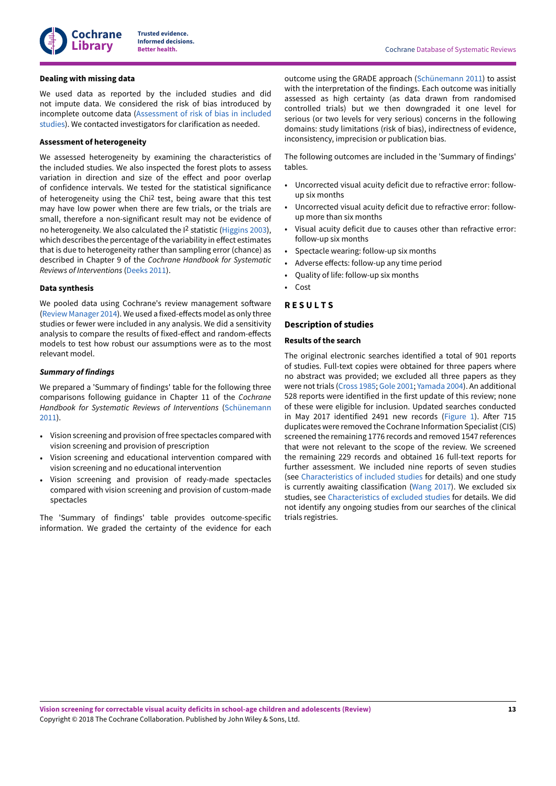

#### **Dealing with missing data**

We used data as reported by the included studies and did not impute data. We considered the risk of bias introduced by incomplete outcome data ([Assessment](#page-13-0) of risk of bias in included [studies](#page-13-0)). We contacted investigators for clarification as needed.

#### **Assessment of heterogeneity**

We assessed heterogeneity by examining the characteristics of the included studies. We also inspected the forest plots to assess variation in direction and size of the effect and poor overlap of confidence intervals. We tested for the statistical significance of heterogeneity using the Chi<sup>2</sup> test, being aware that this test may have low power when there are few trials, or the trials are small, therefore a non-significant result may not be evidence of no heterogeneity. We also calculated the I 2 statistic ([Higgins 2003\)](#page-28-18), which describes the percentage of the variability in effect estimates that is due to heterogeneity rather than sampling error (chance) as described in Chapter 9 of the *Cochrane Handbook for Systematic Reviews of Interventions* [\(Deeks 2011\)](#page-28-19).

#### **Data synthesis**

We pooled data using Cochrane's review management software (Review [Manager](#page-29-14) 2014). We used a fixed-effects model as only three studies or fewer were included in any analysis. We did a sensitivity analysis to compare the results of fixed-effect and random-effects models to test how robust our assumptions were as to the most relevant model.

### *Summary of findings*

We prepared a 'Summary of findings' table for the following three comparisons following guidance in Chapter 11 of the *Cochrane Handbook for Systematic Reviews of Interventions* ([Schünemann](#page-29-15) [2011](#page-29-15)).

- Vision screening and provision of free spectacles compared with vision screening and provision of prescription
- Vision screening and educational intervention compared with vision screening and no educational intervention
- Vision screening and provision of ready-made spectacles compared with vision screening and provision of custom-made spectacles

The 'Summary of findings' table provides outcome-specific information. We graded the certainty of the evidence for each

outcome using the GRADE approach ([Schünemann 2011\)](#page-29-15) to assist with the interpretation of the findings. Each outcome was initially assessed as high certainty (as data drawn from randomised controlled trials) but we then downgraded it one level for serious (or two levels for very serious) concerns in the following domains: study limitations (risk of bias), indirectness of evidence, inconsistency, imprecision or publication bias.

The following outcomes are included in the 'Summary of findings' tables.

- Uncorrected visual acuity deficit due to refractive error: followup six months
- Uncorrected visual acuity deficit due to refractive error: followup more than six months
- Visual acuity deficit due to causes other than refractive error: follow-up six months
- Spectacle wearing: follow-up six months
- Adverse effects: follow-up any time period
- Quality of life: follow-up six months
- Cost

#### <span id="page-14-0"></span>**R E S U L T S**

#### **Description of studies**

## **Results of the search**

The original electronic searches identified a total of 901 reports of studies. Full-text copies were obtained for three papers where no abstract was provided; we excluded all three papers as they were not trials [\(Cross](#page-27-2) 1985; [Gole 2001](#page-27-3); [Yamada](#page-27-4) 2004). An additional 528 reports were identified in the first update of this review; none of these were eligible for inclusion. Updated searches conducted in May 2017 identified 2491 new records ([Figure](#page-15-0) 1). After 715 duplicates were removed the Cochrane Information Specialist(CIS) screened the remaining 1776 records and removed 1547 references that were not relevant to the scope of the review. We screened the remaining 229 records and obtained 16 full-text reports for further assessment. We included nine reports of seven studies (see [Characteristics](#page-30-5) of included studies for details) and one study is currently awaiting classification [\(Wang](#page-27-5) 2017). We excluded six studies, see [Characteristics](#page-50-0) of excluded studies for details. We did not identify any ongoing studies from our searches of the clinical trials registries.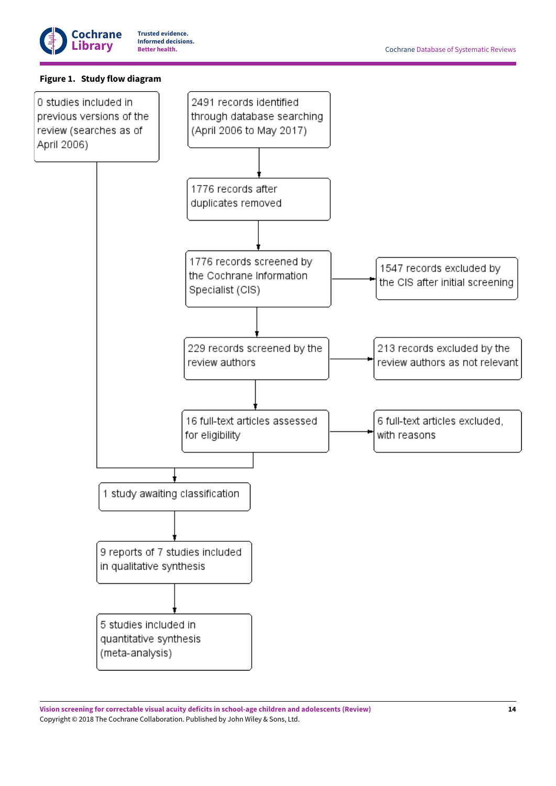

## <span id="page-15-0"></span>**Figure 1. Study flow diagram**

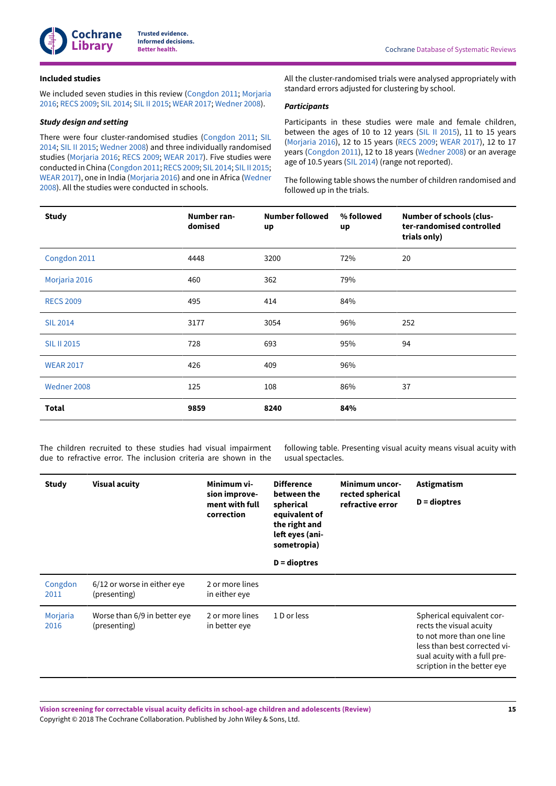#### **Included studies**

We included seven studies in this review ([Congdon](#page-27-6) 2011; [Morjaria](#page-27-1) [2016](#page-27-1); [RECS](#page-27-7) 2009; [SIL 2014](#page-27-8); [SIL II 2015;](#page-27-9) [WEAR 2017](#page-27-10); [Wedner 2008](#page-27-11)).

#### *Study design and setting*

There were four cluster-randomised studies ([Congdon](#page-27-6) 2011; [SIL](#page-27-8) [2014](#page-27-8); [SIL II 2015;](#page-27-9) [Wedner 2008](#page-27-11)) and three individually randomised studies ([Morjaria 2016](#page-27-1); [RECS](#page-27-7) 2009; [WEAR 2017\)](#page-27-10). Five studies were conducted in China [\(Congdon](#page-27-6) 2011; [RECS](#page-27-7) 2009; [SIL 2014;](#page-27-8) [SIL II 2015](#page-27-9); [WEAR 2017](#page-27-10)), one in India [\(Morjaria 2016](#page-27-1)) and one in Africa ([Wedner](#page-27-11) [2008](#page-27-11)). All the studies were conducted in schools.

All the cluster-randomised trials were analysed appropriately with standard errors adjusted for clustering by school.

## *Participants*

Participants in these studies were male and female children, between the ages of 10 to 12 years ([SIL II 2015](#page-27-9)), 11 to 15 years [\(Morjaria 2016](#page-27-1)), 12 to 15 years [\(RECS](#page-27-7) 2009; [WEAR 2017\)](#page-27-10), 12 to 17 years [\(Congdon](#page-27-6) 2011), 12 to 18 years ([Wedner 2008\)](#page-27-11) or an average age of 10.5 years [\(SIL 2014](#page-27-8)) (range not reported).

The following table shows the number of children randomised and followed up in the trials.

| <b>Study</b>       | Number ran-<br>domised | <b>Number followed</b><br>up | % followed<br>up | <b>Number of schools (clus-</b><br>ter-randomised controlled<br>trials only) |
|--------------------|------------------------|------------------------------|------------------|------------------------------------------------------------------------------|
| Congdon 2011       | 4448                   | 3200                         | 72%              | 20                                                                           |
| Morjaria 2016      | 460                    | 362                          | 79%              |                                                                              |
| <b>RECS 2009</b>   | 495                    | 414                          | 84%              |                                                                              |
| <b>SIL 2014</b>    | 3177                   | 3054                         | 96%              | 252                                                                          |
| <b>SIL II 2015</b> | 728                    | 693                          | 95%              | 94                                                                           |
| <b>WEAR 2017</b>   | 426                    | 409                          | 96%              |                                                                              |
| Wedner 2008        | 125                    | 108                          | 86%              | 37                                                                           |
| <b>Total</b>       | 9859                   | 8240                         | 84%              |                                                                              |

The children recruited to these studies had visual impairment due to refractive error. The inclusion criteria are shown in the

following table. Presenting visual acuity means visual acuity with usual spectacles.

| <b>Study</b>     | Visual acuity                                | Minimum vi-<br>sion improve-<br>ment with full<br>correction | <b>Difference</b><br>between the<br>spherical<br>equivalent of<br>the right and<br>left eyes (ani-<br>sometropia)<br>$D =$ dioptres | Minimum uncor-<br>rected spherical<br>refractive error | Astigmatism<br>$D =$ dioptres                                                                                                                                                    |
|------------------|----------------------------------------------|--------------------------------------------------------------|-------------------------------------------------------------------------------------------------------------------------------------|--------------------------------------------------------|----------------------------------------------------------------------------------------------------------------------------------------------------------------------------------|
| Congdon<br>2011  | 6/12 or worse in either eye<br>(presenting)  | 2 or more lines<br>in either eye                             |                                                                                                                                     |                                                        |                                                                                                                                                                                  |
| Morjaria<br>2016 | Worse than 6/9 in better eye<br>(presenting) | 2 or more lines<br>in better eye                             | 1 D or less                                                                                                                         |                                                        | Spherical equivalent cor-<br>rects the visual acuity<br>to not more than one line<br>less than best corrected vi-<br>sual acuity with a full pre-<br>scription in the better eye |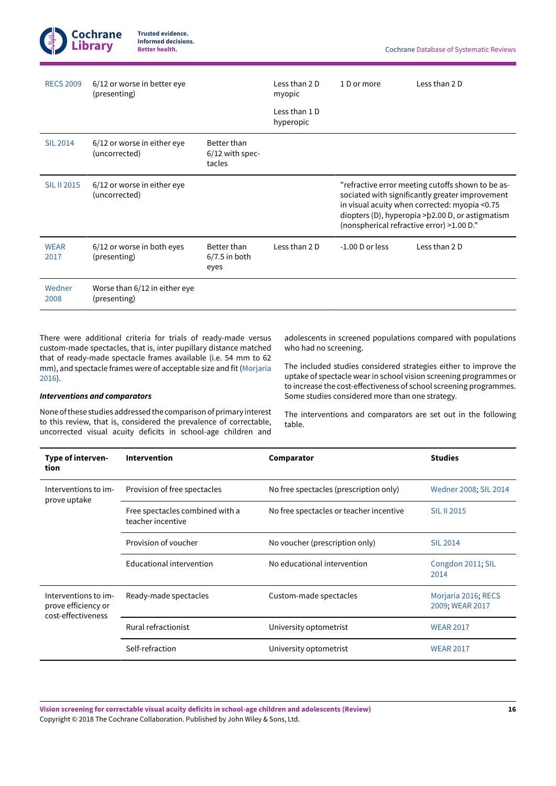| <b>RECS 2009</b>    | 6/12 or worse in better eye<br>(presenting)   |                                            | Less than 2 D<br>myopic    | 1 D or more                               | Less than 2 D                                                                                                                                                                                              |
|---------------------|-----------------------------------------------|--------------------------------------------|----------------------------|-------------------------------------------|------------------------------------------------------------------------------------------------------------------------------------------------------------------------------------------------------------|
|                     |                                               |                                            | Less than 1 D<br>hyperopic |                                           |                                                                                                                                                                                                            |
| <b>SIL 2014</b>     | 6/12 or worse in either eye<br>(uncorrected)  | Better than<br>$6/12$ with spec-<br>tacles |                            |                                           |                                                                                                                                                                                                            |
| <b>SIL II 2015</b>  | 6/12 or worse in either eye<br>(uncorrected)  |                                            |                            | (nonspherical refractive error) >1.00 D." | "refractive error meeting cutoffs shown to be as-<br>sociated with significantly greater improvement<br>in visual acuity when corrected: myopia <0.75<br>diopters (D), hyperopia > b2.00 D, or astigmatism |
| <b>WEAR</b><br>2017 | 6/12 or worse in both eyes<br>(presenting)    | Better than<br>$6/7.5$ in both<br>eyes     | Less than 2 D              | $-1.00$ D or less                         | Less than 2 D                                                                                                                                                                                              |
| Wedner<br>2008      | Worse than 6/12 in either eye<br>(presenting) |                                            |                            |                                           |                                                                                                                                                                                                            |

There were additional criteria for trials of ready-made versus custom-made spectacles, that is, inter pupillary distance matched that of ready-made spectacle frames available (i.e. 54 mm to 62 mm), and spectacle frames were of acceptable size and fit [\(Morjaria](#page-27-1) [2016](#page-27-1)).

#### *Interventions and comparators*

None of these studies addressed the comparison of primary interest to this review, that is, considered the prevalence of correctable, uncorrected visual acuity deficits in school-age children and adolescents in screened populations compared with populations who had no screening.

The included studies considered strategies either to improve the uptake of spectacle wear in school vision screening programmes or to increase the cost-effectiveness of school screening programmes. Some studies considered more than one strategy.

The interventions and comparators are set out in the following table.

| Type of interven-<br>tion                                         | Intervention                                         | Comparator                              | <b>Studies</b>                         |
|-------------------------------------------------------------------|------------------------------------------------------|-----------------------------------------|----------------------------------------|
| Interventions to im-<br>prove uptake                              | Provision of free spectacles                         | No free spectacles (prescription only)  | Wedner 2008; SIL 2014                  |
|                                                                   | Free spectacles combined with a<br>teacher incentive | No free spectacles or teacher incentive | SIL II 2015                            |
|                                                                   | Provision of voucher                                 | No voucher (prescription only)          | <b>SIL 2014</b>                        |
|                                                                   | Educational intervention                             | No educational intervention             | Congdon 2011; SIL<br>2014              |
| Interventions to im-<br>prove efficiency or<br>cost-effectiveness | Ready-made spectacles                                | Custom-made spectacles                  | Morjaria 2016; RECS<br>2009; WEAR 2017 |
|                                                                   | Rural refractionist                                  | University optometrist                  | <b>WEAR 2017</b>                       |
|                                                                   | Self-refraction                                      | University optometrist                  | <b>WEAR 2017</b>                       |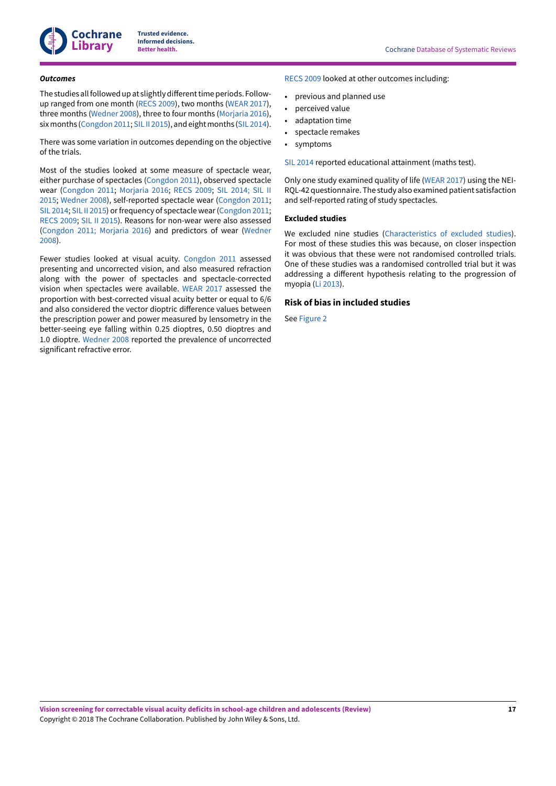

#### *Outcomes*

The studies all followed up at slightly different time periods. Followup ranged from one month [\(RECS](#page-27-7) 2009), two months [\(WEAR 2017\)](#page-27-10), three months ([Wedner 2008](#page-27-11)), three to four months ([Morjaria 2016\)](#page-27-1), six months (Congdon 2011; [SIL II 2015\)](#page-27-9), and eight months ([SIL 2014\)](#page-27-8).

There was some variation in outcomes depending on the objective of the trials.

Most of the studies looked at some measure of spectacle wear, either purchase of spectacles ([Congdon](#page-27-6) 2011), observed spectacle wear [\(Congdon](#page-27-6) 2011; [Morjaria 2016](#page-27-1); [RECS](#page-27-7) 2009; [SIL 2014;](#page-27-8) [SIL II](#page-27-9) [2015](#page-27-9); [Wedner 2008](#page-27-11)), self-reported spectacle wear ([Congdon](#page-27-6) 2011; [SIL 2014](#page-27-8); [SIL II 2015\)](#page-27-9) or frequency of spectacle wear ([Congdon](#page-27-6) 2011; [RECS](#page-27-7) 2009; [SIL II 2015](#page-27-9)). Reasons for non-wear were also assessed [\(Congdon](#page-27-6) 2011; [Morjaria 2016](#page-27-1)) and predictors of wear ([Wedner](#page-27-11) [2008](#page-27-11)).

Fewer studies looked at visual acuity. [Congdon](#page-27-6) 2011 assessed presenting and uncorrected vision, and also measured refraction along with the power of spectacles and spectacle-corrected vision when spectacles were available. [WEAR 2017](#page-27-10) assessed the proportion with best-corrected visual acuity better or equal to 6/6 and also considered the vector dioptric difference values between the prescription power and power measured by lensometry in the better-seeing eye falling within 0.25 dioptres, 0.50 dioptres and 1.0 dioptre. [Wedner 2008](#page-27-11) reported the prevalence of uncorrected significant refractive error.

## [RECS](#page-27-7) 2009 looked at other outcomes including:

- previous and planned use
- perceived value
- adaptation time
- spectacle remakes
- symptoms

[SIL 2014](#page-27-8) reported educational attainment (maths test).

Only one study examined quality of life ([WEAR 2017](#page-27-10)) using the NEI-RQL-42 questionnaire. The study also examined patient satisfaction and self-reported rating of study spectacles.

#### **Excluded studies**

We excluded nine studies [\(Characteristics](#page-50-0) of excluded studies). For most of these studies this was because, on closer inspection it was obvious that these were not randomised controlled trials. One of these studies was a randomised controlled trial but it was addressing a different hypothesis relating to the progression of myopia ([Li 2013\)](#page-27-12).

### **Risk of bias in included studies**

See [Figure](#page-19-0) 2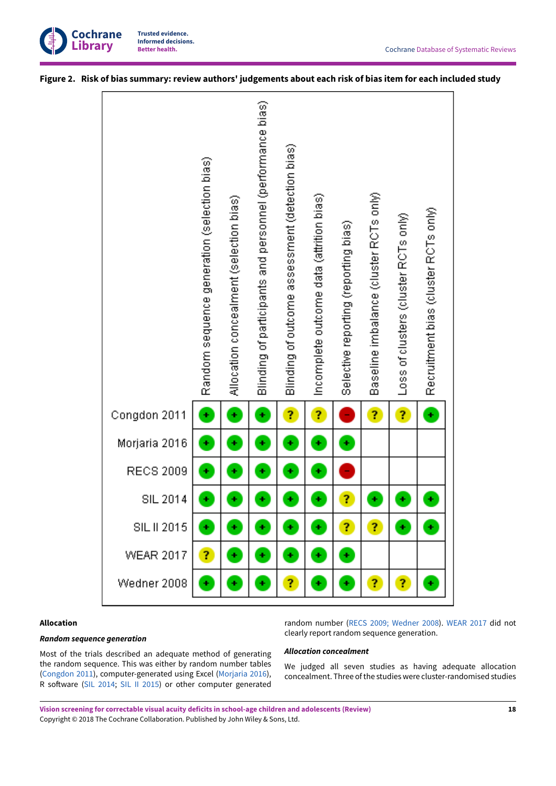

|                  | Random sequence generation (selection bias) | Allocation concealment (selection bias) | Blinding of participants and personnel (performance bias) | Blinding of outcome assessment (detection bias) | Incomplete outcome data (attrition bias) | Selective reporting (reporting bias) | Baseline imbalance (cluster RCTs only) | Loss of clusters (cluster RCTs only) | Recruitment bias (cluster RCTs only) |
|------------------|---------------------------------------------|-----------------------------------------|-----------------------------------------------------------|-------------------------------------------------|------------------------------------------|--------------------------------------|----------------------------------------|--------------------------------------|--------------------------------------|
| Congdon 2011     | ÷                                           | ÷                                       | ÷                                                         | Ĩ,                                              | ?                                        |                                      | ?                                      | ?                                    | ÷                                    |
| Morjaria 2016    | ÷                                           | ÷                                       | ÷                                                         | ÷                                               | ÷                                        | ÷                                    |                                        |                                      |                                      |
| <b>RECS 2009</b> | ٠                                           | ÷                                       | ÷                                                         | ÷                                               | ÷                                        |                                      |                                        |                                      |                                      |
| SIL 2014         | ÷                                           | ÷                                       | ÷                                                         | ÷                                               | ÷                                        | Ĩ,                                   | ÷                                      | ÷                                    | ÷                                    |
| SIL II 2015      | ÷                                           |                                         |                                                           |                                                 | ÷                                        | 7                                    | 7                                      | $\bullet$                            |                                      |
| <b>WEAR 2017</b> | ?                                           | $\color{red}+$                          | ÷                                                         | ÷                                               | $\color{red}+$                           | ٠                                    |                                        |                                      |                                      |
| Wedner 2008      |                                             | $\color{red}+$                          | ÷                                                         | Ŧ.                                              | $\color{red}+$                           | ÷                                    | ?                                      | 7                                    | ٠                                    |

## <span id="page-19-0"></span>Figure 2. Risk of bias summary: review authors' judgements about each risk of bias item for each included study

## **Allocation**

## *Random sequence generation*

Most of the trials described an adequate method of generating the random sequence. This was either by random number tables [\(Congdon](#page-27-6) 2011), computer-generated using Excel [\(Morjaria 2016\)](#page-27-1), R software [\(SIL 2014](#page-27-8); [SIL II 2015](#page-27-9)) or other computer generated

random number (RECS [2009;](#page-27-7) [Wedner 2008](#page-27-11)). [WEAR 2017](#page-27-10) did not clearly report random sequence generation.

#### *Allocation concealment*

We judged all seven studies as having adequate allocation concealment. Three of the studies were cluster-randomised studies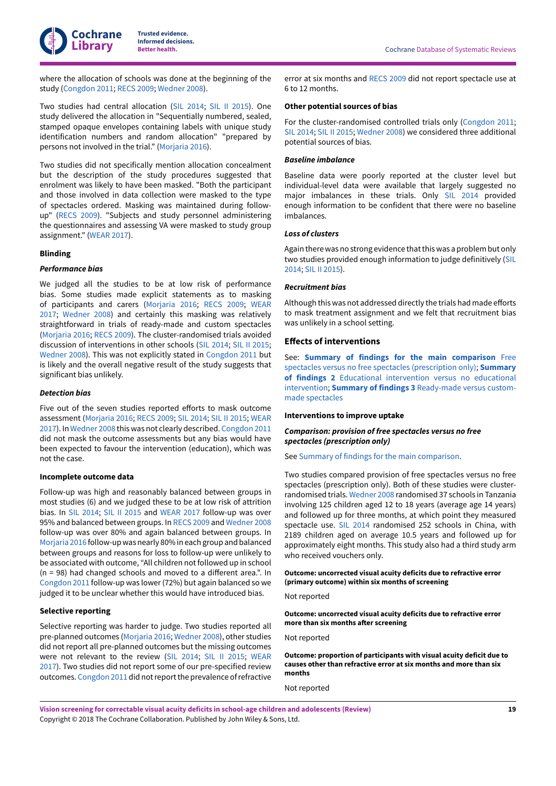where the allocation of schools was done at the beginning of the study ([Congdon](#page-27-6) 2011; [RECS](#page-27-7) 2009; [Wedner 2008\)](#page-27-11).

Two studies had central allocation [\(SIL 2014;](#page-27-8) [SIL II 2015](#page-27-9)). One study delivered the allocation in "Sequentially numbered, sealed, stamped opaque envelopes containing labels with unique study identification numbers and random allocation" "prepared by persons not involved in the trial." ([Morjaria 2016\)](#page-27-1).

Two studies did not specifically mention allocation concealment but the description of the study procedures suggested that enrolment was likely to have been masked. "Both the participant and those involved in data collection were masked to the type of spectacles ordered. Masking was maintained during followup" ([RECS](#page-27-7) 2009). "Subjects and study personnel administering the questionnaires and assessing VA were masked to study group assignment." ([WEAR 2017](#page-27-10)).

#### **Blinding**

#### *Performance bias*

We judged all the studies to be at low risk of performance bias. Some studies made explicit statements as to masking of participants and carers [\(Morjaria 2016;](#page-27-1) [RECS](#page-27-7) 2009; [WEAR](#page-27-10) [2017](#page-27-10); [Wedner 2008\)](#page-27-11) and certainly this masking was relatively straightforward in trials of ready-made and custom spectacles [\(Morjaria 2016](#page-27-1); [RECS](#page-27-7) 2009). The cluster-randomised trials avoided discussion of interventions in other schools ([SIL 2014;](#page-27-8) [SIL II 2015](#page-27-9); [Wedner 2008\)](#page-27-11). This was not explicitly stated in [Congdon](#page-27-6) 2011 but is likely and the overall negative result of the study suggests that significant bias unlikely.

#### *Detection bias*

Five out of the seven studies reported efforts to mask outcome assessment [\(Morjaria 2016](#page-27-1); [RECS](#page-27-7) 2009; [SIL 2014;](#page-27-8) [SIL II 2015](#page-27-9); [WEAR](#page-27-10) [2017](#page-27-10)). In [Wedner 2008](#page-27-11) this was not clearly described. [Congdon](#page-27-6) 2011 did not mask the outcome assessments but any bias would have been expected to favour the intervention (education), which was not the case.

## **Incomplete outcome data**

Follow-up was high and reasonably balanced between groups in most studies (6) and we judged these to be at low risk of attrition bias. In [SIL 2014;](#page-27-8) [SIL II 2015](#page-27-9) and [WEAR 2017](#page-27-10) follow-up was over 95% and balanced between groups. In [RECS](#page-27-7) 2009 and [Wedner 2008](#page-27-11) follow-up was over 80% and again balanced between groups. In [Morjaria 2016](#page-27-1) follow-upwasnearly 80%ineachgroupandbalanced between groups and reasons for loss to follow-up were unlikely to be associated with outcome, "All children not followed up in school  $(n = 98)$  had changed schools and moved to a different area.". In [Congdon](#page-27-6) 2011 follow-up was lower(72%) but again balanced so we judged it to be unclear whether this would have introduced bias.

## **Selective reporting**

Selective reporting was harder to judge. Two studies reported all pre-planned outcomes [\(Morjaria 2016;](#page-27-1) [Wedner 2008](#page-27-11)), other studies did not report all pre-planned outcomes but the missing outcomes were not relevant to the review ([SIL 2014](#page-27-8); [SIL II 2015](#page-27-9); [WEAR](#page-27-10) [2017](#page-27-10)). Two studies did not report some of our pre-specified review outcomes. [Congdon](#page-27-6) 2011 did not report the prevalence of refractive

error at six months and [RECS](#page-27-7) 2009 did not report spectacle use at 6 to 12 months.

#### **Other potential sources of bias**

For the cluster-randomised controlled trials only ([Congdon](#page-27-6) 2011; [SIL 2014](#page-27-8); [SIL II 2015](#page-27-9); [Wedner 2008](#page-27-11)) we considered three additional potential sources of bias.

#### *Baseline imbalance*

Baseline data were poorly reported at the cluster level but individual-level data were available that largely suggested no major imbalances in these trials. Only [SIL 2014](#page-27-8) provided enough information to be confident that there were no baseline imbalances.

#### *Loss of clusters*

Again there was no strong evidence that this was a problem but only two studies provided enough information to judge definitively [\(SIL](#page-27-8) [2014;](#page-27-8) [SIL II 2015](#page-27-9)).

#### *Recruitment bias*

Although this was not addressed directly the trials had made efforts to mask treatment assignment and we felt that recruitment bias was unlikely in a school setting.

## **Effects of interventions**

See: **Summary of findings for the main [comparison](#page-5-1)** Free spectacles versus no free spectacles [\(prescription](#page-5-1) only); **[Summary](#page-7-0) of findings 2** Educational [intervention](#page-7-0) versus no educational [intervention](#page-7-0); **Summary of findings 3** [Ready-made](#page-8-0) versus custommade [spectacles](#page-8-0)

#### **Interventions to improve uptake**

#### *Comparison: provision of free spectacles versus no free spectacles (prescription only)*

## See Summary of findings for the main [comparison](#page-5-1).

Two studies compared provision of free spectacles versus no free spectacles (prescription only). Both of these studies were clusterrandomised trials. [Wedner 2008](#page-27-11) randomised 37 schools in Tanzania involving 125 children aged 12 to 18 years (average age 14 years) and followed up for three months, at which point they measured spectacle use. [SIL 2014](#page-27-8) randomised 252 schools in China, with 2189 children aged on average 10.5 years and followed up for approximately eight months. This study also had a third study arm who received vouchers only.

#### **Outcome: uncorrected visual acuity deficits due to refractive error (primary outcome) within six months of screening**

Not reported

**Outcome: uncorrected visual acuity deficits due to refractive error more** than six months after screening

Not reported

**Outcome: proportion of participants with visual acuity deficit due to causes other than refractive error at six months and more than six months**

Not reported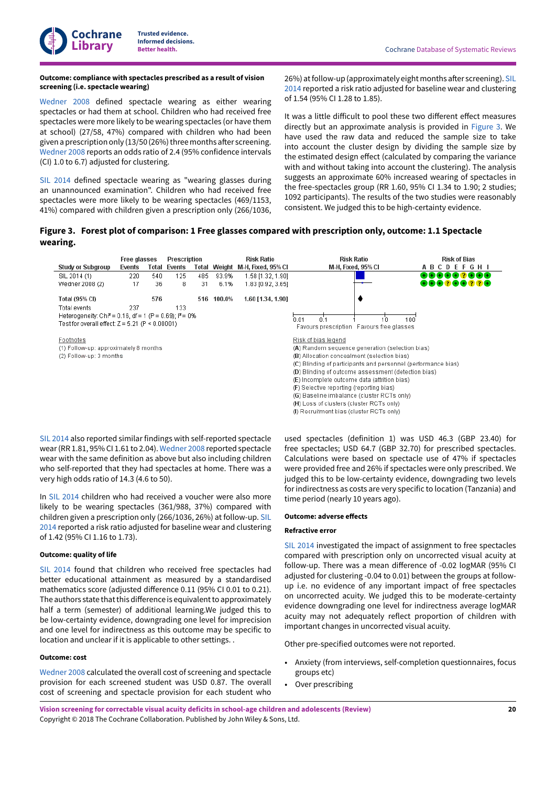#### **Outcome: compliance with spectacles prescribed as a result of vision screening (i.e. spectacle wearing)**

[Wedner 2008](#page-27-11) defined spectacle wearing as either wearing spectacles or had them at school. Children who had received free spectacles were more likely to be wearing spectacles (or have them at school) (27/58, 47%) compared with children who had been given a prescription only (13/50 (26%) three months after screening. [Wedner 2008](#page-27-11) reports an odds ratio of 2.4 (95% confidence intervals (CI) 1.0 to 6.7) adjusted for clustering.

[SIL 2014](#page-27-8) defined spectacle wearing as "wearing glasses during an unannounced examination". Children who had received free spectacles were more likely to be wearing spectacles (469/1153, 41%) compared with children given a prescription only (266/1036,

26%) at follow-up (approximately eight months after screening). [SIL](#page-27-8) [2014](#page-27-8) reported a risk ratio adjusted for baseline wear and clustering of 1.54 (95% CI 1.28 to 1.85).

It was a little difficult to pool these two different effect measures directly but an approximate analysis is provided in [Figure](#page-21-0) 3. We have used the raw data and reduced the sample size to take into account the cluster design by dividing the sample size by the estimated design effect (calculated by comparing the variance with and without taking into account the clustering). The analysis suggests an approximate 60% increased wearing of spectacles in the free-spectacles group (RR 1.60, 95% CI 1.34 to 1.90; 2 studies; 1092 participants). The results of the two studies were reasonably consistent. We judged this to be high-certainty evidence.

## <span id="page-21-0"></span>**Figure 3. Forest plot of comparison: 1 Free glasses compared with prescription only, outcome: 1.1Spectacle wearing.**

|                                                                      | <b>Free glasses</b> |       | Prescription |       |        | <b>Risk Ratio</b>  | <b>Risk Ratio</b>                                             | <b>Risk of Bias</b> |
|----------------------------------------------------------------------|---------------------|-------|--------------|-------|--------|--------------------|---------------------------------------------------------------|---------------------|
| Study or Subgroup                                                    | Events              | Total | Events       | Total | Weight | M-H, Fixed, 95% Cl | M-H, Fixed, 95% CI                                            | <b>ABCDEFGHI</b>    |
| SIL 2014 (1)                                                         | 220                 | 540   | 125          | 485   | 93.9%  | 1.58 [1.32, 1.90]  |                                                               | 888882888           |
| Wedner 2008 (2)                                                      | 17                  | 36    | 8            | 31    | 6.1%   | 1.83 [0.92, 3.65]  |                                                               | 888288228           |
|                                                                      |                     |       |              |       |        |                    |                                                               |                     |
| Total (95% CI)                                                       |                     | 576   |              | 516   | 100.0% | 1.60 [1.34, 1.90]  |                                                               |                     |
| Total events                                                         | 237                 |       | 133          |       |        |                    |                                                               |                     |
| Heterogeneity: Chi <sup>2</sup> = 0.16, df = 1 (P = 0.69); $P = 0\%$ |                     |       |              |       |        |                    | 0.01<br>0 <sup>1</sup><br>10<br>100                           |                     |
| Test for overall effect: $Z = 5.21$ (P < 0.00001)                    |                     |       |              |       |        |                    | Favours prescription Favours free glasses                     |                     |
|                                                                      |                     |       |              |       |        |                    |                                                               |                     |
| Footnotes                                                            |                     |       |              |       |        |                    | Risk of bias legend                                           |                     |
| (1) Follow-up: approximately 8 months                                |                     |       |              |       |        |                    | (A) Random sequence generation (selection bias)               |                     |
| (2) Follow-up: 3 months                                              |                     |       |              |       |        |                    | (B) Allocation concealment (selection bias)                   |                     |
|                                                                      |                     |       |              |       |        |                    | (C) Blinding of participants and personnel (performance bias) |                     |
|                                                                      |                     |       |              |       |        |                    | (D) Blinding of outcome assessment (detection bias)           |                     |
|                                                                      |                     |       |              |       |        |                    | (E) Incomplete outcome data (attrition bias)                  |                     |
|                                                                      |                     |       |              |       |        |                    | (F) Selective reporting (reporting bias)                      |                     |
|                                                                      |                     |       |              |       |        |                    | (G) Baseline imbalance (cluster RCTs only)                    |                     |
|                                                                      |                     |       |              |       |        |                    | (H) Loss of clusters (cluster RCTs only)                      |                     |
|                                                                      |                     |       |              |       |        |                    | (I) Recruitment bias (cluster RCTs only)                      |                     |

[SIL 2014](#page-27-8) also reported similar findings with self-reported spectacle wear(RR 1.81, 95% CI 1.61 to 2.04).[Wedner 2008](#page-27-11) reported spectacle wear with the same definition as above but also including children who self-reported that they had spectacles at home. There was a very high odds ratio of 14.3 (4.6 to 50).

In [SIL 2014](#page-27-8) children who had received a voucher were also more likely to be wearing spectacles (361/988, 37%) compared with children given a prescription only (266/1036, 26%) at follow-up. [SIL](#page-27-8) [2014](#page-27-8) reported a risk ratio adjusted for baseline wear and clustering of 1.42 (95% CI 1.16 to 1.73).

#### **Outcome: quality of life**

[SIL 2014](#page-27-8) found that children who received free spectacles had better educational attainment as measured by a standardised mathematics score (adjusted difference 0.11 (95% CI 0.01 to 0.21). The authors state that this difference is equivalent to approximately half a term (semester) of additional learning.We judged this to be low-certainty evidence, downgrading one level for imprecision and one level for indirectness as this outcome may be specific to location and unclear if it is applicable to other settings. .

#### **Outcome: cost**

[Wedner 2008](#page-27-11) calculated the overall cost of screening and spectacle provision for each screened student was USD 0.87. The overall cost of screening and spectacle provision for each student who

used spectacles (definition 1) was USD 46.3 (GBP 23.40) for free spectacles; USD 64.7 (GBP 32.70) for prescribed spectacles. Calculations were based on spectacle use of 47% if spectacles were provided free and 26% if spectacles were only prescribed. We judged this to be low-certainty evidence, downgrading two levels for indirectness as costs are very specific to location (Tanzania) and time period (nearly 10 years ago).

#### **Outcome: adverse effects**

#### **Refractive error**

[SIL 2014](#page-27-8) investigated the impact of assignment to free spectacles compared with prescription only on uncorrected visual acuity at follow-up. There was a mean difference of -0.02 logMAR (95% CI adjusted for clustering -0.04 to 0.01) between the groups at followup i.e. no evidence of any important impact of free spectacles on uncorrected acuity. We judged this to be moderate-certainty evidence downgrading one level for indirectness average logMAR acuity may not adequately reflect proportion of children with important changes in uncorrected visual acuity.

Other pre-specified outcomes were not reported.

- Anxiety (from interviews, self-completion questionnaires, focus groups etc)
- Over prescribing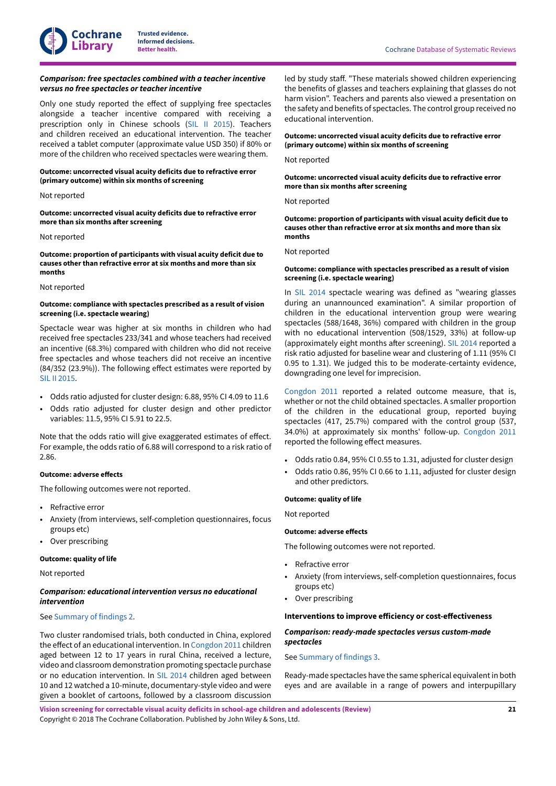

#### *Comparison: free spectacles combined with a teacher incentive versus no free spectacles or teacher incentive*

Only one study reported the effect of supplying free spectacles alongside a teacher incentive compared with receiving a prescription only in Chinese schools [\(SIL II 2015\)](#page-27-9). Teachers and children received an educational intervention. The teacher received a tablet computer (approximate value USD 350) if 80% or more of the children who received spectacles were wearing them.

#### **Outcome: uncorrected visual acuity deficits due to refractive error (primary outcome) within six months of screening**

#### Not reported

**Outcome: uncorrected visual acuity deficits due to refractive error more** than six months after screening

#### Not reported

**Outcome: proportion of participants with visual acuity deficit due to causes other than refractive error at six months and more than six months**

## Not reported

#### **Outcome: compliance with spectacles prescribed as a result of vision screening (i.e. spectacle wearing)**

Spectacle wear was higher at six months in children who had received free spectacles 233/341 and whose teachers had received an incentive (68.3%) compared with children who did not receive free spectacles and whose teachers did not receive an incentive (84/352 (23.9%)). The following effect estimates were reported by [SIL II 2015](#page-27-9).

- Odds ratio adjusted for cluster design: 6.88, 95% CI 4.09 to 11.6
- Odds ratio adjusted for cluster design and other predictor variables: 11.5, 95% CI 5.91 to 22.5.

Note that the odds ratio will give exaggerated estimates of effect. For example, the odds ratio of 6.88 will correspond to a risk ratio of 2.86.

### **Outcome: adverse effects**

The following outcomes were not reported.

- Refractive error
- Anxiety (from interviews, self-completion questionnaires, focus groups etc)
- Over prescribing

#### **Outcome: quality of life**

Not reported

#### *Comparison: educational intervention versus no educational intervention*

## See [Summary](#page-7-0) of findings 2.

Two cluster randomised trials, both conducted in China, explored the effect of an educational intervention. In [Congdon](#page-27-6) 2011 children aged between 12 to 17 years in rural China, received a lecture, video and classroom demonstration promoting spectacle purchase or no education intervention. In [SIL 2014](#page-27-8) children aged between 10 and 12 watched a 10-minute, documentary-style video and were given a booklet of cartoons, followed by a classroom discussion

led by study staff. "These materials showed children experiencing the benefits of glasses and teachers explaining that glasses do not harm vision". Teachers and parents also viewed a presentation on the safety and benefits of spectacles. The control group received no educational intervention.

**Outcome: uncorrected visual acuity deficits due to refractive error (primary outcome) within six months of screening**

#### Not reported

**Outcome: uncorrected visual acuity deficits due to refractive error more** than six months after screening

Not reported

**Outcome: proportion of participants with visual acuity deficit due to causes other than refractive error at six months and more than six months**

Not reported

#### **Outcome: compliance with spectacles prescribed as a result of vision screening (i.e. spectacle wearing)**

In [SIL 2014](#page-27-8) spectacle wearing was defined as "wearing glasses during an unannounced examination". A similar proportion of children in the educational intervention group were wearing spectacles (588/1648, 36%) compared with children in the group with no educational intervention (508/1529, 33%) at follow-up (approximately eight months after screening). [SIL 2014](#page-27-8) reported a risk ratio adjusted for baseline wear and clustering of 1.11 (95% CI 0.95 to 1.31). We judged this to be moderate-certainty evidence, downgrading one level for imprecision.

[Congdon](#page-27-6) 2011 reported a related outcome measure, that is, whether or not the child obtained spectacles. A smaller proportion of the children in the educational group, reported buying spectacles (417, 25.7%) compared with the control group (537, 34.0%) at approximately six months' follow-up. [Congdon](#page-27-6) 2011 reported the following effect measures.

- Odds ratio 0.84, 95% CI 0.55 to 1.31, adjusted for cluster design
- Odds ratio 0.86, 95% CI 0.66 to 1.11, adjusted for cluster design and other predictors.

#### **Outcome: quality of life**

Not reported

#### **Outcome: adverse effects**

The following outcomes were not reported.

- Refractive error
- Anxiety (from interviews, self-completion questionnaires, focus groups etc)
- Over prescribing

### **Interventions to improve efficiency or cost-effectiveness**

### *Comparison: ready-made spectacles versus custom-made spectacles*

## See [Summary](#page-8-0) of findings 3.

Ready-made spectacles have the same spherical equivalent in both eyes and are available in a range of powers and interpupillary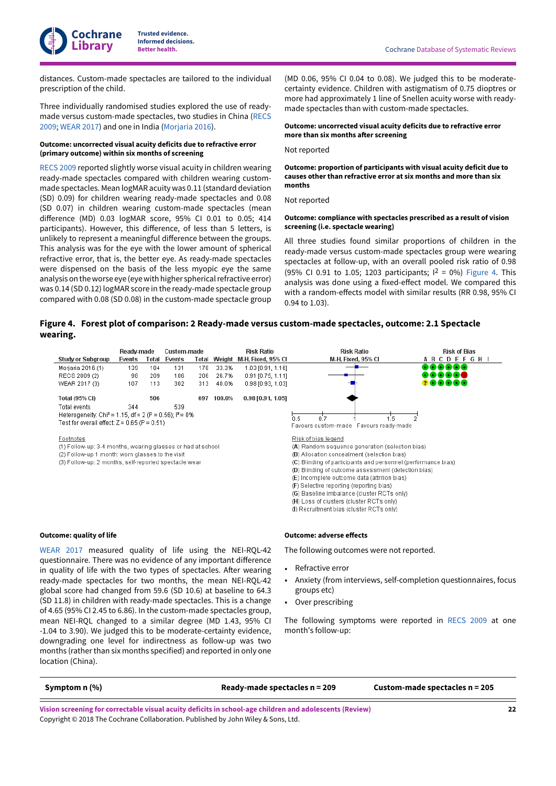

**Library**

distances. Custom-made spectacles are tailored to the individual prescription of the child.

Three individually randomised studies explored the use of readymade versus custom-made spectacles, two studies in China ([RECS](#page-27-7) [2009](#page-27-7); [WEAR 2017\)](#page-27-10) and one in India [\(Morjaria 2016](#page-27-1)).

#### **Outcome: uncorrected visual acuity deficits due to refractive error (primary outcome) within six months of screening**

[RECS](#page-27-7) 2009 reported slightly worse visual acuity in children wearing ready-made spectacles compared with children wearing custommade spectacles. Mean logMAR acuity was 0.11 (standard deviation (SD) 0.09) for children wearing ready-made spectacles and 0.08 (SD 0.07) in children wearing custom-made spectacles (mean difference (MD) 0.03 logMAR score, 95% CI 0.01 to 0.05; 414 participants). However, this difference, of less than 5 letters, is unlikely to represent a meaningful difference between the groups. This analysis was for the eye with the lower amount of spherical refractive error, that is, the better eye. As ready-made spectacles were dispensed on the basis of the less myopic eye the same analysis on the worse eye (eye with higher spherical refractive error) was 0.14 (SD 0.12) logMAR score in the ready-made spectacle group compared with 0.08 (SD 0.08) in the custom-made spectacle group (MD 0.06, 95% CI 0.04 to 0.08). We judged this to be moderatecertainty evidence. Children with astigmatism of 0.75 dioptres or more had approximately 1 line of Snellen acuity worse with readymade spectacles than with custom-made spectacles.

#### **Outcome: uncorrected visual acuity deficits due to refractive error more than six months after screening**

Not reported

**Outcome: proportion of participants with visual acuity deficit due to causes other than refractive error at six months and more than six months**

Not reported

#### **Outcome: compliance with spectacles prescribed as a result of vision screening (i.e. spectacle wearing)**

All three studies found similar proportions of children in the ready-made versus custom-made spectacles group were wearing spectacles at follow-up, with an overall pooled risk ratio of 0.98 (95% CI 0.91 to 1.05; 1203 participants;  $1^2 = 0$ %) [Figure](#page-23-0) 4. This analysis was done using a fixed-effect model. We compared this with a random-effects model with similar results (RR 0.98, 95% CI 0.94 to 1.03).

## <span id="page-23-0"></span>**Figure 4. Forest plot of comparison: 2 Ready-made versus custom-made spectacles, outcome: 2.1Spectacle wearing.**



#### **Outcome: quality of life**

[WEAR 2017](#page-27-10) measured quality of life using the NEI-RQL-42 questionnaire. There was no evidence of any important diHerence in quality of life with the two types of spectacles. After wearing ready-made spectacles for two months, the mean NEI-RQL-42 global score had changed from 59.6 (SD 10.6) at baseline to 64.3 (SD 11.8) in children with ready-made spectacles. This is a change of 4.65 (95% CI 2.45 to 6.86). In the custom-made spectacles group, mean NEI-RQL changed to a similar degree (MD 1.43, 95% CI -1.04 to 3.90). We judged this to be moderate-certainty evidence, downgrading one level for indirectness as follow-up was two months (rather than six months specified) and reported in only one location (China).

#### **Outcome: adverse effects**

The following outcomes were not reported.

- Refractive error
- Anxiety (from interviews, self-completion questionnaires, focus groups etc)
- Over prescribing

The following symptoms were reported in [RECS](#page-27-7) 2009 at one month's follow-up:

|  | Symptom n (%) |  |  |
|--|---------------|--|--|
|--|---------------|--|--|

**Symptom n (%) Ready-made spectacles n = 209 Custom-made spectacles n = 205**

**Vision screening for correctable visual acuity deficits in school-age children and adolescents (Review)** Copyright © 2018 The Cochrane Collaboration. Published by John Wiley & Sons, Ltd.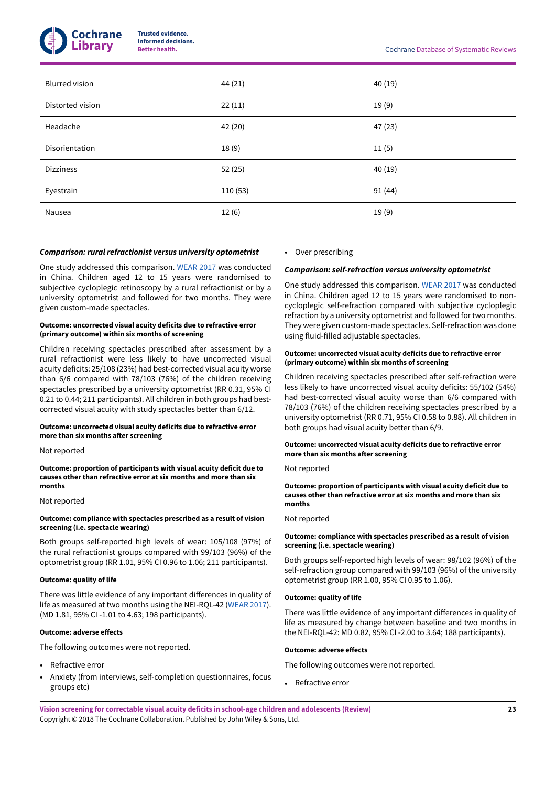

| <b>Blurred vision</b> | 44(21)  | 40 (19) |
|-----------------------|---------|---------|
| Distorted vision      | 22(11)  | 19(9)   |
| Headache              | 42 (20) | 47(23)  |
| <b>Disorientation</b> | 18(9)   | 11(5)   |
| <b>Dizziness</b>      | 52 (25) | 40 (19) |
| Eyestrain             | 110(53) | 91(44)  |
| Nausea                | 12(6)   | 19(9)   |

#### *Comparison: rural refractionist versus university optometrist*

One study addressed this comparison. [WEAR 2017](#page-27-10) was conducted in China. Children aged 12 to 15 years were randomised to subjective cycloplegic retinoscopy by a rural refractionist or by a university optometrist and followed for two months. They were given custom-made spectacles.

#### **Outcome: uncorrected visual acuity deficits due to refractive error (primary outcome) within six months of screening**

Children receiving spectacles prescribed after assessment by a rural refractionist were less likely to have uncorrected visual acuity deficits: 25/108 (23%) had best-corrected visual acuity worse than 6/6 compared with 78/103 (76%) of the children receiving spectacles prescribed by a university optometrist (RR 0.31, 95% CI 0.21 to 0.44; 211 participants). All children in both groups had bestcorrected visual acuity with study spectacles better than 6/12.

#### **Outcome: uncorrected visual acuity deficits due to refractive error more** than six months after screening

Not reported

**Outcome: proportion of participants with visual acuity deficit due to causes other than refractive error at six months and more than six months**

#### Not reported

#### **Outcome: compliance with spectacles prescribed as a result of vision screening (i.e. spectacle wearing)**

Both groups self-reported high levels of wear: 105/108 (97%) of the rural refractionist groups compared with 99/103 (96%) of the optometrist group (RR 1.01, 95% CI 0.96 to 1.06; 211 participants).

#### **Outcome: quality of life**

There was little evidence of any important differences in quality of life as measured at two months using the NEI-RQL-42 [\(WEAR 2017\)](#page-27-10). (MD 1.81, 95% CI -1.01 to 4.63; 198 participants).

#### **Outcome: adverse effects**

The following outcomes were not reported.

- Refractive error
- Anxiety (from interviews, self-completion questionnaires, focus groups etc)

#### • Over prescribing

#### *Comparison: self-refraction versus university optometrist*

One study addressed this comparison. [WEAR 2017](#page-27-10) was conducted in China. Children aged 12 to 15 years were randomised to noncycloplegic self-refraction compared with subjective cycloplegic refraction by a university optometrist and followed for two months. They were given custom-made spectacles. Self-refraction was done using fluid-filled adjustable spectacles.

#### **Outcome: uncorrected visual acuity deficits due to refractive error (primary outcome) within six months of screening**

Children receiving spectacles prescribed after self-refraction were less likely to have uncorrected visual acuity deficits: 55/102 (54%) had best-corrected visual acuity worse than 6/6 compared with 78/103 (76%) of the children receiving spectacles prescribed by a university optometrist (RR 0.71, 95% CI 0.58 to 0.88). All children in both groups had visual acuity better than 6/9.

#### **Outcome: uncorrected visual acuity deficits due to refractive error more** than six months after screening

#### Not reported

**Outcome: proportion of participants with visual acuity deficit due to causes other than refractive error at six months and more than six months**

#### Not reported

#### **Outcome: compliance with spectacles prescribed as a result of vision screening (i.e. spectacle wearing)**

Both groups self-reported high levels of wear: 98/102 (96%) of the self-refraction group compared with 99/103 (96%) of the university optometrist group (RR 1.00, 95% CI 0.95 to 1.06).

#### **Outcome: quality of life**

There was little evidence of any important differences in quality of life as measured by change between baseline and two months in the NEI-RQL-42: MD 0.82, 95% CI -2.00 to 3.64; 188 participants).

#### **Outcome: adverse effects**

The following outcomes were not reported.

• Refractive error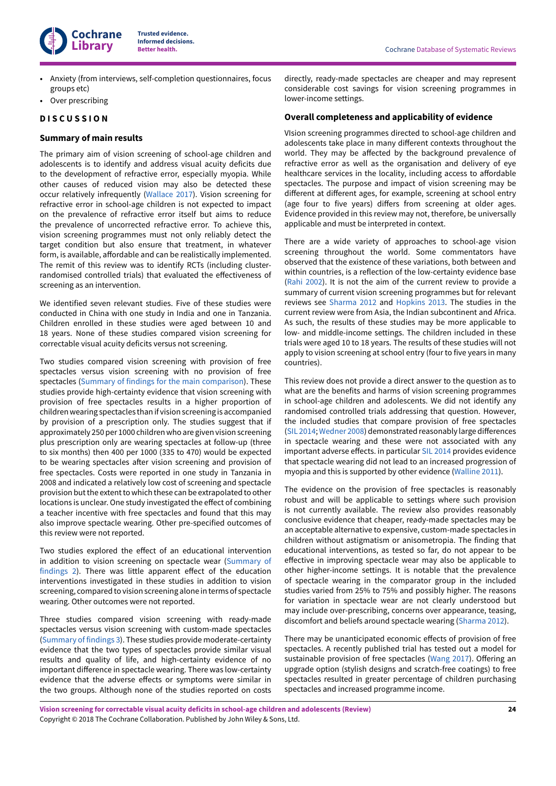

- Anxiety (from interviews, self-completion questionnaires, focus groups etc)
- Over prescribing

## <span id="page-25-0"></span>**D I S C U S S I O N**

#### **Summary of main results**

The primary aim of vision screening of school-age children and adolescents is to identify and address visual acuity deficits due to the development of refractive error, especially myopia. While other causes of reduced vision may also be detected these occur relatively infrequently [\(Wallace](#page-29-16) 2017). Vision screening for refractive error in school-age children is not expected to impact on the prevalence of refractive error itself but aims to reduce the prevalence of uncorrected refractive error. To achieve this, vision screening programmes must not only reliably detect the target condition but also ensure that treatment, in whatever form, is available, affordable and can be realistically implemented. The remit of this review was to identify RCTs (including clusterrandomised controlled trials) that evaluated the effectiveness of screening as an intervention.

We identified seven relevant studies. Five of these studies were conducted in China with one study in India and one in Tanzania. Children enrolled in these studies were aged between 10 and 18 years. None of these studies compared vision screening for correctable visual acuity deficits versus not screening.

Two studies compared vision screening with provision of free spectacles versus vision screening with no provision of free spectacles (Summary of findings for the main [comparison\)](#page-5-1). These studies provide high-certainty evidence that vision screening with provision of free spectacles results in a higher proportion of childrenwearing spectacles than if vision screening is accompanied by provision of a prescription only. The studies suggest that if approximately 250 per 1000 childrenwho are given vision screening plus prescription only are wearing spectacles at follow-up (three to six months) then 400 per 1000 (335 to 470) would be expected to be wearing spectacles after vision screening and provision of free spectacles. Costs were reported in one study in Tanzania in 2008 and indicated a relatively low cost of screening and spectacle provision but the extent to which these can be extrapolated to other locations is unclear. One study investigated the effect of combining a teacher incentive with free spectacles and found that this may also improve spectacle wearing. Other pre-specified outcomes of this review were not reported.

Two studies explored the effect of an educational intervention in addition to vision screening on spectacle wear ([Summary](#page-7-0) of [findings 2\)](#page-7-0). There was little apparent effect of the education interventions investigated in these studies in addition to vision screening, compared to vision screening alone in terms of spectacle wearing. Other outcomes were not reported.

Three studies compared vision screening with ready-made spectacles versus vision screening with custom-made spectacles [\(Summary](#page-8-0) of findings 3). These studies provide moderate-certainty evidence that the two types of spectacles provide similar visual results and quality of life, and high-certainty evidence of no important difference in spectacle wearing. There was low-certainty evidence that the adverse effects or symptoms were similar in the two groups. Although none of the studies reported on costs directly, ready-made spectacles are cheaper and may represent considerable cost savings for vision screening programmes in lower-income settings.

## **Overall completeness and applicability of evidence**

VIsion screening programmes directed to school-age children and adolescents take place in many different contexts throughout the world. They may be affected by the background prevalence of refractive error as well as the organisation and delivery of eye healthcare services in the locality, including access to affordable spectacles. The purpose and impact of vision screening may be different at different ages, for example, screening at school entry (age four to five years) differs from screening at older ages. Evidence provided in this review may not, therefore, be universally applicable and must be interpreted in context.

There are a wide variety of approaches to school-age vision screening throughout the world. Some commentators have observed that the existence of these variations, both between and within countries, is a reflection of the low-certainty evidence base (Rahi [2002](#page-29-17)). It is not the aim of the current review to provide a summary of current vision screening programmes but for relevant reviews see [Sharma 2012](#page-29-5) and [Hopkins 2013.](#page-28-12) The studies in the current review were from Asia, the Indian subcontinent and Africa. As such, the results of these studies may be more applicable to low- and middle-income settings. The children included in these trials were aged 10 to 18 years. The results of these studies will not apply to vision screening at school entry (four to five years in many countries).

This review does not provide a direct answer to the question as to what are the benefits and harms of vision screening programmes in school-age children and adolescents. We did not identify any randomised controlled trials addressing that question. However, the included studies that compare provision of free spectacles [\(SIL 2014](#page-27-8); [Wedner 2008](#page-27-11)) demonstrated reasonably large differences in spectacle wearing and these were not associated with any important adverse effects. in particular [SIL 2014](#page-27-8) provides evidence that spectacle wearing did not lead to an increased progression of myopia and this is supported by other evidence ([Walline](#page-29-8) 2011).

The evidence on the provision of free spectacles is reasonably robust and will be applicable to settings where such provision is not currently available. The review also provides reasonably conclusive evidence that cheaper, ready-made spectacles may be an acceptable alternative to expensive, custom-made spectacles in children without astigmatism or anisometropia. The finding that educational interventions, as tested so far, do not appear to be effective in improving spectacle wear may also be applicable to other higher-income settings. It is notable that the prevalence of spectacle wearing in the comparator group in the included studies varied from 25% to 75% and possibly higher. The reasons for variation in spectacle wear are not clearly understood but may include over-prescribing, concerns over appearance, teasing, discomfort and beliefs around spectacle wearing [\(Sharma 2012](#page-29-5)).

There may be unanticipated economic effects of provision of free spectacles. A recently published trial has tested out a model for sustainable provision of free spectacles ([Wang](#page-27-5) 2017). Offering an upgrade option (stylish designs and scratch-free coatings) to free spectacles resulted in greater percentage of children purchasing spectacles and increased programme income.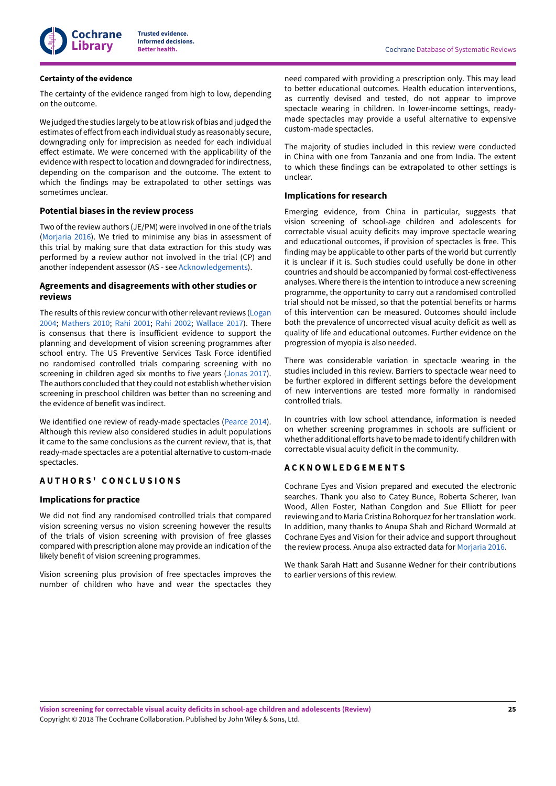

#### **Certainty of the evidence**

The certainty of the evidence ranged from high to low, depending on the outcome.

We judged the studies largely to be atlowrisk of bias and judged the estimates of effect from each individual study as reasonably secure, downgrading only for imprecision as needed for each individual effect estimate. We were concerned with the applicability of the evidence with respect to location and downgraded for indirectness, depending on the comparison and the outcome. The extent to which the findings may be extrapolated to other settings was sometimes unclear.

## **Potential biases in the review process**

Two of the review authors (JE/PM) were involved in one of the trials [\(Morjaria 2016](#page-27-1)). We tried to minimise any bias in assessment of this trial by making sure that data extraction for this study was performed by a review author not involved in the trial (CP) and another independent assessor (AS - see [Acknowledgements](#page-26-1)).

## **Agreements and disagreements with other studies or reviews**

The results of this review concur with other relevant reviews ([Logan](#page-29-18) [2004](#page-29-18); [Mathers](#page-29-19) 2010; Rahi [2001](#page-29-20); Rahi [2002;](#page-29-17) [Wallace](#page-29-16) 2017). There is consensus that there is insufficient evidence to support the planning and development of vision screening programmes after school entry. The US Preventive Services Task Force identified no randomised controlled trials comparing screening with no screening in children aged six months to five years ([Jonas 2017\)](#page-28-20). The authors concluded that they could not establish whether vision screening in preschool children was better than no screening and the evidence of benefit was indirect.

We identified one review of ready-made spectacles [\(Pearce](#page-29-21) 2014). Although this review also considered studies in adult populations it came to the same conclusions as the current review, that is, that ready-made spectacles are a potential alternative to custom-made spectacles.

## <span id="page-26-0"></span>**A U T H O R S ' C O N C L U S I O N S**

#### **Implications for practice**

We did not find any randomised controlled trials that compared vision screening versus no vision screening however the results of the trials of vision screening with provision of free glasses compared with prescription alone may provide an indication of the likely benefit of vision screening programmes.

Vision screening plus provision of free spectacles improves the number of children who have and wear the spectacles they

need compared with providing a prescription only. This may lead to better educational outcomes. Health education interventions, as currently devised and tested, do not appear to improve spectacle wearing in children. In lower-income settings, readymade spectacles may provide a useful alternative to expensive custom-made spectacles.

The majority of studies included in this review were conducted in China with one from Tanzania and one from India. The extent to which these findings can be extrapolated to other settings is unclear.

#### **Implications for research**

Emerging evidence, from China in particular, suggests that vision screening of school-age children and adolescents for correctable visual acuity deficits may improve spectacle wearing and educational outcomes, if provision of spectacles is free. This finding may be applicable to other parts of the world but currently it is unclear if it is. Such studies could usefully be done in other countries and should be accompanied by formal cost-effectiveness analyses. Where there is the intention to introduce a new screening programme, the opportunity to carry out a randomised controlled trial should not be missed, so that the potential benefits or harms of this intervention can be measured. Outcomes should include both the prevalence of uncorrected visual acuity deficit as well as quality of life and educational outcomes. Further evidence on the progression of myopia is also needed.

There was considerable variation in spectacle wearing in the studies included in this review. Barriers to spectacle wear need to be further explored in different settings before the development of new interventions are tested more formally in randomised controlled trials.

In countries with low school attendance, information is needed on whether screening programmes in schools are sufficient or whether additional efforts have to be made to identify children with correctable visual acuity deficit in the community.

## <span id="page-26-1"></span>**A C K N O W L E D G E M E N T S**

Cochrane Eyes and Vision prepared and executed the electronic searches. Thank you also to Catey Bunce, Roberta Scherer, Ivan Wood, Allen Foster, Nathan Congdon and Sue Elliott for peer reviewing and to Maria Cristina Bohorquez for her translation work. In addition, many thanks to Anupa Shah and Richard Wormald at Cochrane Eyes and Vision for their advice and support throughout the review process. Anupa also extracted data for [Morjaria 2016.](#page-27-1)

We thank Sarah Hatt and Susanne Wedner for their contributions to earlier versions of this review.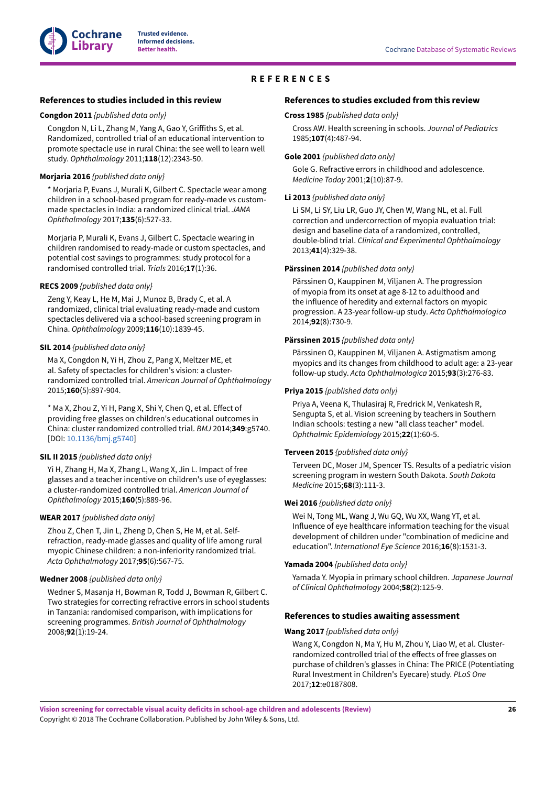

## **REFERENCES**

## <span id="page-27-0"></span>**References to studies included in this review**

#### <span id="page-27-6"></span>**Congdon 2011** *{published data only}*

Congdon N, Li L, Zhang M, Yang A, Gao Y, Griffiths S, et al. Randomized, controlled trial of an educational intervention to promote spectacle use in rural China: the see well to learn well study. *Ophthalmology* 2011;**118**(12):2343-50.

## <span id="page-27-1"></span>**Morjaria 2016** *{published data only}*

\* Morjaria P, Evans J, Murali K, Gilbert C. Spectacle wear among children in a school-based program for ready-made vs custommade spectacles in India: a randomized clinical trial. *JAMA Ophthalmology* 2017;**135**(6):527-33.

Morjaria P, Murali K, Evans J, Gilbert C. Spectacle wearing in children randomised to ready-made or custom spectacles, and potential cost savings to programmes: study protocol for a randomised controlled trial. *Trials* 2016;**17**(1):36.

#### <span id="page-27-7"></span>**RECS 2009** *{published data only}*

Zeng Y, Keay L, He M, Mai J, Munoz B, Brady C, et al. A randomized, clinical trial evaluating ready-made and custom spectacles delivered via a school-based screening program in China. *Ophthalmology* 2009;**116**(10):1839-45.

#### <span id="page-27-8"></span>**SIL 2014** *{published data only}*

Ma X, Congdon N, Yi H, Zhou Z, Pang X, Meltzer ME, et al. Safety of spectacles for children's vision: a clusterrandomized controlled trial. *American Journal of Ophthalmology* 2015;**160**(5):897-904.

\* Ma X, Zhou Z, Yi H, Pang X, Shi Y, Chen Q, et al. EHect of providing free glasses on children's educational outcomes in China: cluster randomized controlled trial. *BMJ* 2014;**349**:g5740. [DOI: [10.1136/bmj.g5740](https://doi.org/10.1136%2Fbmj.g5740)]

#### <span id="page-27-9"></span>**SIL II 2015** *{published data only}*

Yi H, Zhang H, Ma X, Zhang L, Wang X, Jin L. Impact of free glasses and a teacher incentive on children's use of eyeglasses: a cluster-randomized controlled trial. *American Journal of Ophthalmology* 2015;**160**(5):889-96.

#### <span id="page-27-10"></span>**WEAR 2017** *{published data only}*

Zhou Z, Chen T, Jin L, Zheng D, Chen S, He M, et al. Selfrefraction, ready-made glasses and quality of life among rural myopic Chinese children: a non-inferiority randomized trial. *Acta Ophthalmology* 2017;**95**(6):567-75.

## <span id="page-27-11"></span>**Wedner 2008** *{published data only}*

Wedner S, Masanja H, Bowman R, Todd J, Bowman R, Gilbert C. Two strategies for correcting refractive errors in school students in Tanzania: randomised comparison, with implications for screening programmes. *British Journal of Ophthalmology* 2008;**92**(1):19-24.

#### **References to studies excluded from this review**

#### <span id="page-27-2"></span>**Cross 1985** *{published data only}*

Cross AW. Health screening in schools. *Journal of Pediatrics* 1985;**107**(4):487-94.

#### <span id="page-27-3"></span>**Gole 2001** *{published data only}*

Gole G. Refractive errors in childhood and adolescence. *Medicine Today* 2001;**2**(10):87-9.

#### <span id="page-27-12"></span>**Li 2013** *{published data only}*

Li SM, Li SY, Liu LR, Guo JY, Chen W, Wang NL, et al. Full correction and undercorrection of myopia evaluation trial: design and baseline data of a randomized, controlled, double-blind trial. *Clinical and Experimental Ophthalmology* 2013;**41**(4):329-38.

#### <span id="page-27-14"></span>**Pärssinen 2014** *{published data only}*

Pärssinen O, Kauppinen M, Viljanen A. The progression of myopia from its onset at age 8-12 to adulthood and the influence of heredity and external factors on myopic progression. A 23-year follow-up study. *Acta Ophthalmologica* 2014;**92**(8):730-9.

#### <span id="page-27-15"></span>**Pärssinen 2015** *{published data only}*

Pärssinen O, Kauppinen M, Viljanen A. Astigmatism among myopics and its changes from childhood to adult age: a 23-year follow-up study. *Acta Ophthalmologica* 2015;**93**(3):276-83.

## <span id="page-27-13"></span>**Priya 2015** *{published data only}*

Priya A, Veena K, Thulasiraj R, Fredrick M, Venkatesh R, Sengupta S, et al. Vision screening by teachers in Southern Indian schools: testing a new "all class teacher" model. *Ophthalmic Epidemiology* 2015;**22**(1):60-5.

#### <span id="page-27-16"></span>**Terveen 2015** *{published data only}*

Terveen DC, Moser JM, Spencer TS. Results of a pediatric vision screening program in western South Dakota. *South Dakota Medicine* 2015;**68**(3):111-3.

#### <span id="page-27-17"></span>**Wei 2016** *{published data only}*

Wei N, Tong ML, Wang J, Wu GQ, Wu XX, Wang YT, et al. Influence of eye healthcare information teaching for the visual development of children under "combination of medicine and education". *International Eye Science* 2016;**16**(8):1531-3.

#### <span id="page-27-4"></span>**Yamada 2004** *{published data only}*

Yamada Y. Myopia in primary school children. *Japanese Journal of Clinical Ophthalmology* 2004;**58**(2):125-9.

#### **References to studies awaiting assessment**

#### <span id="page-27-5"></span>**Wang 2017** *{published data only}*

Wang X, Congdon N, Ma Y, Hu M, Zhou Y, Liao W, et al. Clusterrandomized controlled trial of the effects of free glasses on purchase of children's glasses in China: The PRICE (Potentiating Rural Investment in Children's Eyecare) study. *PLoS One* 2017;**12**:e0187808.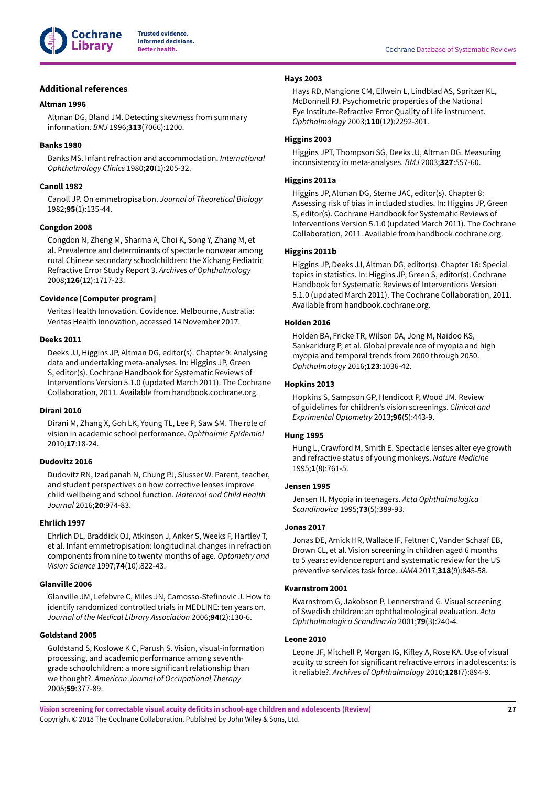

**Additional references**

**Trusted evidence. Informed decisions.**

#### <span id="page-28-13"></span>**Hays 2003**

Hays RD, Mangione CM, Ellwein L, Lindblad AS, Spritzer KL, McDonnell PJ. Psychometric properties of the National Eye Institute-Refractive Error Quality of Life instrument. *Ophthalmology* 2003;**110**(12):2292-301.

## <span id="page-28-18"></span>**Higgins 2003**

Higgins JPT, Thompson SG, Deeks JJ, Altman DG. Measuring inconsistency in meta-analyses. *BMJ* 2003;**327**:557-60.

#### <span id="page-28-15"></span>**Higgins 2011a**

Higgins JP, Altman DG, Sterne JAC, editor(s). Chapter 8: Assessing risk of bias in included studies. In: Higgins JP, Green S, editor(s). Cochrane Handbook for Systematic Reviews of Interventions Version 5.1.0 (updated March 2011). The Cochrane Collaboration, 2011. Available from handbook.cochrane.org.

#### <span id="page-28-16"></span>**Higgins 2011b**

Higgins JP, Deeks JJ, Altman DG, editor(s). Chapter 16: Special topics in statistics. In: Higgins JP, Green S, editor(s). Cochrane Handbook for Systematic Reviews of Interventions Version 5.1.0 (updated March 2011). The Cochrane Collaboration, 2011. Available from handbook.cochrane.org.

#### <span id="page-28-4"></span>**Holden 2016**

Holden BA, Fricke TR, Wilson DA, Jong M, Naidoo KS, Sankaridurg P, et al. Global prevalence of myopia and high myopia and temporal trends from 2000 through 2050. *Ophthalmology* 2016;**123**:1036-42.

#### <span id="page-28-12"></span>**Hopkins 2013**

Hopkins S, Sampson GP, Hendicott P, Wood JM. Review of guidelines for children's vision screenings. *Clinical and Exprimental Optometry* 2013;**96**(5):443-9.

#### <span id="page-28-9"></span>**Hung 1995**

Hung L, Crawford M, Smith E. Spectacle lenses alter eye growth and refractive status of young monkeys. *Nature Medicine* 1995;**1**(8):761-5.

#### <span id="page-28-2"></span>**Jensen 1995**

Jensen H. Myopia in teenagers. *Acta Ophthalmologica Scandinavica* 1995;**73**(5):389-93.

## <span id="page-28-20"></span>**Jonas 2017**

Jonas DE, Amick HR, Wallace IF, Feltner C, Vander Schaaf EB, Brown CL, et al. Vision screening in children aged 6 months to 5 years: evidence report and systematic review for the US preventive services task force. *JAMA* 2017;**318**(9):845-58.

#### <span id="page-28-10"></span>**Kvarnstrom 2001**

Kvarnstrom G, Jakobson P, Lennerstrand G. Visual screening of Swedish children: an ophthalmological evaluation. *Acta Ophthalmologica Scandinavia* 2001;**79**(3):240-4.

### <span id="page-28-8"></span>**Leone 2010**

Leone JF, Mitchell P, Morgan IG, Kifley A, Rose KA. Use of visual acuity to screen for significant refractive errors in adolescents: is it reliable?. *Archives of Ophthalmology* 2010;**128**(7):894-9.

Altman DG, Bland JM. Detecting skewness from summary information. *BMJ* 1996;**313**(7066):1200.

## <span id="page-28-0"></span>**Banks 1980**

<span id="page-28-17"></span>**Altman 1996**

Banks MS. Infant refraction and accommodation. *International Ophthalmology Clinics* 1980;**20**(1):205-32.

#### <span id="page-28-3"></span>**Canoll 1982**

Canoll JP. On emmetropisation. *Journal of Theoretical Biology* 1982;**95**(1):135-44.

#### <span id="page-28-11"></span>**Congdon 2008**

Congdon N, Zheng M, Sharma A, Choi K, Song Y, Zhang M, et al. Prevalence and determinants of spectacle nonwear among rural Chinese secondary schoolchildren: the Xichang Pediatric Refractive Error Study Report 3. *Archives of Ophthalmology* 2008;**126**(12):1717-23.

#### <span id="page-28-14"></span>**Covidence [Computer program]**

Veritas Health Innovation. Covidence. Melbourne, Australia: Veritas Health Innovation, accessed 14 November 2017.

#### <span id="page-28-19"></span>**Deeks 2011**

Deeks JJ, Higgins JP, Altman DG, editor(s). Chapter 9: Analysing data and undertaking meta-analyses. In: Higgins JP, Green S, editor(s). Cochrane Handbook for Systematic Reviews of Interventions Version 5.1.0 (updated March 2011). The Cochrane Collaboration, 2011. Available from handbook.cochrane.org.

#### <span id="page-28-6"></span>**Dirani 2010**

Dirani M, Zhang X, Goh LK, Young TL, Lee P, Saw SM. The role of vision in academic school performance. *Ophthalmic Epidemiol* 2010;**17**:18-24.

#### <span id="page-28-7"></span>**Dudovitz 2016**

Dudovitz RN, Izadpanah N, Chung PJ, Slusser W. Parent, teacher, and student perspectives on how corrective lenses improve child wellbeing and school function. *Maternal and Child Health Journal* 2016;**20**:974-83.

#### <span id="page-28-1"></span>**Ehrlich 1997**

Ehrlich DL, Braddick OJ, Atkinson J, Anker S, Weeks F, Hartley T, et al. Infant emmetropisation: longitudinal changes in refraction components from nine to twenty months of age. *Optometry and Vision Science* 1997;**74**(10):822-43.

#### <span id="page-28-21"></span>**Glanville 2006**

Glanville JM, Lefebvre C, Miles JN, Camosso-Stefinovic J. How to identify randomized controlled trials in MEDLINE: ten years on. *Journal of the Medical Library Association* 2006;**94**(2):130-6.

#### <span id="page-28-5"></span>**Goldstand 2005**

Goldstand S, Koslowe K C, Parush S. Vision, visual-information processing, and academic performance among seventhgrade schoolchildren: a more significant relationship than we thought?. *American Journal of Occupational Therapy* 2005;**59**:377-89.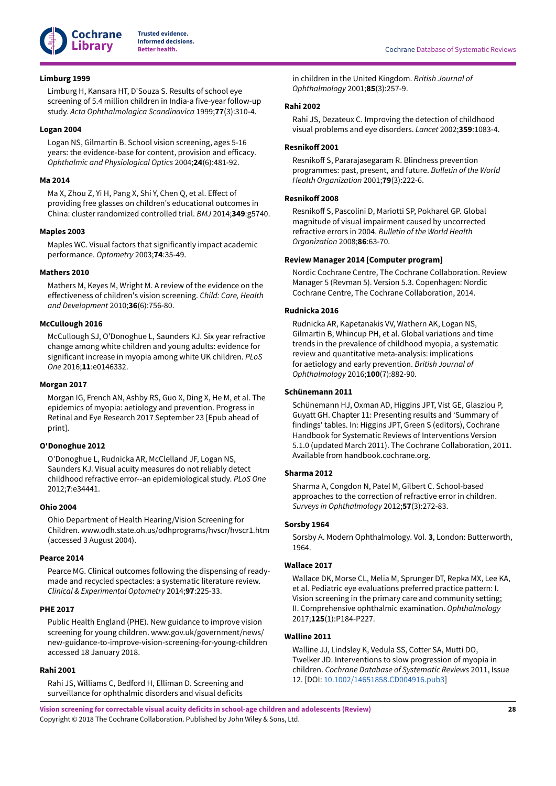

#### <span id="page-29-11"></span>**Limburg 1999**

Limburg H, Kansara HT, D'Souza S. Results of school eye screening of 5.4 million children in India-a five-year follow-up study. *Acta Ophthalmologica Scandinavica* 1999;**77**(3):310-4.

## <span id="page-29-18"></span>**Logan 2004**

Logan NS, Gilmartin B. School vision screening, ages 5-16 years: the evidence-base for content, provision and efficacy. *Ophthalmic and Physiological Optics* 2004;**24**(6):481-92.

#### <span id="page-29-12"></span>**Ma 2014**

Ma X, Zhou Z, Yi H, Pang X, Shi Y, Chen Q, et al. Effect of providing free glasses on children's educational outcomes in China: cluster randomized controlled trial. *BMJ* 2014;**349**:g5740.

#### <span id="page-29-6"></span>**Maples 2003**

Maples WC. Visual factors that significantly impact academic performance. *Optometry* 2003;**74**:35-49.

#### <span id="page-29-19"></span>**Mathers 2010**

Mathers M, Keyes M, Wright M. A review of the evidence on the eHectiveness of children's vision screening. *Child: Care, Health and Development* 2010;**36**(6):756-80.

#### <span id="page-29-3"></span>**McCullough 2016**

McCullough SJ, O'Donoghue L, Saunders KJ. Six year refractive change among white children and young adults: evidence for significant increase in myopia among white UK children. *PLoS One* 2016;**11**:e0146332.

## <span id="page-29-1"></span>**Morgan 2017**

Morgan IG, French AN, Ashby RS, Guo X, Ding X, He M, et al. The epidemics of myopia: aetiology and prevention. Progress in Retinal and Eye Research 2017 September 23 [Epub ahead of print].

## <span id="page-29-7"></span>**O'Donoghue 2012**

O'Donoghue L, Rudnicka AR, McClelland JF, Logan NS, Saunders KJ. Visual acuity measures do not reliably detect childhood refractive error--an epidemiological study. *PLoS One* 2012;**7**:e34441.

#### <span id="page-29-9"></span>**Ohio 2004**

Ohio Department of Health Hearing/Vision Screening for Children. www.odh.state.oh.us/odhprograms/hvscr/hvscr1.htm (accessed 3 August 2004).

#### <span id="page-29-21"></span>**Pearce 2014**

Pearce MG. Clinical outcomes following the dispensing of readymade and recycled spectacles: a systematic literature review. *Clinical & Experimental Optometry* 2014;**97**:225-33.

#### <span id="page-29-10"></span>**PHE 2017**

Public Health England (PHE). New guidance to improve vision screening for young children. www.gov.uk/government/news/ new-guidance-to-improve-vision-screening-for-young-children accessed 18 January 2018.

#### <span id="page-29-20"></span>**Rahi 2001**

Rahi JS, Williams C, Bedford H, Elliman D. Screening and surveillance for ophthalmic disorders and visual deficits

in children in the United Kingdom. *British Journal of Ophthalmology* 2001;**85**(3):257-9.

#### <span id="page-29-17"></span>**Rahi 2002**

Rahi JS, Dezateux C. Improving the detection of childhood visual problems and eye disorders. *Lancet* 2002;**359**:1083-4.

### <span id="page-29-13"></span>**Resniko@ 2001**

Resnikoff S, Pararajasegaram R. Blindness prevention programmes: past, present, and future. *Bulletin of the World Health Organization* 2001;**79**(3):222-6.

## <span id="page-29-4"></span>**Resniko@ 2008**

Resnikoff S, Pascolini D, Mariotti SP, Pokharel GP. Global magnitude of visual impairment caused by uncorrected refractive errors in 2004. *Bulletin of the World Health Organization* 2008;**86**:63-70.

## <span id="page-29-14"></span>**Review Manager 2014 [Computer program]**

Nordic Cochrane Centre, The Cochrane Collaboration. Review Manager 5 (Revman 5). Version 5.3. Copenhagen: Nordic Cochrane Centre, The Cochrane Collaboration, 2014.

#### <span id="page-29-2"></span>**Rudnicka 2016**

Rudnicka AR, Kapetanakis VV, Wathern AK, Logan NS, Gilmartin B, Whincup PH, et al. Global variations and time trends in the prevalence of childhood myopia, a systematic review and quantitative meta-analysis: implications for aetiology and early prevention. *British Journal of Ophthalmology* 2016;**100**(7):882-90.

#### <span id="page-29-15"></span>**Schünemann 2011**

Schünemann HJ, Oxman AD, Higgins JPT, Vist GE, Glasziou P, Guyatt GH. Chapter 11: Presenting results and 'Summary of findings' tables. In: Higgins JPT, Green S (editors), Cochrane Handbook for Systematic Reviews of Interventions Version 5.1.0 (updated March 2011). The Cochrane Collaboration, 2011. Available from handbook.cochrane.org.

#### <span id="page-29-5"></span>**Sharma 2012**

Sharma A, Congdon N, Patel M, Gilbert C. School-based approaches to the correction of refractive error in children. *Surveys in Ophthalmology* 2012;**57**(3):272-83.

## <span id="page-29-0"></span>**Sorsby 1964**

Sorsby A. Modern Ophthalmology. Vol. **3**, London: Butterworth, 1964.

#### <span id="page-29-16"></span>**Wallace 2017**

Wallace DK, Morse CL, Melia M, Sprunger DT, Repka MX, Lee KA, et al. Pediatric eye evaluations preferred practice pattern: I. Vision screening in the primary care and community setting; II. Comprehensive ophthalmic examination. *Ophthalmology* 2017;**125**(1):P184-P227.

## <span id="page-29-8"></span>**Walline 2011**

Walline JJ, Lindsley K, Vedula SS, Cotter SA, Mutti DO, Twelker JD. Interventions to slow progression of myopia in children. *Cochrane Database of Systematic Reviews* 2011, Issue 12. [DOI: [10.1002/14651858.CD004916.pub3](https://doi.org/10.1002%2F14651858.CD004916.pub3)]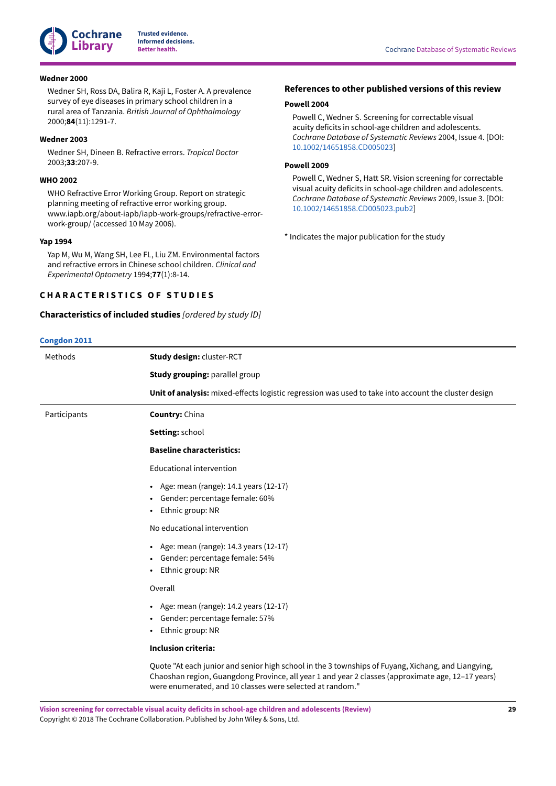

## <span id="page-30-3"></span>**Wedner 2000**

Wedner SH, Ross DA, Balira R, Kaji L, Foster A. A prevalence survey of eye diseases in primary school children in a rural area of Tanzania. *British Journal of Ophthalmology* 2000;**84**(11):1291-7.

## <span id="page-30-4"></span>**Wedner 2003**

Wedner SH, Dineen B. Refractive errors. *Tropical Doctor* 2003;**33**:207-9.

## <span id="page-30-2"></span>**WHO 2002**

WHO Refractive Error Working Group. Report on strategic planning meeting of refractive error working group. www.iapb.org/about-iapb/iapb-work-groups/refractive-errorwork-group/ (accessed 10 May 2006).

### <span id="page-30-1"></span>**Yap 1994**

Yap M, Wu M, Wang SH, Lee FL, Liu ZM. Environmental factors and refractive errors in Chinese school children. *Clinical and Experimental Optometry* 1994;**77**(1):8-14.

## <span id="page-30-0"></span>**C H A R A C T E R I S T I C S O F S T U D I E S**

## <span id="page-30-5"></span>**Characteristics of included studies** *[ordered by study ID]*

#### **[Congdon](#page-27-6) 2011**

**References to other published versions of this review**

#### **Powell 2004**

Powell C, Wedner S. Screening for correctable visual acuity deficits in school-age children and adolescents. *Cochrane Database of Systematic Reviews* 2004, Issue 4. [DOI: [10.1002/14651858.CD005023\]](https://doi.org/10.1002%2F14651858.CD005023)

## **Powell 2009**

Powell C, Wedner S, Hatt SR. Vision screening for correctable visual acuity deficits in school-age children and adolescents. *Cochrane Database of Systematic Reviews* 2009, Issue 3. [DOI: [10.1002/14651858.CD005023.pub2\]](https://doi.org/10.1002%2F14651858.CD005023.pub2)

\* Indicates the major publication for the study

| Congdon 2011 |                                                                                                                                                                                                                                                                      |  |  |
|--------------|----------------------------------------------------------------------------------------------------------------------------------------------------------------------------------------------------------------------------------------------------------------------|--|--|
| Methods      | <b>Study design: cluster-RCT</b>                                                                                                                                                                                                                                     |  |  |
|              | Study grouping: parallel group                                                                                                                                                                                                                                       |  |  |
|              | Unit of analysis: mixed-effects logistic regression was used to take into account the cluster design                                                                                                                                                                 |  |  |
| Participants | <b>Country: China</b>                                                                                                                                                                                                                                                |  |  |
|              | Setting: school                                                                                                                                                                                                                                                      |  |  |
|              | <b>Baseline characteristics:</b>                                                                                                                                                                                                                                     |  |  |
|              | <b>Educational intervention</b>                                                                                                                                                                                                                                      |  |  |
|              | • Age: mean (range): $14.1$ years ( $12-17$ )<br>Gender: percentage female: 60%<br>$\bullet$<br>• Ethnic group: NR                                                                                                                                                   |  |  |
|              | No educational intervention                                                                                                                                                                                                                                          |  |  |
|              | • Age: mean (range): 14.3 years (12-17)<br>• Gender: percentage female: 54%<br>Ethnic group: NR<br>$\bullet$                                                                                                                                                         |  |  |
|              | Overall                                                                                                                                                                                                                                                              |  |  |
|              | • Age: mean (range): $14.2$ years ( $12-17$ )<br>• Gender: percentage female: 57%<br>• Ethnic group: NR                                                                                                                                                              |  |  |
|              | <b>Inclusion criteria:</b>                                                                                                                                                                                                                                           |  |  |
|              | Quote "At each junior and senior high school in the 3 townships of Fuyang, Xichang, and Liangying,<br>Chaoshan region, Guangdong Province, all year 1 and year 2 classes (approximate age, 12-17 years)<br>were enumerated, and 10 classes were selected at random." |  |  |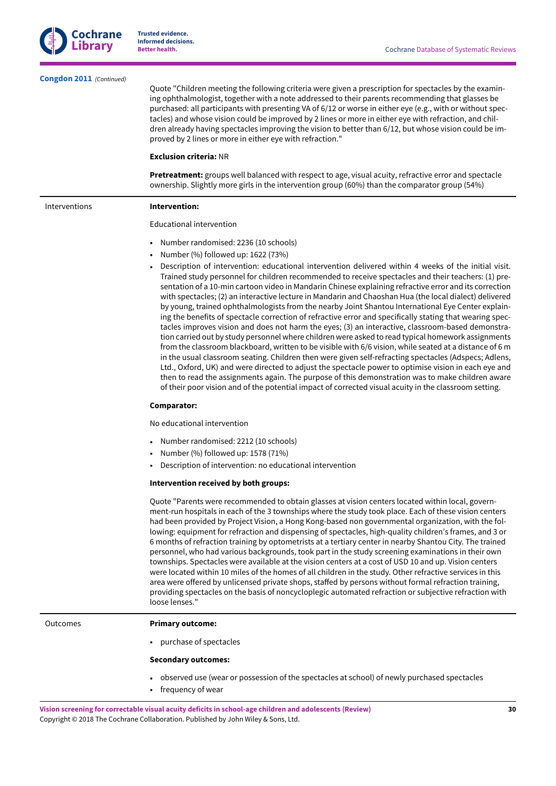#### **[Congdon](#page-27-6) 2011**  *(Continued)*

Quote "Children meeting the following criteria were given a prescription for spectacles by the examining ophthalmologist, together with a note addressed to their parents recommending that glasses be purchased: all participants with presenting VA of 6/12 or worse in either eye (e.g., with or without spectacles) and whose vision could be improved by 2 lines or more in either eye with refraction, and children already having spectacles improving the vision to better than 6/12, but whose vision could be improved by 2 lines or more in either eye with refraction."

## **Exclusion criteria:** NR

**Pretreatment:** groups well balanced with respect to age, visual acuity, refractive error and spectacle ownership. Slightly more girls in the intervention group (60%) than the comparator group (54%)

#### Interventions **Intervention:**

Educational intervention

- Number randomised: 2236 (10 schools)
- Number (%) followed up: 1622 (73%)
- Description of intervention: educational intervention delivered within 4 weeks of the initial visit. Trained study personnel for children recommended to receive spectacles and their teachers: (1) presentation of a 10-min cartoon video in Mandarin Chinese explaining refractive error and its correction with spectacles; (2) an interactive lecture in Mandarin and Chaoshan Hua (the local dialect) delivered by young, trained ophthalmologists from the nearby Joint Shantou International Eye Center explaining the benefits of spectacle correction of refractive error and specifically stating that wearing spectacles improves vision and does not harm the eyes; (3) an interactive, classroom-based demonstration carried out by study personnel where children were asked to read typical homework assignments from the classroom blackboard, written to be visible with 6/6 vision, while seated at a distance of 6 m in the usual classroom seating. Children then were given self-refracting spectacles (Adspecs; Adlens, Ltd., Oxford, UK) and were directed to adjust the spectacle power to optimise vision in each eye and then to read the assignments again. The purpose of this demonstration was to make children aware of their poor vision and of the potential impact of corrected visual acuity in the classroom setting.

#### **Comparator:**

No educational intervention

- Number randomised: 2212 (10 schools)
- Number (%) followed up: 1578 (71%)
- Description of intervention: no educational intervention

#### **Intervention received by both groups:**

Quote "Parents were recommended to obtain glasses at vision centers located within local, government-run hospitals in each of the 3 townships where the study took place. Each of these vision centers had been provided by Project Vision, a Hong Kong-based non governmental organization, with the following: equipment for refraction and dispensing of spectacles, high-quality children's frames, and 3 or 6 months of refraction training by optometrists at a tertiary center in nearby Shantou City. The trained personnel, who had various backgrounds, took part in the study screening examinations in their own townships. Spectacles were available at the vision centers at a cost of USD 10 and up. Vision centers were located within 10 miles of the homes of all children in the study. Other refractive services in this area were offered by unlicensed private shops, staffed by persons without formal refraction training, providing spectacles on the basis of noncycloplegic automated refraction or subjective refraction with loose lenses."

#### Outcomes **Primary outcome:**

• purchase of spectacles

#### **Secondary outcomes:**

- observed use (wear or possession of the spectacles at school) of newly purchased spectacles
- frequency of wear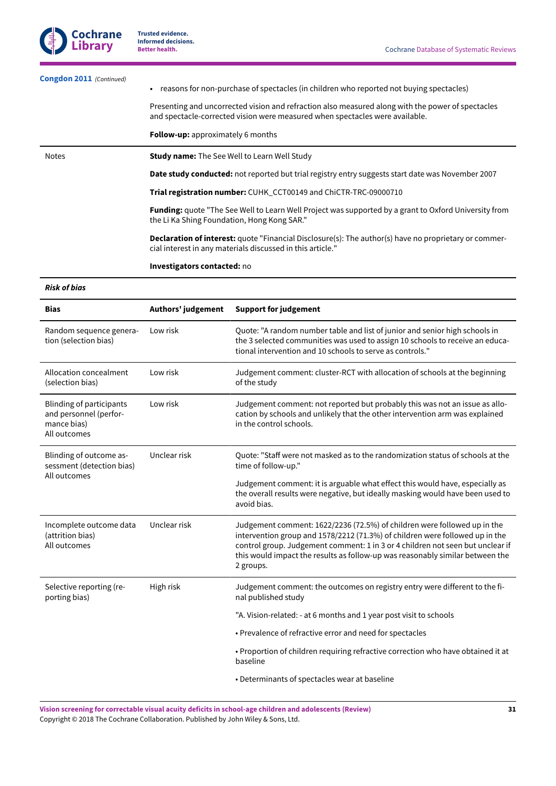| <b>Congdon 2011</b> (Continued) | reasons for non-purchase of spectacles (in children who reported not buying spectacles)<br>Presenting and uncorrected vision and refraction also measured along with the power of spectacles<br>and spectacle-corrected vision were measured when spectacles were available. |  |  |
|---------------------------------|------------------------------------------------------------------------------------------------------------------------------------------------------------------------------------------------------------------------------------------------------------------------------|--|--|
|                                 |                                                                                                                                                                                                                                                                              |  |  |
|                                 | Follow-up: approximately 6 months                                                                                                                                                                                                                                            |  |  |
| <b>Notes</b>                    | <b>Study name:</b> The See Well to Learn Well Study                                                                                                                                                                                                                          |  |  |
|                                 | Date study conducted: not reported but trial registry entry suggests start date was November 2007                                                                                                                                                                            |  |  |
|                                 | Trial registration number: CUHK_CCT00149 and ChiCTR-TRC-09000710                                                                                                                                                                                                             |  |  |
|                                 | <b>Funding:</b> quote "The See Well to Learn Well Project was supported by a grant to Oxford University from<br>the Li Ka Shing Foundation, Hong Kong SAR."                                                                                                                  |  |  |
|                                 | <b>Declaration of interest:</b> quote "Financial Disclosure(s): The author(s) have no proprietary or commer-<br>cial interest in any materials discussed in this article."                                                                                                   |  |  |
|                                 | Investigators contacted: no                                                                                                                                                                                                                                                  |  |  |

#### *Risk of bias*

| <b>Bias</b>                                                                              | Authors' judgement | <b>Support for judgement</b>                                                                                                                                                                                                                                                                                                             |
|------------------------------------------------------------------------------------------|--------------------|------------------------------------------------------------------------------------------------------------------------------------------------------------------------------------------------------------------------------------------------------------------------------------------------------------------------------------------|
| Random sequence genera-<br>tion (selection bias)                                         | Low risk           | Quote: "A random number table and list of junior and senior high schools in<br>the 3 selected communities was used to assign 10 schools to receive an educa-<br>tional intervention and 10 schools to serve as controls."                                                                                                                |
| Allocation concealment<br>(selection bias)                                               | Low risk           | Judgement comment: cluster-RCT with allocation of schools at the beginning<br>of the study                                                                                                                                                                                                                                               |
| <b>Blinding of participants</b><br>and personnel (perfor-<br>mance bias)<br>All outcomes | Low risk           | Judgement comment: not reported but probably this was not an issue as allo-<br>cation by schools and unlikely that the other intervention arm was explained<br>in the control schools.                                                                                                                                                   |
| Blinding of outcome as-<br>sessment (detection bias)<br>All outcomes                     | Unclear risk       | Quote: "Staff were not masked as to the randomization status of schools at the<br>time of follow-up."                                                                                                                                                                                                                                    |
|                                                                                          |                    | Judgement comment: it is arguable what effect this would have, especially as<br>the overall results were negative, but ideally masking would have been used to<br>avoid bias.                                                                                                                                                            |
| Incomplete outcome data<br>(attrition bias)<br>All outcomes                              | Unclear risk       | Judgement comment: 1622/2236 (72.5%) of children were followed up in the<br>intervention group and 1578/2212 (71.3%) of children were followed up in the<br>control group. Judgement comment: 1 in 3 or 4 children not seen but unclear if<br>this would impact the results as follow-up was reasonably similar between the<br>2 groups. |
| Selective reporting (re-<br>porting bias)                                                | High risk          | Judgement comment: the outcomes on registry entry were different to the fi-<br>nal published study                                                                                                                                                                                                                                       |
|                                                                                          |                    | "A. Vision-related: - at 6 months and 1 year post visit to schools                                                                                                                                                                                                                                                                       |
|                                                                                          |                    | • Prevalence of refractive error and need for spectacles                                                                                                                                                                                                                                                                                 |
|                                                                                          |                    | • Proportion of children requiring refractive correction who have obtained it at<br>baseline                                                                                                                                                                                                                                             |
|                                                                                          |                    | • Determinants of spectacles wear at baseline                                                                                                                                                                                                                                                                                            |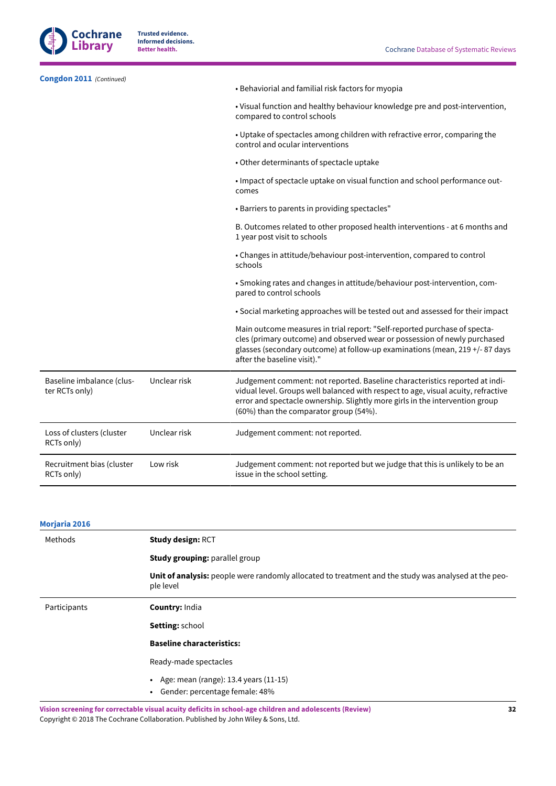| <b>Trusted evidence.</b>   |
|----------------------------|
| <b>Informed decisions.</b> |
| <b>Better health.</b>      |

| <b>Congdon 2011</b> (Continued)             |              |                                                                                                                                                                                                                                                                                            |
|---------------------------------------------|--------------|--------------------------------------------------------------------------------------------------------------------------------------------------------------------------------------------------------------------------------------------------------------------------------------------|
|                                             |              | • Behaviorial and familial risk factors for myopia                                                                                                                                                                                                                                         |
|                                             |              | . Visual function and healthy behaviour knowledge pre and post-intervention,<br>compared to control schools                                                                                                                                                                                |
|                                             |              | • Uptake of spectacles among children with refractive error, comparing the<br>control and ocular interventions                                                                                                                                                                             |
|                                             |              | • Other determinants of spectacle uptake                                                                                                                                                                                                                                                   |
|                                             |              | • Impact of spectacle uptake on visual function and school performance out-<br>comes                                                                                                                                                                                                       |
|                                             |              | • Barriers to parents in providing spectacles"                                                                                                                                                                                                                                             |
|                                             |              | B. Outcomes related to other proposed health interventions - at 6 months and<br>1 year post visit to schools                                                                                                                                                                               |
|                                             |              | • Changes in attitude/behaviour post-intervention, compared to control<br>schools                                                                                                                                                                                                          |
|                                             |              | • Smoking rates and changes in attitude/behaviour post-intervention, com-<br>pared to control schools                                                                                                                                                                                      |
|                                             |              | • Social marketing approaches will be tested out and assessed for their impact                                                                                                                                                                                                             |
|                                             |              | Main outcome measures in trial report: "Self-reported purchase of specta-<br>cles (primary outcome) and observed wear or possession of newly purchased<br>glasses (secondary outcome) at follow-up examinations (mean, 219 +/- 87 days<br>after the baseline visit)."                      |
| Baseline imbalance (clus-<br>ter RCTs only) | Unclear risk | Judgement comment: not reported. Baseline characteristics reported at indi-<br>vidual level. Groups well balanced with respect to age, visual acuity, refractive<br>error and spectacle ownership. Slightly more girls in the intervention group<br>(60%) than the comparator group (54%). |
| Loss of clusters (cluster<br>RCTs only)     | Unclear risk | Judgement comment: not reported.                                                                                                                                                                                                                                                           |
| Recruitment bias (cluster<br>RCTs only)     | Low risk     | Judgement comment: not reported but we judge that this is unlikely to be an<br>issue in the school setting.                                                                                                                                                                                |
|                                             |              |                                                                                                                                                                                                                                                                                            |

| Morjaria 2016 |                                                                                                                   |
|---------------|-------------------------------------------------------------------------------------------------------------------|
| Methods       | Study design: RCT                                                                                                 |
|               | Study grouping: parallel group                                                                                    |
|               | Unit of analysis: people were randomly allocated to treatment and the study was analysed at the peo-<br>ple level |
| Participants  | Country: India                                                                                                    |
|               | Setting: school                                                                                                   |
|               | <b>Baseline characteristics:</b>                                                                                  |
|               | Ready-made spectacles                                                                                             |
|               | - Age: mean (range): $13.4$ years $(11-15)$<br>• Gender: percentage female: 48%                                   |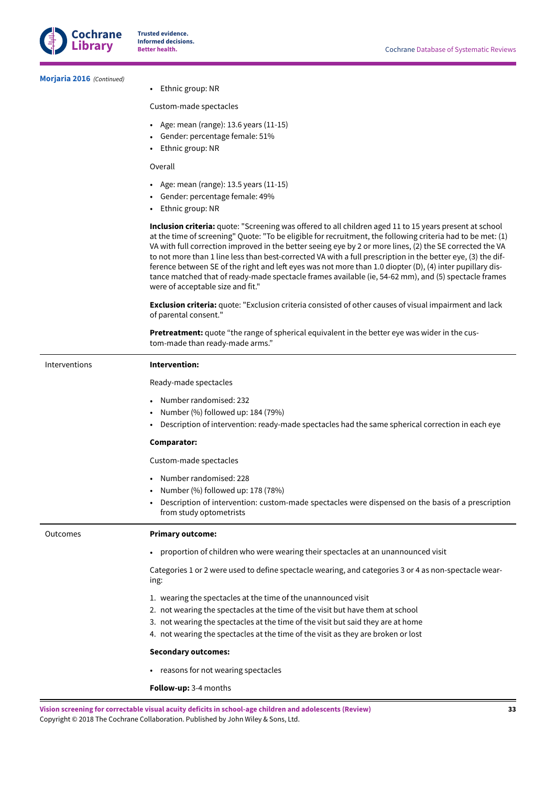

**[Morjaria 2016](#page-27-1)**  *(Continued)*

#### • Ethnic group: NR

Custom-made spectacles

- Age: mean (range): 13.6 years (11-15)
- Gender: percentage female: 51%
- Ethnic group: NR

#### Overall

- Age: mean (range): 13.5 years (11-15)
- Gender: percentage female: 49%
- Ethnic group: NR

**Inclusion criteria:** quote: "Screening was offered to all children aged 11 to 15 years present at school at the time of screening" Quote: "To be eligible for recruitment, the following criteria had to be met: (1) VA with full correction improved in the better seeing eye by 2 or more lines, (2) the SE corrected the VA to not more than 1 line less than best-corrected VA with a full prescription in the better eye, (3) the difference between SE of the right and left eyes was not more than 1.0 diopter (D), (4) inter pupillary distance matched that of ready-made spectacle frames available (ie, 54-62 mm), and (5) spectacle frames were of acceptable size and fit."

**Exclusion criteria:** quote: "Exclusion criteria consisted of other causes of visual impairment and lack of parental consent."

**Pretreatment:** quote "the range of spherical equivalent in the better eye was wider in the custom-made than ready-made arms."

| Interventions | Intervention:                                                                                                                                                                             |
|---------------|-------------------------------------------------------------------------------------------------------------------------------------------------------------------------------------------|
|               | Ready-made spectacles                                                                                                                                                                     |
|               | Number randomised: 232<br>Number (%) followed up: 184 (79%)<br>$\bullet$<br>Description of intervention: ready-made spectacles had the same spherical correction in each eye<br>$\bullet$ |
|               | Comparator:                                                                                                                                                                               |
|               | Custom-made spectacles                                                                                                                                                                    |
|               | • Number randomised: 228                                                                                                                                                                  |
|               | Number (%) followed up: 178 (78%)                                                                                                                                                         |
|               | Description of intervention: custom-made spectacles were dispensed on the basis of a prescription<br>from study optometrists                                                              |
|               |                                                                                                                                                                                           |
| Outcomes      | <b>Primary outcome:</b>                                                                                                                                                                   |
|               | • proportion of children who were wearing their spectacles at an unannounced visit                                                                                                        |
|               | Categories 1 or 2 were used to define spectacle wearing, and categories 3 or 4 as non-spectacle wear-<br>ing:                                                                             |
|               | 1. wearing the spectacles at the time of the unannounced visit                                                                                                                            |
|               | 2. not wearing the spectacles at the time of the visit but have them at school                                                                                                            |
|               | 3. not wearing the spectacles at the time of the visit but said they are at home                                                                                                          |
|               | 4. not wearing the spectacles at the time of the visit as they are broken or lost                                                                                                         |
|               | <b>Secondary outcomes:</b>                                                                                                                                                                |
|               | • reasons for not wearing spectacles                                                                                                                                                      |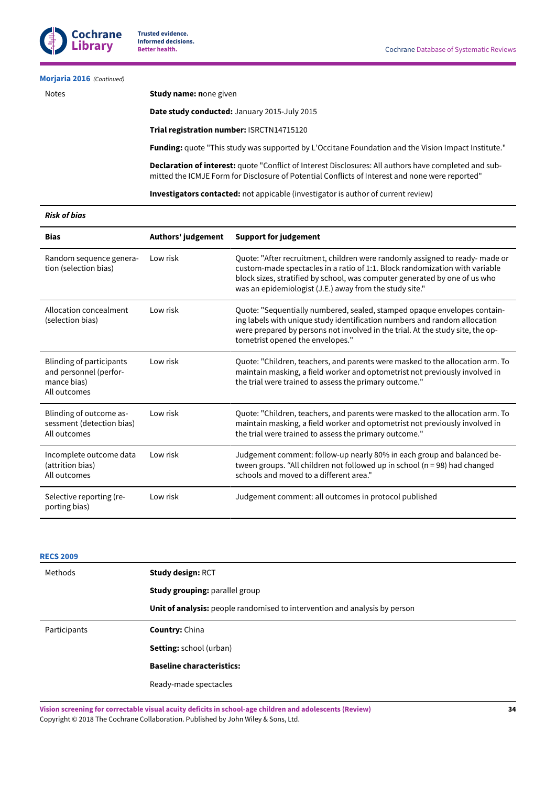## **[Morjaria 2016](#page-27-1)**  *(Continued)*

Notes **Study name: n**one given

**Date study conducted:** January 2015-July 2015

**Trial registration number:** ISRCTN14715120

**Funding:** quote "This study was supported by L'Occitane Foundation and the Vision Impact Institute."

**Declaration of interest:** quote "Conflict of Interest Disclosures: All authors have completed and submitted the ICMJE Form for Disclosure of Potential Conflicts of Interest and none were reported"

**Investigators contacted:** not appicable (investigator is author of current review)

## *Risk of bias*

| <b>Bias</b>                                                                              | Authors' judgement | <b>Support for judgement</b>                                                                                                                                                                                                                                                                         |
|------------------------------------------------------------------------------------------|--------------------|------------------------------------------------------------------------------------------------------------------------------------------------------------------------------------------------------------------------------------------------------------------------------------------------------|
| Random sequence genera-<br>tion (selection bias)                                         | Low risk           | Quote: "After recruitment, children were randomly assigned to ready- made or<br>custom-made spectacles in a ratio of 1:1. Block randomization with variable<br>block sizes, stratified by school, was computer generated by one of us who<br>was an epidemiologist (J.E.) away from the study site." |
| Allocation concealment<br>(selection bias)                                               | Low risk           | Quote: "Sequentially numbered, sealed, stamped opaque envelopes contain-<br>ing labels with unique study identification numbers and random allocation<br>were prepared by persons not involved in the trial. At the study site, the op-<br>tometrist opened the envelopes."                          |
| <b>Blinding of participants</b><br>and personnel (perfor-<br>mance bias)<br>All outcomes | Low risk           | Quote: "Children, teachers, and parents were masked to the allocation arm. To<br>maintain masking, a field worker and optometrist not previously involved in<br>the trial were trained to assess the primary outcome."                                                                               |
| Blinding of outcome as-<br>sessment (detection bias)<br>All outcomes                     | Low risk           | Quote: "Children, teachers, and parents were masked to the allocation arm. To<br>maintain masking, a field worker and optometrist not previously involved in<br>the trial were trained to assess the primary outcome."                                                                               |
| Incomplete outcome data<br>(attrition bias)<br>All outcomes                              | Low risk           | Judgement comment: follow-up nearly 80% in each group and balanced be-<br>tween groups. "All children not followed up in school (n = 98) had changed<br>schools and moved to a different area."                                                                                                      |
| Selective reporting (re-<br>porting bias)                                                | Low risk           | Judgement comment: all outcomes in protocol published                                                                                                                                                                                                                                                |

| <b>RECS 2009</b> |                                                                            |
|------------------|----------------------------------------------------------------------------|
| Methods          | <b>Study design: RCT</b>                                                   |
|                  | Study grouping: parallel group                                             |
|                  | Unit of analysis: people randomised to intervention and analysis by person |
| Participants     | <b>Country: China</b>                                                      |
|                  | <b>Setting:</b> school (urban)                                             |
|                  | <b>Baseline characteristics:</b>                                           |
|                  | Ready-made spectacles                                                      |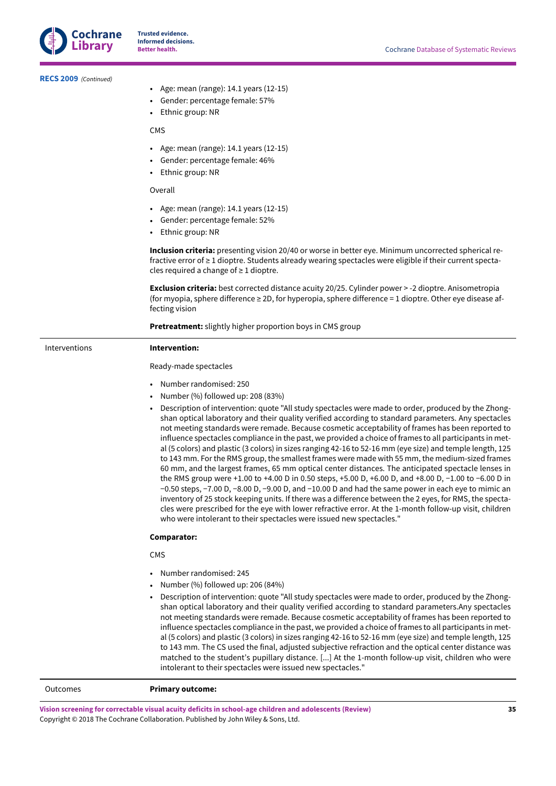

**[RECS](#page-27-7) 2009**  *(Continued)*

- Age: mean (range): 14.1 years (12-15)
- Gender: percentage female: 57%
- Ethnic group: NR

#### **CMS**

- Age: mean (range): 14.1 years (12-15)
- Gender: percentage female: 46%
- Ethnic group: NR

#### **Overall**

- Age: mean (range): 14.1 years (12-15)
- Gender: percentage female: 52%
- Ethnic group: NR

**Inclusion criteria:** presenting vision 20/40 or worse in better eye. Minimum uncorrected spherical refractive error of ≥ 1 dioptre. Students already wearing spectacles were eligible if their current spectacles required a change of ≥ 1 dioptre.

**Exclusion criteria:** best corrected distance acuity 20/25. Cylinder power > -2 dioptre. Anisometropia (for myopia, sphere difference ≥ 2D, for hyperopia, sphere difference = 1 dioptre. Other eye disease affecting vision

**Pretreatment:** slightly higher proportion boys in CMS group

#### Interventions **Intervention:**

Ready-made spectacles

- Number randomised: 250
- Number (%) followed up: 208 (83%)
- Description of intervention: quote "All study spectacles were made to order, produced by the Zhongshan optical laboratory and their quality verified according to standard parameters. Any spectacles not meeting standards were remade. Because cosmetic acceptability of frames has been reported to influence spectacles compliance in the past, we provided a choice of frames to all participants in metal (5 colors) and plastic (3 colors) in sizes ranging 42-16 to 52-16 mm (eye size) and temple length, 125 to 143 mm. For the RMS group, the smallest frames were made with 55 mm, the medium-sized frames 60 mm, and the largest frames, 65 mm optical center distances. The anticipated spectacle lenses in the RMS group were +1.00 to +4.00 D in 0.50 steps, +5.00 D, +6.00 D, and +8.00 D, −1.00 to −6.00 D in −0.50 steps, −7.00 D, −8.00 D, −9.00 D, and −10.00 D and had the same power in each eye to mimic an inventory of 25 stock keeping units. If there was a difference between the 2 eyes, for RMS, the spectacles were prescribed for the eye with lower refractive error. At the 1-month follow-up visit, children who were intolerant to their spectacles were issued new spectacles."

## **Comparator:**

**CMS** 

- Number randomised: 245
- Number (%) followed up: 206 (84%)
- Description of intervention: quote "All study spectacles were made to order, produced by the Zhongshan optical laboratory and their quality verified according to standard parameters.Any spectacles not meeting standards were remade. Because cosmetic acceptability of frames has been reported to influence spectacles compliance in the past, we provided a choice of frames to all participants in metal (5 colors) and plastic (3 colors) in sizes ranging 42-16 to 52-16 mm (eye size) and temple length, 125 to 143 mm. The CS used the final, adjusted subjective refraction and the optical center distance was matched to the student's pupillary distance. [...] At the 1-month follow-up visit, children who were intolerant to their spectacles were issued new spectacles."

Outcomes **Primary outcome:**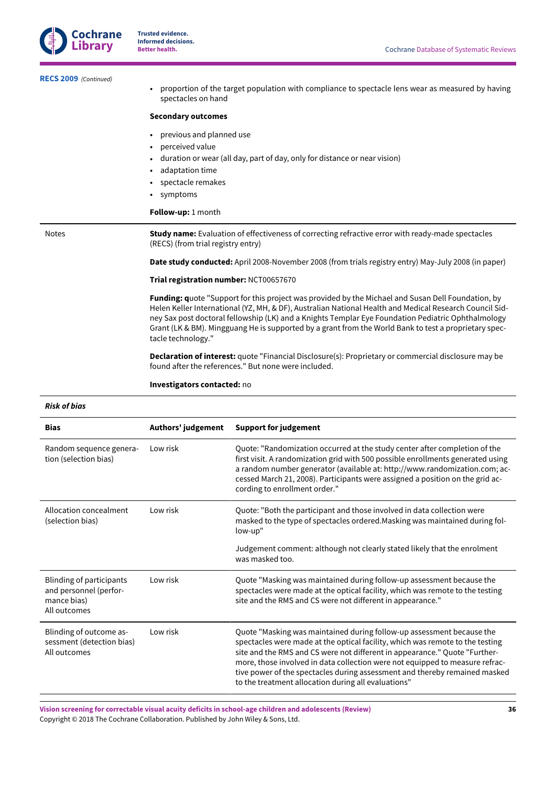

**[RECS](#page-27-7) 2009**  *(Continued)*

and personnel (perfor-

Blinding of outcome assessment (detection bias)

mance bias) All outcomes

All outcomes

**Trusted evidence. Informed decisions.**

|                                                  | spectacles on hand                                                                                                                                           | proportion of the target population with compliance to spectacle lens wear as measured by having                                                                                                                                                                                                                                                                                                                                    |  |
|--------------------------------------------------|--------------------------------------------------------------------------------------------------------------------------------------------------------------|-------------------------------------------------------------------------------------------------------------------------------------------------------------------------------------------------------------------------------------------------------------------------------------------------------------------------------------------------------------------------------------------------------------------------------------|--|
|                                                  | <b>Secondary outcomes</b>                                                                                                                                    |                                                                                                                                                                                                                                                                                                                                                                                                                                     |  |
|                                                  | previous and planned use<br>perceived value<br>adaptation time<br>spectacle remakes<br>• symptoms<br>Follow-up: 1 month                                      | • duration or wear (all day, part of day, only for distance or near vision)                                                                                                                                                                                                                                                                                                                                                         |  |
| <b>Notes</b>                                     | Study name: Evaluation of effectiveness of correcting refractive error with ready-made spectacles<br>(RECS) (from trial registry entry)                      |                                                                                                                                                                                                                                                                                                                                                                                                                                     |  |
|                                                  |                                                                                                                                                              | Date study conducted: April 2008-November 2008 (from trials registry entry) May-July 2008 (in paper)                                                                                                                                                                                                                                                                                                                                |  |
|                                                  | Trial registration number: NCT00657670                                                                                                                       |                                                                                                                                                                                                                                                                                                                                                                                                                                     |  |
|                                                  | tacle technology."                                                                                                                                           | <b>Funding: quote "Support for this project was provided by the Michael and Susan Dell Foundation, by</b><br>Helen Keller International (YZ, MH, & DF), Australian National Health and Medical Research Council Sid-<br>ney Sax post doctoral fellowship (LK) and a Knights Templar Eye Foundation Pediatric Ophthalmology<br>Grant (LK & BM). Mingguang He is supported by a grant from the World Bank to test a proprietary spec- |  |
|                                                  | Declaration of interest: quote "Financial Disclosure(s): Proprietary or commercial disclosure may be<br>found after the references." But none were included. |                                                                                                                                                                                                                                                                                                                                                                                                                                     |  |
|                                                  | Investigators contacted: no                                                                                                                                  |                                                                                                                                                                                                                                                                                                                                                                                                                                     |  |
| <b>Risk of bias</b>                              |                                                                                                                                                              |                                                                                                                                                                                                                                                                                                                                                                                                                                     |  |
| <b>Bias</b>                                      | Authors' judgement                                                                                                                                           | <b>Support for judgement</b>                                                                                                                                                                                                                                                                                                                                                                                                        |  |
| Random sequence genera-<br>tion (selection bias) | Low risk                                                                                                                                                     | Quote: "Randomization occurred at the study center after completion of the<br>first visit. A randomization grid with 500 possible enrollments generated using<br>a random number generator (available at: http://www.randomization.com; ac-<br>cessed March 21, 2008). Participants were assigned a position on the grid ac-<br>cording to enrollment order."                                                                       |  |
| Allocation concealment<br>(selection bias)       | Low risk                                                                                                                                                     | Quote: "Both the participant and those involved in data collection were<br>masked to the type of spectacles ordered. Masking was maintained during fol-<br>low-up"                                                                                                                                                                                                                                                                  |  |
|                                                  |                                                                                                                                                              | Judgement comment: although not clearly stated likely that the enrolment<br>was masked too.                                                                                                                                                                                                                                                                                                                                         |  |
| <b>Blinding of participants</b>                  | Low risk                                                                                                                                                     | Quote "Masking was maintained during follow-up assessment because the                                                                                                                                                                                                                                                                                                                                                               |  |

spectacles were made at the optical facility, which was remote to the testing

spectacles were made at the optical facility, which was remote to the testing site and the RMS and CS were not different in appearance." Quote "Furthermore, those involved in data collection were not equipped to measure refractive power of the spectacles during assessment and thereby remained masked

site and the RMS and CS were not different in appearance."

Low risk Quote "Masking was maintained during follow-up assessment because the

to the treatment allocation during all evaluations"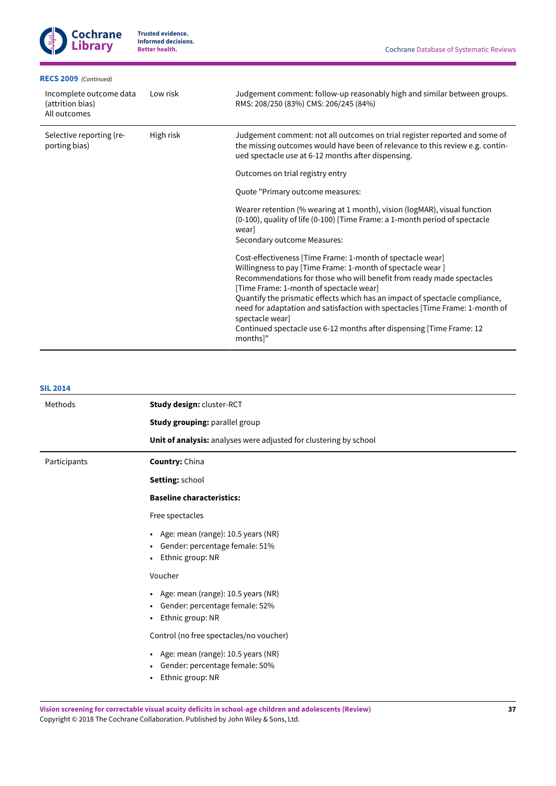| <b>Cochrane</b> |
|-----------------|
| Library         |

| RECS 2009 (Continued)                                       |           |                                                                                                                                                                                                                                                                                                                                                                                                                                                                                                                    |
|-------------------------------------------------------------|-----------|--------------------------------------------------------------------------------------------------------------------------------------------------------------------------------------------------------------------------------------------------------------------------------------------------------------------------------------------------------------------------------------------------------------------------------------------------------------------------------------------------------------------|
| Incomplete outcome data<br>(attrition bias)<br>All outcomes | Low risk  | Judgement comment: follow-up reasonably high and similar between groups.<br>RMS: 208/250 (83%) CMS: 206/245 (84%)                                                                                                                                                                                                                                                                                                                                                                                                  |
| Selective reporting (re-<br>porting bias)                   | High risk | Judgement comment: not all outcomes on trial register reported and some of<br>the missing outcomes would have been of relevance to this review e.g. contin-<br>ued spectacle use at 6-12 months after dispensing.                                                                                                                                                                                                                                                                                                  |
|                                                             |           | Outcomes on trial registry entry                                                                                                                                                                                                                                                                                                                                                                                                                                                                                   |
|                                                             |           | Quote "Primary outcome measures:                                                                                                                                                                                                                                                                                                                                                                                                                                                                                   |
|                                                             |           | Wearer retention (% wearing at 1 month), vision (logMAR), visual function<br>(0-100), quality of life (0-100) [Time Frame: a 1-month period of spectacle<br>wear]<br>Secondary outcome Measures:                                                                                                                                                                                                                                                                                                                   |
|                                                             |           | Cost-effectiveness [Time Frame: 1-month of spectacle wear]<br>Willingness to pay [Time Frame: 1-month of spectacle wear]<br>Recommendations for those who will benefit from ready made spectacles<br>[Time Frame: 1-month of spectacle wear]<br>Quantify the prismatic effects which has an impact of spectacle compliance,<br>need for adaptation and satisfaction with spectacles [Time Frame: 1-month of<br>spectacle wear]<br>Continued spectacle use 6-12 months after dispensing [Time Frame: 12<br>months]" |

## **[SIL 2014](#page-27-8)**

| Methods      | <b>Study design: cluster-RCT</b>                                                                                     |
|--------------|----------------------------------------------------------------------------------------------------------------------|
|              | Study grouping: parallel group                                                                                       |
|              | Unit of analysis: analyses were adjusted for clustering by school                                                    |
| Participants | <b>Country: China</b>                                                                                                |
|              | Setting: school                                                                                                      |
|              | <b>Baseline characteristics:</b>                                                                                     |
|              | Free spectacles                                                                                                      |
|              | • Age: mean (range): 10.5 years (NR)<br>• Gender: percentage female: 51%<br>• Ethnic group: NR                       |
|              | Voucher                                                                                                              |
|              | • Age: mean (range): 10.5 years (NR)<br>Gender: percentage female: 52%<br>$\bullet$<br>Ethnic group: NR<br>$\bullet$ |
|              | Control (no free spectacles/no voucher)                                                                              |
|              | • Age: mean (range): 10.5 years (NR)<br>Gender: percentage female: 50%<br>$\bullet$<br>Ethnic group: NR<br>$\bullet$ |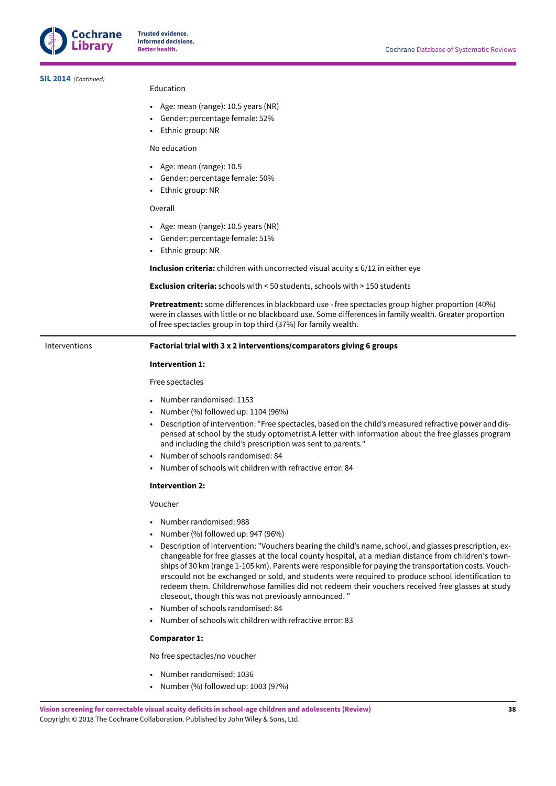#### **[SIL 2014](#page-27-8)**  *(Continued)*

#### Education

- Age: mean (range): 10.5 years (NR)
- Gender: percentage female: 52%
- Ethnic group: NR

#### No education

- Age: mean (range): 10.5
- Gender: percentage female: 50%
- Ethnic group: NR

## Overall

- Age: mean (range): 10.5 years (NR)
- Gender: percentage female: 51%
- Ethnic group: NR

**Inclusion criteria:** children with uncorrected visual acuity ≤ 6/12 in either eye

**Exclusion criteria:** schools with < 50 students, schools with > 150 students

**Pretreatment:** some differences in blackboard use - free spectacles group higher proportion (40%) were in classes with little or no blackboard use. Some differences in family wealth. Greater proportion of free spectacles group in top third (37%) for family wealth.

## Interventions **Factorial trial with 3 x 2 interventions/comparators giving 6 groups**

## **Intervention 1:**

Free spectacles

- Number randomised: 1153
- Number (%) followed up: 1104 (96%)
- Description of intervention: "Free spectacles, based on the child's measured refractive power and dispensed at school by the study optometrist.A letter with information about the free glasses program and including the child's prescription was sent to parents."
- Number of schools randomised: 84
- Number of schools wit children with refractive error: 84

#### **Intervention 2:**

#### Voucher

- Number randomised: 988
- Number (%) followed up: 947 (96%)
- Description of intervention: "Vouchers bearing the child's name, school, and glasses prescription, exchangeable for free glasses at the local county hospital, at a median distance from children's townships of 30 km (range 1-105 km). Parents were responsible for paying the transportation costs. Voucherscould not be exchanged or sold, and students were required to produce school identification to redeem them. Childrenwhose families did not redeem their vouchers received free glasses at study closeout, though this was not previously announced. "
- Number of schools randomised: 84
- Number of schools wit children with refractive error: 83

#### **Comparator 1:**

No free spectacles/no voucher

- Number randomised: 1036
- Number (%) followed up: 1003 (97%)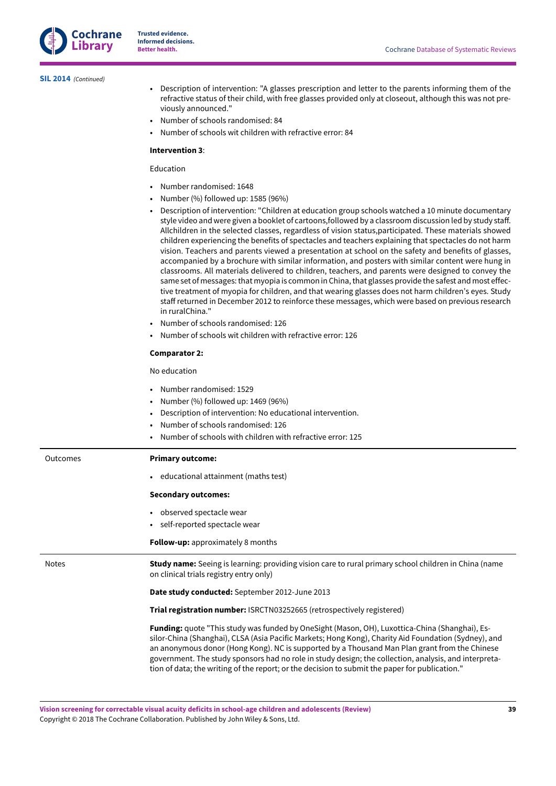

**[SIL 2014](#page-27-8)**  *(Continued)*

- Description of intervention: "A glasses prescription and letter to the parents informing them of the refractive status of their child, with free glasses provided only at closeout, although this was not previously announced."
- Number of schools randomised: 84
- Number of schools wit children with refractive error: 84

#### **Intervention 3**:

#### Education

- Number randomised: 1648
- Number (%) followed up: 1585 (96%)
- Description of intervention: "Children at education group schools watched a 10 minute documentary style video and were given a booklet of cartoons,followed by a classroom discussion led by study staff. Allchildren in the selected classes, regardless of vision status,participated. These materials showed children experiencing the benefits of spectacles and teachers explaining that spectacles do not harm vision. Teachers and parents viewed a presentation at school on the safety and benefits of glasses, accompanied by a brochure with similar information, and posters with similar content were hung in classrooms. All materials delivered to children, teachers, and parents were designed to convey the same set of messages: that myopia is common in China, that glasses provide the safest and most effective treatment of myopia for children, and that wearing glasses does not harm children's eyes. Study staff returned in December 2012 to reinforce these messages, which were based on previous research in ruralChina."
- Number of schools randomised: 126
- Number of schools wit children with refractive error: 126

#### **Comparator 2:**

No education

- Number randomised: 1529
- Number (%) followed up: 1469 (96%)
- Description of intervention: No educational intervention.
- Number of schools randomised: 126
- Number of schools with children with refractive error: 125
- Outcomes **Primary outcome:**
	- educational attainment (maths test)

## **Secondary outcomes:**

- observed spectacle wear
- self-reported spectacle wear

**Follow-up:** approximately 8 months

Notes **Study name:** Seeing is learning: providing vision care to rural primary school children in China (name on clinical trials registry entry only)

**Date study conducted:** September 2012-June 2013

**Trial registration number:** ISRCTN03252665 (retrospectively registered)

**Funding:** quote "This study was funded by OneSight (Mason, OH), Luxottica-China (Shanghai), Essilor-China (Shanghai), CLSA (Asia Pacific Markets; Hong Kong), Charity Aid Foundation (Sydney), and an anonymous donor (Hong Kong). NC is supported by a Thousand Man Plan grant from the Chinese government. The study sponsors had no role in study design; the collection, analysis, and interpretation of data; the writing of the report; or the decision to submit the paper for publication."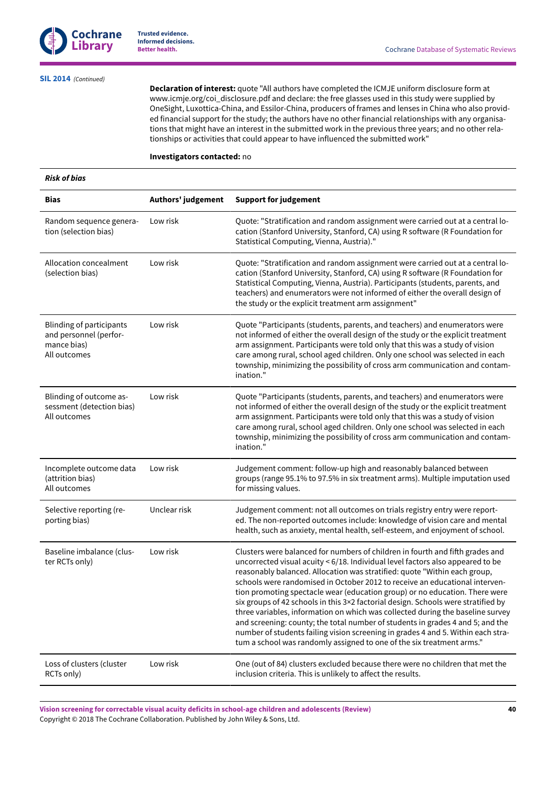**[SIL 2014](#page-27-8)**  *(Continued)*

**Declaration of interest:** quote "All authors have completed the ICMJE uniform disclosure form at www.icmje.org/coi\_disclosure.pdf and declare: the free glasses used in this study were supplied by OneSight, Luxottica-China, and Essilor-China, producers of frames and lenses in China who also provided financial support for the study; the authors have no other financial relationships with any organisations that might have an interest in the submitted work in the previous three years; and no other relationships or activities that could appear to have influenced the submitted work"

## **Investigators contacted:** no

#### *Risk of bias*

| <b>Bias</b>                                                                              | Authors' judgement | <b>Support for judgement</b>                                                                                                                                                                                                                                                                                                                                                                                                                                                                                                                                                                                                                                                                                                                                                                                                     |
|------------------------------------------------------------------------------------------|--------------------|----------------------------------------------------------------------------------------------------------------------------------------------------------------------------------------------------------------------------------------------------------------------------------------------------------------------------------------------------------------------------------------------------------------------------------------------------------------------------------------------------------------------------------------------------------------------------------------------------------------------------------------------------------------------------------------------------------------------------------------------------------------------------------------------------------------------------------|
| Random sequence genera-<br>tion (selection bias)                                         | Low risk           | Quote: "Stratification and random assignment were carried out at a central lo-<br>cation (Stanford University, Stanford, CA) using R software (R Foundation for<br>Statistical Computing, Vienna, Austria)."                                                                                                                                                                                                                                                                                                                                                                                                                                                                                                                                                                                                                     |
| Allocation concealment<br>(selection bias)                                               | Low risk           | Quote: "Stratification and random assignment were carried out at a central lo-<br>cation (Stanford University, Stanford, CA) using R software (R Foundation for<br>Statistical Computing, Vienna, Austria). Participants (students, parents, and<br>teachers) and enumerators were not informed of either the overall design of<br>the study or the explicit treatment arm assignment"                                                                                                                                                                                                                                                                                                                                                                                                                                           |
| <b>Blinding of participants</b><br>and personnel (perfor-<br>mance bias)<br>All outcomes | Low risk           | Quote "Participants (students, parents, and teachers) and enumerators were<br>not informed of either the overall design of the study or the explicit treatment<br>arm assignment. Participants were told only that this was a study of vision<br>care among rural, school aged children. Only one school was selected in each<br>township, minimizing the possibility of cross arm communication and contam-<br>ination."                                                                                                                                                                                                                                                                                                                                                                                                        |
| Blinding of outcome as-<br>sessment (detection bias)<br>All outcomes                     | Low risk           | Quote "Participants (students, parents, and teachers) and enumerators were<br>not informed of either the overall design of the study or the explicit treatment<br>arm assignment. Participants were told only that this was a study of vision<br>care among rural, school aged children. Only one school was selected in each<br>township, minimizing the possibility of cross arm communication and contam-<br>ination."                                                                                                                                                                                                                                                                                                                                                                                                        |
| Incomplete outcome data<br>(attrition bias)<br>All outcomes                              | Low risk           | Judgement comment: follow-up high and reasonably balanced between<br>groups (range 95.1% to 97.5% in six treatment arms). Multiple imputation used<br>for missing values.                                                                                                                                                                                                                                                                                                                                                                                                                                                                                                                                                                                                                                                        |
| Selective reporting (re-<br>porting bias)                                                | Unclear risk       | Judgement comment: not all outcomes on trials registry entry were report-<br>ed. The non-reported outcomes include: knowledge of vision care and mental<br>health, such as anxiety, mental health, self-esteem, and enjoyment of school.                                                                                                                                                                                                                                                                                                                                                                                                                                                                                                                                                                                         |
| Baseline imbalance (clus-<br>ter RCTs only)                                              | Low risk           | Clusters were balanced for numbers of children in fourth and fifth grades and<br>uncorrected visual acuity < 6/18. Individual level factors also appeared to be<br>reasonably balanced. Allocation was stratified: quote "Within each group,<br>schools were randomised in October 2012 to receive an educational interven-<br>tion promoting spectacle wear (education group) or no education. There were<br>six groups of 42 schools in this 3×2 factorial design. Schools were stratified by<br>three variables, information on which was collected during the baseline survey<br>and screening: county; the total number of students in grades 4 and 5; and the<br>number of students failing vision screening in grades 4 and 5. Within each stra-<br>tum a school was randomly assigned to one of the six treatment arms." |
| Loss of clusters (cluster<br>RCTs only)                                                  | Low risk           | One (out of 84) clusters excluded because there were no children that met the<br>inclusion criteria. This is unlikely to affect the results.                                                                                                                                                                                                                                                                                                                                                                                                                                                                                                                                                                                                                                                                                     |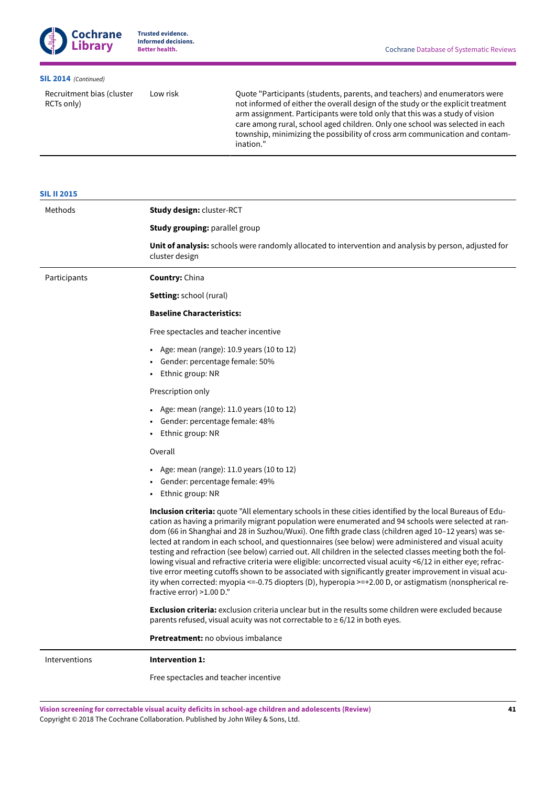## **[SIL 2014](#page-27-8)**  *(Continued)*

Recruitment bias (cluster RCTs only)

Low risk Quote "Participants (students, parents, and teachers) and enumerators were not informed of either the overall design of the study or the explicit treatment arm assignment. Participants were told only that this was a study of vision care among rural, school aged children. Only one school was selected in each township, minimizing the possibility of cross arm communication and contamination."

## **[SIL II 2015](#page-27-9)**

| .             |                                                                                                                                                                                                                                                                                                                                                                                                                                                                                                                                                                                                                                                                                                                                                                                                                                                                                                                  |  |
|---------------|------------------------------------------------------------------------------------------------------------------------------------------------------------------------------------------------------------------------------------------------------------------------------------------------------------------------------------------------------------------------------------------------------------------------------------------------------------------------------------------------------------------------------------------------------------------------------------------------------------------------------------------------------------------------------------------------------------------------------------------------------------------------------------------------------------------------------------------------------------------------------------------------------------------|--|
| Methods       | <b>Study design:</b> cluster-RCT                                                                                                                                                                                                                                                                                                                                                                                                                                                                                                                                                                                                                                                                                                                                                                                                                                                                                 |  |
|               | <b>Study grouping: parallel group</b>                                                                                                                                                                                                                                                                                                                                                                                                                                                                                                                                                                                                                                                                                                                                                                                                                                                                            |  |
|               | <b>Unit of analysis:</b> schools were randomly allocated to intervention and analysis by person, adjusted for<br>cluster design                                                                                                                                                                                                                                                                                                                                                                                                                                                                                                                                                                                                                                                                                                                                                                                  |  |
| Participants  | <b>Country: China</b>                                                                                                                                                                                                                                                                                                                                                                                                                                                                                                                                                                                                                                                                                                                                                                                                                                                                                            |  |
|               | Setting: school (rural)                                                                                                                                                                                                                                                                                                                                                                                                                                                                                                                                                                                                                                                                                                                                                                                                                                                                                          |  |
|               | <b>Baseline Characteristics:</b>                                                                                                                                                                                                                                                                                                                                                                                                                                                                                                                                                                                                                                                                                                                                                                                                                                                                                 |  |
|               | Free spectacles and teacher incentive                                                                                                                                                                                                                                                                                                                                                                                                                                                                                                                                                                                                                                                                                                                                                                                                                                                                            |  |
|               | • Age: mean (range): 10.9 years (10 to 12)<br>• Gender: percentage female: 50%<br>• Ethnic group: NR                                                                                                                                                                                                                                                                                                                                                                                                                                                                                                                                                                                                                                                                                                                                                                                                             |  |
|               | Prescription only                                                                                                                                                                                                                                                                                                                                                                                                                                                                                                                                                                                                                                                                                                                                                                                                                                                                                                |  |
|               | • Age: mean (range): 11.0 years (10 to 12)<br>• Gender: percentage female: 48%<br>• Ethnic group: $NR$                                                                                                                                                                                                                                                                                                                                                                                                                                                                                                                                                                                                                                                                                                                                                                                                           |  |
|               | Overall                                                                                                                                                                                                                                                                                                                                                                                                                                                                                                                                                                                                                                                                                                                                                                                                                                                                                                          |  |
|               | • Age: mean (range): 11.0 years (10 to 12)<br>• Gender: percentage female: 49%<br>• Ethnic group: $NR$                                                                                                                                                                                                                                                                                                                                                                                                                                                                                                                                                                                                                                                                                                                                                                                                           |  |
|               | Inclusion criteria: quote "All elementary schools in these cities identified by the local Bureaus of Edu-<br>cation as having a primarily migrant population were enumerated and 94 schools were selected at ran-<br>dom (66 in Shanghai and 28 in Suzhou/Wuxi). One fifth grade class (children aged 10-12 years) was se-<br>lected at random in each school, and questionnaires (see below) were administered and visual acuity<br>testing and refraction (see below) carried out. All children in the selected classes meeting both the fol-<br>lowing visual and refractive criteria were eligible: uncorrected visual acuity <6/12 in either eye; refrac-<br>tive error meeting cutoffs shown to be associated with significantly greater improvement in visual acu-<br>ity when corrected: myopia <=-0.75 diopters (D), hyperopia >=+2.00 D, or astigmatism (nonspherical re-<br>fractive error) >1.00 D." |  |
|               | <b>Exclusion criteria:</b> exclusion criteria unclear but in the results some children were excluded because<br>parents refused, visual acuity was not correctable to ≥ 6/12 in both eyes.                                                                                                                                                                                                                                                                                                                                                                                                                                                                                                                                                                                                                                                                                                                       |  |
|               | <b>Pretreatment:</b> no obvious imbalance                                                                                                                                                                                                                                                                                                                                                                                                                                                                                                                                                                                                                                                                                                                                                                                                                                                                        |  |
| Interventions | Intervention 1:                                                                                                                                                                                                                                                                                                                                                                                                                                                                                                                                                                                                                                                                                                                                                                                                                                                                                                  |  |

Free spectacles and teacher incentive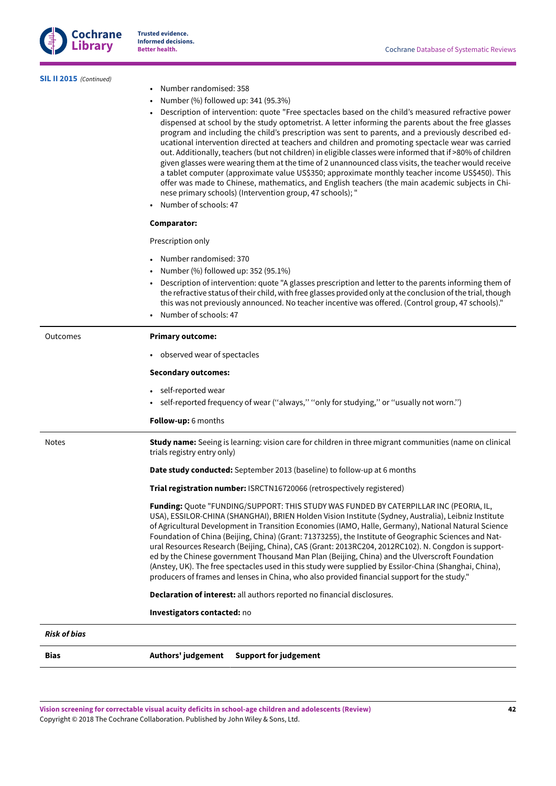

**[SIL II 2015](#page-27-9)**  *(Continued)*

- Number randomised: 358
- Number (%) followed up: 341 (95.3%)
- Description of intervention: quote "Free spectacles based on the child's measured refractive power dispensed at school by the study optometrist. A letter informing the parents about the free glasses program and including the child's prescription was sent to parents, and a previously described educational intervention directed at teachers and children and promoting spectacle wear was carried out. Additionally, teachers (but not children) in eligible classes were informed that if >80% of children given glasses were wearing them at the time of 2 unannounced class visits, the teacher would receive a tablet computer (approximate value US\$350; approximate monthly teacher income US\$450). This offer was made to Chinese, mathematics, and English teachers (the main academic subjects in Chinese primary schools) (Intervention group, 47 schools); "
- Number of schools: 47

#### **Comparator:**

Prescription only

- Number randomised: 370
- Number (%) followed up: 352 (95.1%)
- Description of intervention: quote "A glasses prescription and letter to the parents informing them of the refractive status of their child, with free glasses provided only at the conclusion of the trial, though this was not previously announced. No teacher incentive was offered. (Control group, 47 schools)."
- Number of schools: 47

| Outcomes            | <b>Primary outcome:</b>                                                                                                                                                                                                                                                                                                                                                                                                                                                                                                                                                                                                                                                                                                                                                                                                            |
|---------------------|------------------------------------------------------------------------------------------------------------------------------------------------------------------------------------------------------------------------------------------------------------------------------------------------------------------------------------------------------------------------------------------------------------------------------------------------------------------------------------------------------------------------------------------------------------------------------------------------------------------------------------------------------------------------------------------------------------------------------------------------------------------------------------------------------------------------------------|
|                     | • observed wear of spectacles                                                                                                                                                                                                                                                                                                                                                                                                                                                                                                                                                                                                                                                                                                                                                                                                      |
|                     | <b>Secondary outcomes:</b>                                                                                                                                                                                                                                                                                                                                                                                                                                                                                                                                                                                                                                                                                                                                                                                                         |
|                     | • self-reported wear<br>• self-reported frequency of wear ("always," "only for studying," or "usually not worn.")                                                                                                                                                                                                                                                                                                                                                                                                                                                                                                                                                                                                                                                                                                                  |
|                     | <b>Follow-up:</b> 6 months                                                                                                                                                                                                                                                                                                                                                                                                                                                                                                                                                                                                                                                                                                                                                                                                         |
| <b>Notes</b>        | <b>Study name:</b> Seeing is learning: vision care for children in three migrant communities (name on clinical<br>trials registry entry only)                                                                                                                                                                                                                                                                                                                                                                                                                                                                                                                                                                                                                                                                                      |
|                     | <b>Date study conducted:</b> September 2013 (baseline) to follow-up at 6 months                                                                                                                                                                                                                                                                                                                                                                                                                                                                                                                                                                                                                                                                                                                                                    |
|                     | Trial registration number: ISRCTN16720066 (retrospectively registered)                                                                                                                                                                                                                                                                                                                                                                                                                                                                                                                                                                                                                                                                                                                                                             |
|                     | Funding: Quote "FUNDING/SUPPORT: THIS STUDY WAS FUNDED BY CATERPILLAR INC (PEORIA, IL,<br>USA), ESSILOR-CHINA (SHANGHAI), BRIEN Holden Vision Institute (Sydney, Australia), Leibniz Institute<br>of Agricultural Development in Transition Economies (IAMO, Halle, Germany), National Natural Science<br>Foundation of China (Beijing, China) (Grant: 71373255), the Institute of Geographic Sciences and Nat-<br>ural Resources Research (Beijing, China), CAS (Grant: 2013RC204, 2012RC102). N. Congdon is support-<br>ed by the Chinese government Thousand Man Plan (Beijing, China) and the Ulverscroft Foundation<br>(Anstey, UK). The free spectacles used in this study were supplied by Essilor-China (Shanghai, China),<br>producers of frames and lenses in China, who also provided financial support for the study." |
|                     | <b>Declaration of interest:</b> all authors reported no financial disclosures.                                                                                                                                                                                                                                                                                                                                                                                                                                                                                                                                                                                                                                                                                                                                                     |
|                     | Investigators contacted: no                                                                                                                                                                                                                                                                                                                                                                                                                                                                                                                                                                                                                                                                                                                                                                                                        |
| <b>Risk of bias</b> |                                                                                                                                                                                                                                                                                                                                                                                                                                                                                                                                                                                                                                                                                                                                                                                                                                    |
| <b>Bias</b>         | <b>Support for judgement</b><br>Authors' judgement                                                                                                                                                                                                                                                                                                                                                                                                                                                                                                                                                                                                                                                                                                                                                                                 |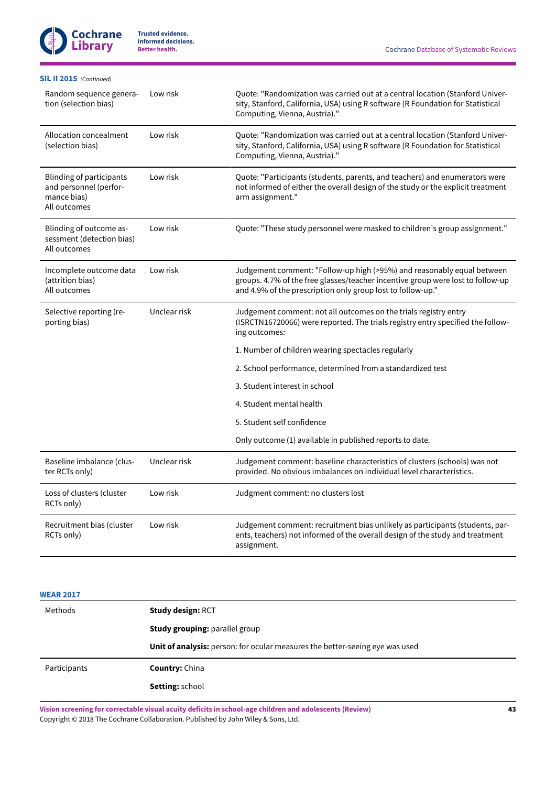| <b>SIL II 2015</b> (Continued) |  |
|--------------------------------|--|
|--------------------------------|--|

| Random sequence genera-<br>tion (selection bias)                                         | Low risk     | Quote: "Randomization was carried out at a central location (Stanford Univer-<br>sity, Stanford, California, USA) using R software (R Foundation for Statistical<br>Computing, Vienna, Austria)."                        |
|------------------------------------------------------------------------------------------|--------------|--------------------------------------------------------------------------------------------------------------------------------------------------------------------------------------------------------------------------|
| Allocation concealment<br>(selection bias)                                               | Low risk     | Quote: "Randomization was carried out at a central location (Stanford Univer-<br>sity, Stanford, California, USA) using R software (R Foundation for Statistical<br>Computing, Vienna, Austria)."                        |
| <b>Blinding of participants</b><br>and personnel (perfor-<br>mance bias)<br>All outcomes | Low risk     | Quote: "Participants (students, parents, and teachers) and enumerators were<br>not informed of either the overall design of the study or the explicit treatment<br>arm assignment."                                      |
| Blinding of outcome as-<br>sessment (detection bias)<br>All outcomes                     | Low risk     | Quote: "These study personnel were masked to children's group assignment."                                                                                                                                               |
| Incomplete outcome data<br>(attrition bias)<br>All outcomes                              | Low risk     | Judgement comment: "Follow-up high (>95%) and reasonably equal between<br>groups. 4.7% of the free glasses/teacher incentive group were lost to follow-up<br>and 4.9% of the prescription only group lost to follow-up." |
| Selective reporting (re-<br>porting bias)                                                | Unclear risk | Judgement comment: not all outcomes on the trials registry entry<br>(ISRCTN16720066) were reported. The trials registry entry specified the follow-<br>ing outcomes:                                                     |
|                                                                                          |              | 1. Number of children wearing spectacles regularly                                                                                                                                                                       |
|                                                                                          |              | 2. School performance, determined from a standardized test                                                                                                                                                               |
|                                                                                          |              | 3. Student interest in school                                                                                                                                                                                            |
|                                                                                          |              | 4. Student mental health                                                                                                                                                                                                 |
|                                                                                          |              | 5. Student self confidence                                                                                                                                                                                               |
|                                                                                          |              | Only outcome (1) available in published reports to date.                                                                                                                                                                 |
| Baseline imbalance (clus-<br>ter RCTs only)                                              | Unclear risk | Judgement comment: baseline characteristics of clusters (schools) was not<br>provided. No obvious imbalances on individual level characteristics.                                                                        |
| Loss of clusters (cluster<br>RCTs only)                                                  | Low risk     | Judgment comment: no clusters lost                                                                                                                                                                                       |
| Recruitment bias (cluster<br>RCTs only)                                                  | Low risk     | Judgement comment: recruitment bias unlikely as participants (students, par-<br>ents, teachers) not informed of the overall design of the study and treatment<br>assignment.                                             |

#### **[WEAR 2017](#page-27-10)**

| Methods      | Study design: RCT                                                            |
|--------------|------------------------------------------------------------------------------|
|              | Study grouping: parallel group                                               |
|              | Unit of analysis: person: for ocular measures the better-seeing eye was used |
| Participants | <b>Country: China</b>                                                        |
|              | Setting: school                                                              |
|              |                                                                              |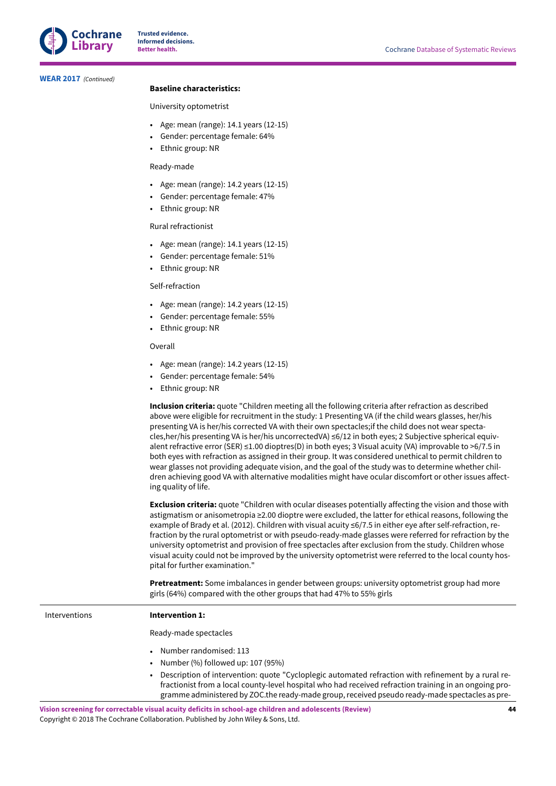**[WEAR 2017](#page-27-10)**  *(Continued)*

#### **Baseline characteristics:**

University optometrist

- Age: mean (range): 14.1 years (12-15)
- Gender: percentage female: 64%
- Ethnic group: NR

#### Ready-made

- Age: mean (range): 14.2 years (12-15)
- Gender: percentage female: 47%
- Ethnic group: NR

#### Rural refractionist

- Age: mean (range): 14.1 years (12-15)
- Gender: percentage female: 51%
- Ethnic group: NR

#### Self-refraction

- Age: mean (range): 14.2 years (12-15)
- Gender: percentage female: 55%
- Ethnic group: NR

#### Overall

- Age: mean (range): 14.2 years (12-15)
- Gender: percentage female: 54%
- Ethnic group: NR

**Inclusion criteria:** quote "Children meeting all the following criteria after refraction as described above were eligible for recruitment in the study: 1 Presenting VA (if the child wears glasses, her/his presenting VA is her/his corrected VA with their own spectacles;if the child does not wear spectacles,her/his presenting VA is her/his uncorrectedVA) ≤6/12 in both eyes; 2 Subjective spherical equivalent refractive error (SER) ≤1.00 dioptres(D) in both eyes; 3 Visual acuity (VA) improvable to >6/7.5 in both eyes with refraction as assigned in their group. It was considered unethical to permit children to wear glasses not providing adequate vision, and the goal of the study was to determine whether children achieving good VA with alternative modalities might have ocular discomfort or other issues affecting quality of life.

**Exclusion criteria:** quote "Children with ocular diseases potentially affecting the vision and those with astigmatism or anisometropia ≥2.00 dioptre were excluded, the latter for ethical reasons, following the example of Brady et al. (2012). Children with visual acuity ≤6/7.5 in either eye after self-refraction, refraction by the rural optometrist or with pseudo-ready-made glasses were referred for refraction by the university optometrist and provision of free spectacles after exclusion from the study. Children whose visual acuity could not be improved by the university optometrist were referred to the local county hospital for further examination."

**Pretreatment:** Some imbalances in gender between groups: university optometrist group had more girls (64%) compared with the other groups that had 47% to 55% girls

#### Interventions **Intervention 1:**

Ready-made spectacles

- Number randomised: 113
- Number (%) followed up: 107 (95%)
- Description of intervention: quote "Cycloplegic automated refraction with refinement by a rural refractionist from a local county-level hospital who had received refraction training in an ongoing programme administered by ZOC.the ready-made group, received pseudo ready-made spectacles as pre-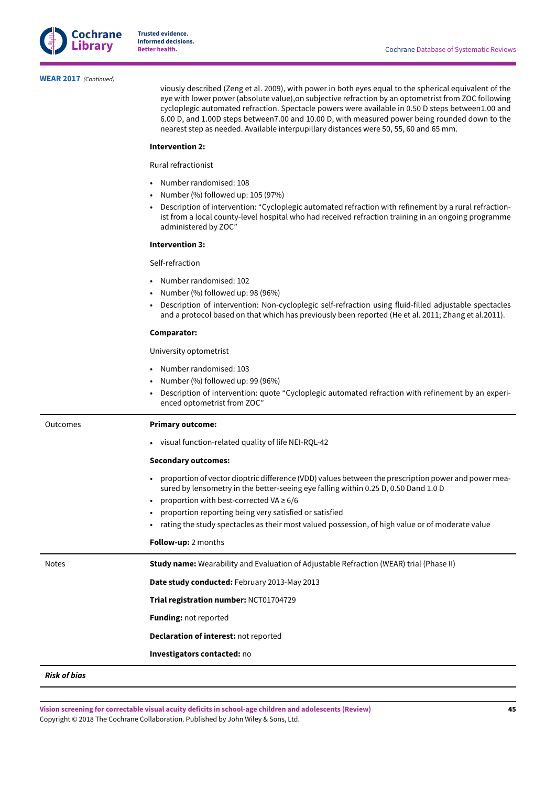

**[WEAR 2017](#page-27-10)**  *(Continued)*

viously described (Zeng et al. 2009), with power in both eyes equal to the spherical equivalent of the eye with lower power (absolute value),on subjective refraction by an optometrist from ZOC following cycloplegic automated refraction. Spectacle powers were available in 0.50 D steps between1.00 and 6.00 D, and 1.00D steps between7.00 and 10.00 D, with measured power being rounded down to the nearest step as needed. Available interpupillary distances were 50, 55, 60 and 65 mm.

#### **Intervention 2:**

Rural refractionist

- Number randomised: 108
- Number (%) followed up: 105 (97%)
- Description of intervention: "Cycloplegic automated refraction with refinement by a rural refractionist from a local county-level hospital who had received refraction training in an ongoing programme administered by ZOC"

#### **Intervention 3:**

Self-refraction

- Number randomised: 102
- Number (%) followed up: 98 (96%)
- Description of intervention: Non-cycloplegic self-refraction using fluid-filled adjustable spectacles and a protocol based on that which has previously been reported (He et al. 2011; Zhang et al.2011).

#### **Comparator:**

University optometrist

- Number randomised: 103
- Number (%) followed up: 99 (96%)
- Description of intervention: quote "Cycloplegic automated refraction with refinement by an experienced optometrist from ZOC"

| Outcomes     | <b>Primary outcome:</b>                                                                                                                                                                                                                                                                                                                                                                                                                     |  |  |
|--------------|---------------------------------------------------------------------------------------------------------------------------------------------------------------------------------------------------------------------------------------------------------------------------------------------------------------------------------------------------------------------------------------------------------------------------------------------|--|--|
|              | • visual function-related quality of life NEI-RQL-42                                                                                                                                                                                                                                                                                                                                                                                        |  |  |
|              | <b>Secondary outcomes:</b>                                                                                                                                                                                                                                                                                                                                                                                                                  |  |  |
|              | proportion of vector dioptric difference (VDD) values between the prescription power and power mea-<br>sured by lensometry in the better-seeing eye falling within 0.25 D, 0.50 Dand 1.0 D<br>proportion with best-corrected VA $\geq 6/6$<br>proportion reporting being very satisfied or satisfied<br>$\bullet$<br>rating the study spectacles as their most valued possession, of high value or of moderate value<br>Follow-up: 2 months |  |  |
|              |                                                                                                                                                                                                                                                                                                                                                                                                                                             |  |  |
| <b>Notes</b> | <b>Study name:</b> Wearability and Evaluation of Adjustable Refraction (WEAR) trial (Phase II)                                                                                                                                                                                                                                                                                                                                              |  |  |
|              | Date study conducted: February 2013-May 2013                                                                                                                                                                                                                                                                                                                                                                                                |  |  |
|              | Trial registration number: NCT01704729                                                                                                                                                                                                                                                                                                                                                                                                      |  |  |
|              | <b>Funding:</b> not reported                                                                                                                                                                                                                                                                                                                                                                                                                |  |  |
|              | Declaration of interest: not reported                                                                                                                                                                                                                                                                                                                                                                                                       |  |  |
|              | Investigators contacted: no                                                                                                                                                                                                                                                                                                                                                                                                                 |  |  |
|              |                                                                                                                                                                                                                                                                                                                                                                                                                                             |  |  |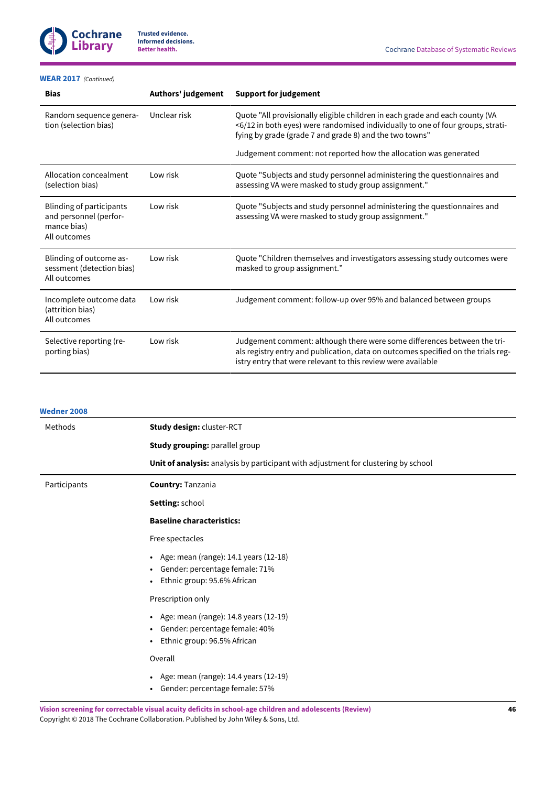

## **[WEAR 2017](#page-27-10)**  *(Continued)*

| <b>Bias</b>                                                                       | Authors' judgement | <b>Support for judgement</b>                                                                                                                                                                                                  |
|-----------------------------------------------------------------------------------|--------------------|-------------------------------------------------------------------------------------------------------------------------------------------------------------------------------------------------------------------------------|
| Random sequence genera-<br>tion (selection bias)                                  | Unclear risk       | Quote "All provisionally eligible children in each grade and each county (VA<br><6/12 in both eyes) were randomised individually to one of four groups, strati-<br>fying by grade (grade 7 and grade 8) and the two towns"    |
|                                                                                   |                    | Judgement comment: not reported how the allocation was generated                                                                                                                                                              |
| Allocation concealment<br>(selection bias)                                        | Low risk           | Quote "Subjects and study personnel administering the questionnaires and<br>assessing VA were masked to study group assignment."                                                                                              |
| Blinding of participants<br>and personnel (perfor-<br>mance bias)<br>All outcomes | Low risk           | Quote "Subjects and study personnel administering the questionnaires and<br>assessing VA were masked to study group assignment."                                                                                              |
| Blinding of outcome as-<br>sessment (detection bias)<br>All outcomes              | Low risk           | Quote "Children themselves and investigators assessing study outcomes were<br>masked to group assignment."                                                                                                                    |
| Incomplete outcome data<br>(attrition bias)<br>All outcomes                       | Low risk           | Judgement comment: follow-up over 95% and balanced between groups                                                                                                                                                             |
| Selective reporting (re-<br>porting bias)                                         | Low risk           | Judgement comment: although there were some differences between the tri-<br>als registry entry and publication, data on outcomes specified on the trials reg-<br>istry entry that were relevant to this review were available |

| <b>Wedner 2008</b> |                                                                                                                         |
|--------------------|-------------------------------------------------------------------------------------------------------------------------|
| Methods            | Study design: cluster-RCT                                                                                               |
|                    | Study grouping: parallel group                                                                                          |
|                    | Unit of analysis: analysis by participant with adjustment for clustering by school                                      |
| Participants       | Country: Tanzania                                                                                                       |
|                    | Setting: school                                                                                                         |
|                    | <b>Baseline characteristics:</b>                                                                                        |
|                    | Free spectacles                                                                                                         |
|                    | - Age: mean (range): $14.1$ years ( $12-18$ )<br>• Gender: percentage female: 71%<br>• Ethnic group: 95.6% African      |
|                    | Prescription only                                                                                                       |
|                    | • Age: mean (range): 14.8 years (12-19)<br>Gender: percentage female: 40%<br>$\bullet$<br>• Ethnic group: 96.5% African |
|                    | Overall                                                                                                                 |
|                    | • Age: mean (range): 14.4 years (12-19)<br>• Gender: percentage female: 57%                                             |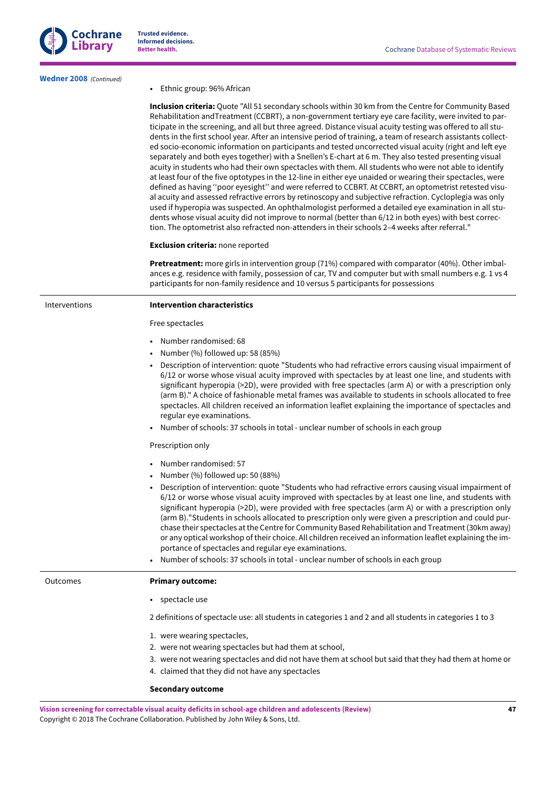### **[Wedner 2008](#page-27-11)**  *(Continued)*

• Ethnic group: 96% African

**Inclusion criteria:** Quote "All 51 secondary schools within 30 km from the Centre for Community Based Rehabilitation andTreatment (CCBRT), a non-government tertiary eye care facility, were invited to participate in the screening, and all but three agreed. Distance visual acuity testing was offered to all students in the first school year. After an intensive period of training, a team of research assistants collected socio-economic information on participants and tested uncorrected visual acuity (right and left eye separately and both eyes together) with a Snellen's E-chart at 6 m. They also tested presenting visual acuity in students who had their own spectacles with them. All students who were not able to identify at least four of the five optotypes in the 12-line in either eye unaided or wearing their spectacles, were defined as having ''poor eyesight'' and were referred to CCBRT. At CCBRT, an optometrist retested visual acuity and assessed refractive errors by retinoscopy and subjective refraction. Cycloplegia was only used if hyperopia was suspected. An ophthalmologist performed a detailed eye examination in all students whose visual acuity did not improve to normal (better than 6/12 in both eyes) with best correction. The optometrist also refracted non-attenders in their schools 2–4 weeks after referral."

#### **Exclusion criteria:** none reported

**Pretreatment:** more girls in intervention group (71%) compared with comparator (40%). Other imbalances e.g. residence with family, possession of car, TV and computer but with small numbers e.g. 1 vs 4 participants for non-family residence and 10 versus 5 participants for possessions

#### Interventions **Intervention characteristics**

Free spectacles

- Number randomised: 68
- Number (%) followed up: 58 (85%)
- Description of intervention: quote "Students who had refractive errors causing visual impairment of 6/12 or worse whose visual acuity improved with spectacles by at least one line, and students with significant hyperopia (>2D), were provided with free spectacles (arm A) or with a prescription only (arm B)." A choice of fashionable metal frames was available to students in schools allocated to free spectacles. All children received an information leaflet explaining the importance of spectacles and regular eye examinations.
- Number of schools: 37 schools in total unclear number of schools in each group

#### Prescription only

- Number randomised: 57
- Number (%) followed up: 50 (88%)
- Description of intervention: quote "Students who had refractive errors causing visual impairment of 6/12 or worse whose visual acuity improved with spectacles by at least one line, and students with significant hyperopia (>2D), were provided with free spectacles (arm A) or with a prescription only (arm B)."Students in schools allocated to prescription only were given a prescription and could purchase their spectacles atthe Centre for Community Based Rehabilitation and Treatment(30km away) or any optical workshop of their choice. All children received an information leaflet explaining the importance of spectacles and regular eye examinations.
- Number of schools: 37 schools in total unclear number of schools in each group

#### Outcomes **Primary outcome:**

• spectacle use

2 definitions of spectacle use: all students in categories 1 and 2 and all students in categories 1 to 3

- 1. were wearing spectacles,
- 2. were not wearing spectacles but had them at school,
- 3. were not wearing spectacles and did not have them at school but said that they had them at home or
- 4. claimed that they did not have any spectacles

#### **Secondary outcome**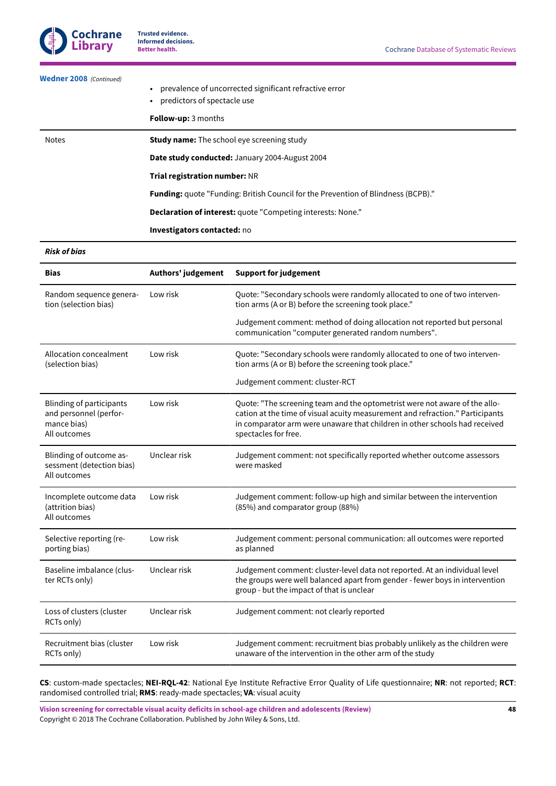

| <b>Wedner 2008</b> (Continued)                                                           | • prevalence of uncorrected significant refractive error<br>predictors of spectacle use<br>$\bullet$<br><b>Follow-up:</b> 3 months |  |  |  |  |
|------------------------------------------------------------------------------------------|------------------------------------------------------------------------------------------------------------------------------------|--|--|--|--|
| <b>Notes</b>                                                                             | <b>Study name:</b> The school eye screening study                                                                                  |  |  |  |  |
| Date study conducted: January 2004-August 2004                                           |                                                                                                                                    |  |  |  |  |
|                                                                                          | <b>Trial registration number: NR</b>                                                                                               |  |  |  |  |
| <b>Funding:</b> quote "Funding: British Council for the Prevention of Blindness (BCPB)." |                                                                                                                                    |  |  |  |  |
|                                                                                          | <b>Declaration of interest:</b> quote "Competing interests: None."                                                                 |  |  |  |  |
|                                                                                          | Investigators contacted: no                                                                                                        |  |  |  |  |

#### *Risk of bias*

| <b>Bias</b>                                                                              | Authors' judgement | <b>Support for judgement</b>                                                                                                                                                                                                                                      |
|------------------------------------------------------------------------------------------|--------------------|-------------------------------------------------------------------------------------------------------------------------------------------------------------------------------------------------------------------------------------------------------------------|
| Random sequence genera-<br>tion (selection bias)                                         | Low risk           | Quote: "Secondary schools were randomly allocated to one of two interven-<br>tion arms (A or B) before the screening took place."                                                                                                                                 |
|                                                                                          |                    | Judgement comment: method of doing allocation not reported but personal<br>communication "computer generated random numbers".                                                                                                                                     |
| Allocation concealment<br>(selection bias)                                               | Low risk           | Quote: "Secondary schools were randomly allocated to one of two interven-<br>tion arms (A or B) before the screening took place."                                                                                                                                 |
|                                                                                          |                    | Judgement comment: cluster-RCT                                                                                                                                                                                                                                    |
| <b>Blinding of participants</b><br>and personnel (perfor-<br>mance bias)<br>All outcomes | Low risk           | Quote: "The screening team and the optometrist were not aware of the allo-<br>cation at the time of visual acuity measurement and refraction." Participants<br>in comparator arm were unaware that children in other schools had received<br>spectacles for free. |
| Blinding of outcome as-<br>sessment (detection bias)<br>All outcomes                     | Unclear risk       | Judgement comment: not specifically reported whether outcome assessors<br>were masked                                                                                                                                                                             |
| Incomplete outcome data<br>(attrition bias)<br>All outcomes                              | Low risk           | Judgement comment: follow-up high and similar between the intervention<br>(85%) and comparator group (88%)                                                                                                                                                        |
| Selective reporting (re-<br>porting bias)                                                | Low risk           | Judgement comment: personal communication: all outcomes were reported<br>as planned                                                                                                                                                                               |
| Baseline imbalance (clus-<br>ter RCTs only)                                              | Unclear risk       | Judgement comment: cluster-level data not reported. At an individual level<br>the groups were well balanced apart from gender - fewer boys in intervention<br>group - but the impact of that is unclear                                                           |
| Loss of clusters (cluster<br>RCTs only)                                                  | Unclear risk       | Judgement comment: not clearly reported                                                                                                                                                                                                                           |
| Recruitment bias (cluster<br>RCTs only)                                                  | Low risk           | Judgement comment: recruitment bias probably unlikely as the children were<br>unaware of the intervention in the other arm of the study                                                                                                                           |

**CS**: custom-made spectacles; **NEI-RQL-42**: National Eye Institute Refractive Error Quality of Life questionnaire; **NR**: not reported; **RCT**: randomised controlled trial; **RMS**: ready-made spectacles; **VA**: visual acuity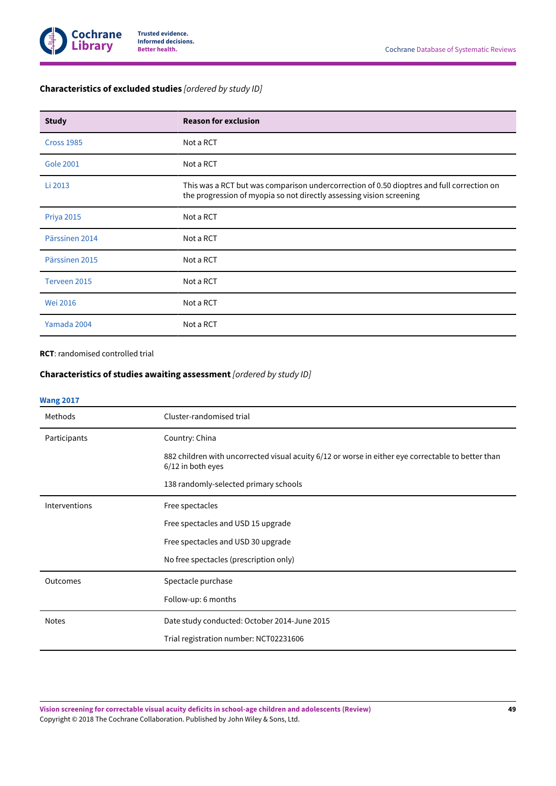

## <span id="page-50-0"></span>**Characteristics of excluded studies** *[ordered by study ID]*

| <b>Study</b>      | <b>Reason for exclusion</b>                                                                                                                                       |
|-------------------|-------------------------------------------------------------------------------------------------------------------------------------------------------------------|
| <b>Cross 1985</b> | Not a RCT                                                                                                                                                         |
| <b>Gole 2001</b>  | Not a RCT                                                                                                                                                         |
| Li 2013           | This was a RCT but was comparison undercorrection of 0.50 dioptres and full correction on<br>the progression of myopia so not directly assessing vision screening |
| <b>Priya 2015</b> | Not a RCT                                                                                                                                                         |
| Pärssinen 2014    | Not a RCT                                                                                                                                                         |
| Pärssinen 2015    | Not a RCT                                                                                                                                                         |
| Terveen 2015      | Not a RCT                                                                                                                                                         |
| <b>Wei 2016</b>   | Not a RCT                                                                                                                                                         |
| Yamada 2004       | Not a RCT                                                                                                                                                         |

## **RCT**: randomised controlled trial

## **Characteristics of studies awaiting assessment** *[ordered by study ID]*

## **[Wang](#page-27-5) 2017**

| Methods         | Cluster-randomised trial                                                                                                  |
|-----------------|---------------------------------------------------------------------------------------------------------------------------|
| Participants    | Country: China                                                                                                            |
|                 | 882 children with uncorrected visual acuity 6/12 or worse in either eye correctable to better than<br>$6/12$ in both eyes |
|                 | 138 randomly-selected primary schools                                                                                     |
| Interventions   | Free spectacles                                                                                                           |
|                 | Free spectacles and USD 15 upgrade                                                                                        |
|                 | Free spectacles and USD 30 upgrade                                                                                        |
|                 | No free spectacles (prescription only)                                                                                    |
| <b>Outcomes</b> | Spectacle purchase                                                                                                        |
|                 | Follow-up: 6 months                                                                                                       |
| <b>Notes</b>    | Date study conducted: October 2014-June 2015                                                                              |
|                 | Trial registration number: NCT02231606                                                                                    |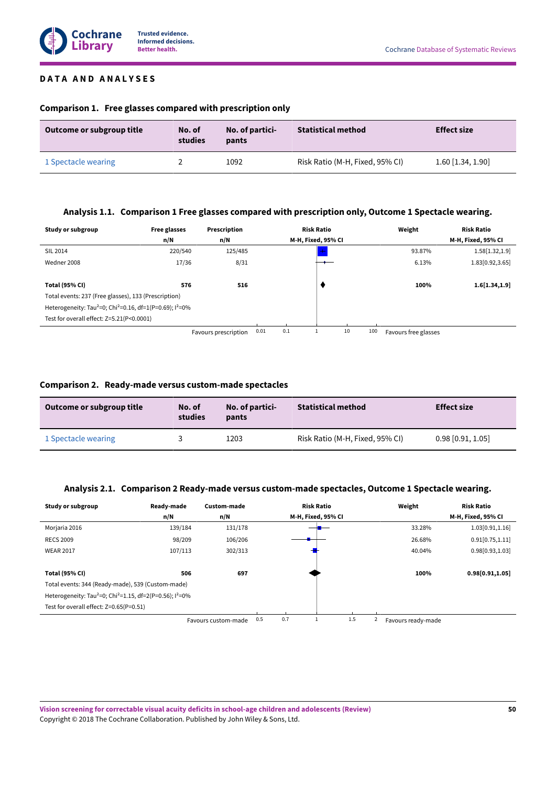## <span id="page-51-0"></span>**D A T A A N D A N A L Y S E S**

| Outcome or subgroup title | No. of<br>studies | No. of partici-<br>pants | <b>Statistical method</b>       | <b>Effect size</b>  |
|---------------------------|-------------------|--------------------------|---------------------------------|---------------------|
| 1 Spectacle wearing       |                   | 1092                     | Risk Ratio (M-H, Fixed, 95% CI) | $1.60$ [1.34, 1.90] |

## **Comparison 1. Free glasses compared with prescription only**

## **Analysis 1.1. Comparison 1 Free glasses compared with prescription only, Outcome 1Spectacle wearing.**

<span id="page-51-1"></span>

| Study or subgroup                                                                            | <b>Free glasses</b> | Prescription         |      |     | <b>Risk Ratio</b>  |    |     | Weight               | <b>Risk Ratio</b>  |
|----------------------------------------------------------------------------------------------|---------------------|----------------------|------|-----|--------------------|----|-----|----------------------|--------------------|
|                                                                                              | n/N                 | n/N                  |      |     | M-H, Fixed, 95% CI |    |     |                      | M-H, Fixed, 95% CI |
| SIL 2014                                                                                     | 220/540             | 125/485              |      |     |                    |    |     | 93.87%               | 1.58[1.32, 1.9]    |
| Wedner 2008                                                                                  | 17/36               | 8/31                 |      |     |                    |    |     | 6.13%                | 1.83 [0.92, 3.65]  |
|                                                                                              |                     |                      |      |     |                    |    |     |                      |                    |
| <b>Total (95% CI)</b>                                                                        | 576                 | 516                  |      |     |                    |    |     | 100%                 | 1.6[1.34, 1.9]     |
| Total events: 237 (Free glasses), 133 (Prescription)                                         |                     |                      |      |     |                    |    |     |                      |                    |
| Heterogeneity: Tau <sup>2</sup> =0; Chi <sup>2</sup> =0.16, df=1(P=0.69); l <sup>2</sup> =0% |                     |                      |      |     |                    |    |     |                      |                    |
| Test for overall effect: Z=5.21(P<0.0001)                                                    |                     |                      |      |     |                    |    |     |                      |                    |
|                                                                                              |                     | Favours prescription | 0.01 | 0.1 |                    | 10 | 100 | Favours free glasses |                    |

## **Comparison 2. Ready-made versus custom-made spectacles**

| Outcome or subgroup title | No. of<br>studies | No. of partici-<br>pants | <b>Statistical method</b>       | <b>Effect size</b>  |
|---------------------------|-------------------|--------------------------|---------------------------------|---------------------|
| 1 Spectacle wearing       |                   | 1203                     | Risk Ratio (M-H, Fixed, 95% CI) | $0.98$ [0.91, 1.05] |

## **Analysis 2.1. Comparison 2 Ready-made versus custom-made spectacles, Outcome 1Spectacle wearing.**

<span id="page-51-2"></span>

| Study or subgroup                                                                   | Ready-made | Custom-made         |     | <b>Risk Ratio</b>  |     | Weight             | <b>Risk Ratio</b>  |
|-------------------------------------------------------------------------------------|------------|---------------------|-----|--------------------|-----|--------------------|--------------------|
|                                                                                     | n/N        | n/N                 |     | M-H, Fixed, 95% CI |     |                    | M-H, Fixed, 95% CI |
| Morjaria 2016                                                                       | 139/184    | 131/178             |     |                    |     | 33.28%             | 1.03[0.91, 1.16]   |
| <b>RECS 2009</b>                                                                    | 98/209     | 106/206             |     |                    |     | 26.68%             | 0.91[0.75, 1.11]   |
| <b>WEAR 2017</b>                                                                    | 107/113    | 302/313             |     |                    |     | 40.04%             | 0.98[0.93,1.03]    |
|                                                                                     |            |                     |     |                    |     |                    |                    |
| <b>Total (95% CI)</b>                                                               | 506        | 697                 |     |                    |     | 100%               | 0.98[0.91, 1.05]   |
| Total events: 344 (Ready-made), 539 (Custom-made)                                   |            |                     |     |                    |     |                    |                    |
| Heterogeneity: Tau <sup>2</sup> =0; Chi <sup>2</sup> =1.15, df=2(P=0.56); $1^2$ =0% |            |                     |     |                    |     |                    |                    |
| Test for overall effect: Z=0.65(P=0.51)                                             |            |                     |     |                    |     |                    |                    |
|                                                                                     |            | Favours custom-made | 0.5 | 0.7<br>л.          | 1.5 | Favours ready-made |                    |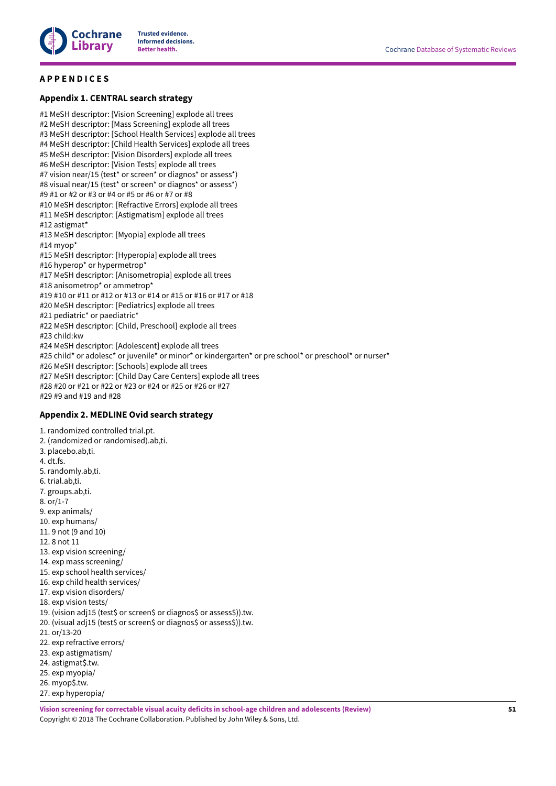

## <span id="page-52-0"></span>**A P P E N D I C E S**

#### <span id="page-52-1"></span>**Appendix 1. CENTRAL search strategy**

#1 MeSH descriptor: [Vision Screening] explode all trees #2 MeSH descriptor: [Mass Screening] explode all trees #3 MeSH descriptor: [School Health Services] explode all trees #4 MeSH descriptor: [Child Health Services] explode all trees #5 MeSH descriptor: [Vision Disorders] explode all trees #6 MeSH descriptor: [Vision Tests] explode all trees #7 vision near/15 (test\* or screen\* or diagnos\* or assess\*) #8 visual near/15 (test\* or screen\* or diagnos\* or assess\*) #9 #1 or #2 or #3 or #4 or #5 or #6 or #7 or #8 #10 MeSH descriptor: [Refractive Errors] explode all trees #11 MeSH descriptor: [Astigmatism] explode all trees #12 astigmat\* #13 MeSH descriptor: [Myopia] explode all trees #14 myop\* #15 MeSH descriptor: [Hyperopia] explode all trees #16 hyperop\* or hypermetrop\* #17 MeSH descriptor: [Anisometropia] explode all trees #18 anisometrop\* or ammetrop\* #19 #10 or #11 or #12 or #13 or #14 or #15 or #16 or #17 or #18 #20 MeSH descriptor: [Pediatrics] explode all trees #21 pediatric\* or paediatric\* #22 MeSH descriptor: [Child, Preschool] explode all trees #23 child:kw #24 MeSH descriptor: [Adolescent] explode all trees #25 child\* or adolesc\* or juvenile\* or minor\* or kindergarten\* or pre school\* or preschool\* or nurser\* #26 MeSH descriptor: [Schools] explode all trees #27 MeSH descriptor: [Child Day Care Centers] explode all trees #28 #20 or #21 or #22 or #23 or #24 or #25 or #26 or #27 #29 #9 and #19 and #28 **Appendix 2. MEDLINE Ovid search strategy**

<span id="page-52-2"></span>1. randomized controlled trial.pt.

- 2. (randomized or randomised).ab,ti.
- 3. placebo.ab,ti.
- 4. dt.fs.
- 5. randomly.ab,ti.
- 6. trial.ab,ti.
- 7. groups.ab,ti.
- 8. or/1-7
- 9. exp animals/
- 10. exp humans/
- 11. 9 not (9 and 10)
- 12. 8 not 11
- 13. exp vision screening/
- 14. exp mass screening/
- 15. exp school health services/
- 16. exp child health services/
- 17. exp vision disorders/
- 18. exp vision tests/
- 19. (vision adj15 (test\$ or screen\$ or diagnos\$ or assess\$)).tw.
- 20. (visual adj15 (test\$ or screen\$ or diagnos\$ or assess\$)).tw.
- 21. or/13-20
- 22. exp refractive errors/
- 23. exp astigmatism/
- 24. astigmat\$.tw.
- 25. exp myopia/
- 26. myop\$.tw.
- 27. exp hyperopia/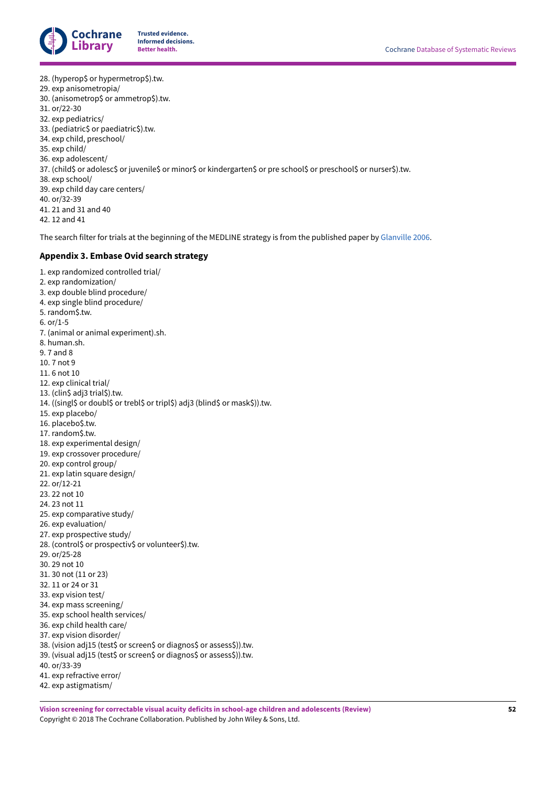

28. (hyperop\$ or hypermetrop\$).tw. 29. exp anisometropia/ 30. (anisometrop\$ or ammetrop\$).tw. 31. or/22-30 32. exp pediatrics/ 33. (pediatric\$ or paediatric\$).tw. 34. exp child, preschool/ 35. exp child/ 36. exp adolescent/ 37. (child\$ or adolesc\$ or juvenile\$ or minor\$ or kindergarten\$ or pre school\$ or preschool\$ or nurser\$).tw. 38. exp school/ 39. exp child day care centers/ 40. or/32-39 41. 21 and 31 and 40 42. 12 and 41

The search filter for trials at the beginning of the MEDLINE strategy is from the published paper by [Glanville 2006](#page-28-21).

## <span id="page-53-0"></span>**Appendix 3. Embase Ovid search strategy**

1. exp randomized controlled trial/ 2. exp randomization/ 3. exp double blind procedure/ 4. exp single blind procedure/ 5. random\$.tw. 6. or/1-5 7. (animal or animal experiment).sh. 8. human.sh. 9. 7 and 8 10. 7 not 9 11. 6 not 10 12. exp clinical trial/ 13. (clin\$ adj3 trial\$).tw. 14. ((singl\$ or doubl\$ or trebl\$ or tripl\$) adj3 (blind\$ or mask\$)).tw. 15. exp placebo/ 16. placebo\$.tw. 17. random\$.tw. 18. exp experimental design/ 19. exp crossover procedure/ 20. exp control group/ 21. exp latin square design/ 22. or/12-21 23. 22 not 10 24. 23 not 11 25. exp comparative study/ 26. exp evaluation/ 27. exp prospective study/ 28. (control\$ or prospectiv\$ or volunteer\$).tw. 29. or/25-28 30. 29 not 10 31. 30 not (11 or 23) 32. 11 or 24 or 31 33. exp vision test/ 34. exp mass screening/ 35. exp school health services/ 36. exp child health care/ 37. exp vision disorder/ 38. (vision adj15 (test\$ or screen\$ or diagnos\$ or assess\$)).tw. 39. (visual adj15 (test\$ or screen\$ or diagnos\$ or assess\$)).tw. 40. or/33-39 41. exp refractive error/ 42. exp astigmatism/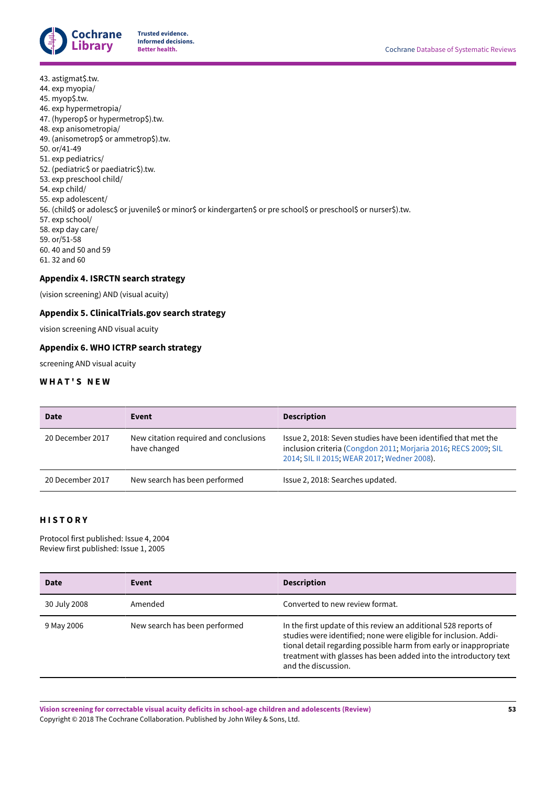43. astigmat\$.tw. 44. exp myopia/ 45. myop\$.tw. 46. exp hypermetropia/ 47. (hyperop\$ or hypermetrop\$).tw. 48. exp anisometropia/ 49. (anisometrop\$ or ammetrop\$).tw. 50. or/41-49 51. exp pediatrics/ 52. (pediatric\$ or paediatric\$).tw. 53. exp preschool child/ 54. exp child/ 55. exp adolescent/ 56. (child\$ or adolesc\$ or juvenile\$ or minor\$ or kindergarten\$ or pre school\$ or preschool\$ or nurser\$).tw. 57. exp school/ 58. exp day care/ 59. or/51-58 60. 40 and 50 and 59 61. 32 and 60

## <span id="page-54-2"></span>**Appendix 4. ISRCTN search strategy**

(vision screening) AND (visual acuity)

## <span id="page-54-3"></span>**Appendix 5. ClinicalTrials.gov search strategy**

vision screening AND visual acuity

## <span id="page-54-4"></span>**Appendix 6. WHO ICTRP search strategy**

screening AND visual acuity

## <span id="page-54-0"></span>**W H A T ' S N E W**

| <b>Date</b>      | Event                                                 | <b>Description</b>                                                                                                                                                               |
|------------------|-------------------------------------------------------|----------------------------------------------------------------------------------------------------------------------------------------------------------------------------------|
| 20 December 2017 | New citation required and conclusions<br>have changed | Issue 2, 2018: Seven studies have been identified that met the<br>inclusion criteria (Congdon 2011; Morjaria 2016; RECS 2009; SIL<br>2014; SIL II 2015; WEAR 2017; Wedner 2008). |
| 20 December 2017 | New search has been performed                         | Issue 2, 2018: Searches updated.                                                                                                                                                 |

## <span id="page-54-1"></span>**H I S T O R Y**

Protocol first published: Issue 4, 2004 Review first published: Issue 1, 2005

| Date         | Event                         | <b>Description</b>                                                                                                                                                                                                                                                                                  |
|--------------|-------------------------------|-----------------------------------------------------------------------------------------------------------------------------------------------------------------------------------------------------------------------------------------------------------------------------------------------------|
| 30 July 2008 | Amended                       | Converted to new review format.                                                                                                                                                                                                                                                                     |
| 9 May 2006   | New search has been performed | In the first update of this review an additional 528 reports of<br>studies were identified; none were eligible for inclusion. Addi-<br>tional detail regarding possible harm from early or inappropriate<br>treatment with glasses has been added into the introductory text<br>and the discussion. |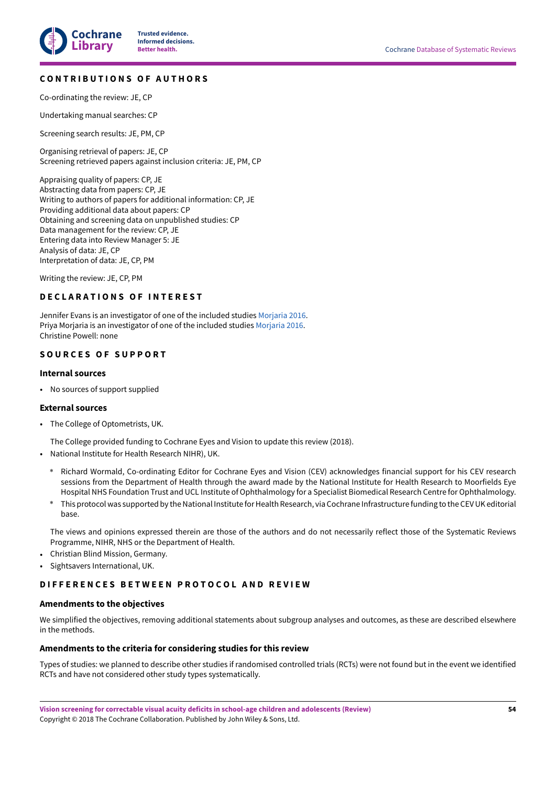## <span id="page-55-0"></span>**C O N T R I B U T I O N S O F A U T H O R S**

Co-ordinating the review: JE, CP

Undertaking manual searches: CP

Screening search results: JE, PM, CP

Organising retrieval of papers: JE, CP Screening retrieved papers against inclusion criteria: JE, PM, CP

Appraising quality of papers: CP, JE Abstracting data from papers: CP, JE Writing to authors of papers for additional information: CP, JE Providing additional data about papers: CP Obtaining and screening data on unpublished studies: CP Data management for the review: CP, JE Entering data into Review Manager 5: JE Analysis of data: JE, CP Interpretation of data: JE, CP, PM

Writing the review: JE, CP, PM

## <span id="page-55-1"></span>**D E C L A R A T I O N S O F I N T E R E S T**

Jennifer Evans is an investigator of one of the included studies [Morjaria 2016.](#page-27-1) Priya Morjaria is an investigator of one of the included studies [Morjaria 2016.](#page-27-1) Christine Powell: none

## <span id="page-55-2"></span>**S O U R C E S O F S U P P O R T**

#### **Internal sources**

• No sources of support supplied

## **External sources**

- The College of Optometrists, UK.
	- The College provided funding to Cochrane Eyes and Vision to update this review (2018).
- National Institute for Health Research NIHR), UK.
	- \* Richard Wormald, Co-ordinating Editor for Cochrane Eyes and Vision (CEV) acknowledges financial support for his CEV research sessions from the Department of Health through the award made by the National Institute for Health Research to Moorfields Eye Hospital NHS Foundation Trust and UCL Institute of Ophthalmology for a Specialist Biomedical Research Centre for Ophthalmology.
	- \* This protocol was supported by the National Institute for Health Research, via Cochrane Infrastructure funding to the CEV UK editorial base.

The views and opinions expressed therein are those of the authors and do not necessarily reflect those of the Systematic Reviews Programme, NIHR, NHS or the Department of Health.

- Christian Blind Mission, Germany.
- Sightsavers International, UK.

## <span id="page-55-3"></span>**DIFFERENCES BETWEEN PROTOCOL AND REVIEW**

## **Amendments to the objectives**

We simplified the objectives, removing additional statements about subgroup analyses and outcomes, as these are described elsewhere in the methods.

## **Amendments to the criteria for considering studies for this review**

Types of studies: we planned to describe other studies if randomised controlled trials (RCTs) were not found but in the event we identified RCTs and have not considered other study types systematically.